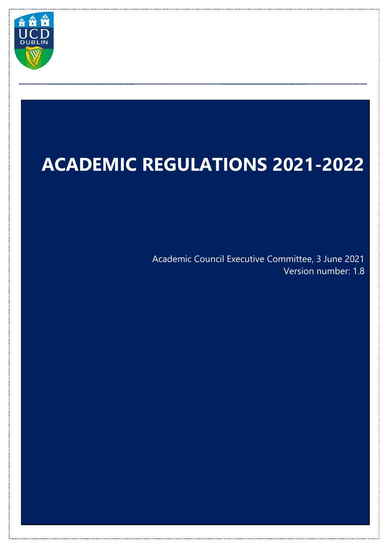

# **ACADEMIC REGULATIONS 2021-2022**

\_\_\_\_\_\_\_\_\_\_\_\_\_\_\_\_\_\_\_\_\_\_\_\_\_\_\_\_\_\_\_\_\_\_\_\_\_\_\_\_\_\_\_\_\_\_\_\_\_\_\_\_\_\_\_\_\_\_\_\_\_\_\_\_\_\_\_\_\_\_\_\_\_\_\_\_\_\_\_\_\_\_\_\_\_\_\_\_\_\_\_\_\_\_\_\_\_

Academic Council Executive Committee, 3 June 2021 Version number: 1.8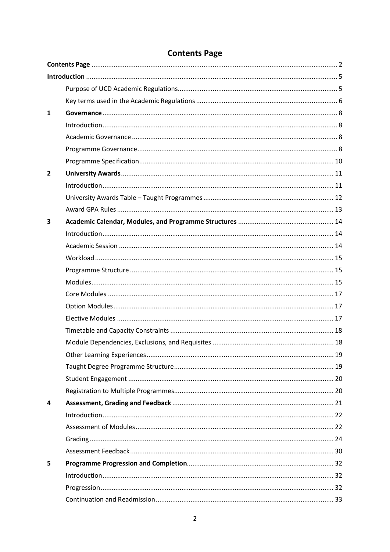<span id="page-1-0"></span>

| 1              |     |
|----------------|-----|
|                |     |
|                |     |
|                |     |
|                |     |
| $\overline{2}$ |     |
|                |     |
|                |     |
|                |     |
| 3              |     |
|                |     |
|                |     |
|                |     |
|                |     |
|                |     |
|                |     |
|                |     |
|                |     |
|                |     |
|                |     |
|                | .19 |
|                |     |
|                |     |
|                |     |
| 4              |     |
|                |     |
|                |     |
|                |     |
|                |     |
| 5              |     |
|                |     |
|                |     |
|                |     |

# **Contents Page**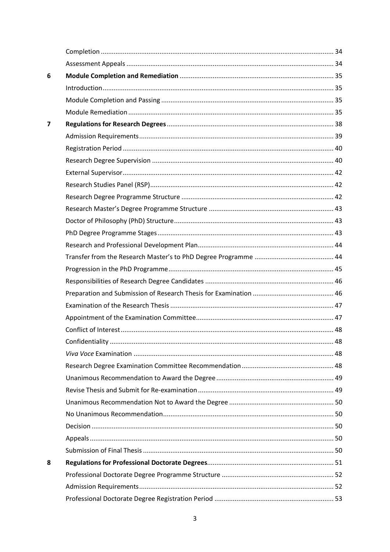| 6 |  |
|---|--|
|   |  |
|   |  |
|   |  |
| 7 |  |
|   |  |
|   |  |
|   |  |
|   |  |
|   |  |
|   |  |
|   |  |
|   |  |
|   |  |
|   |  |
|   |  |
|   |  |
|   |  |
|   |  |
|   |  |
|   |  |
|   |  |
|   |  |
|   |  |
|   |  |
|   |  |
|   |  |
|   |  |
|   |  |
|   |  |
|   |  |
|   |  |
| 8 |  |
|   |  |
|   |  |
|   |  |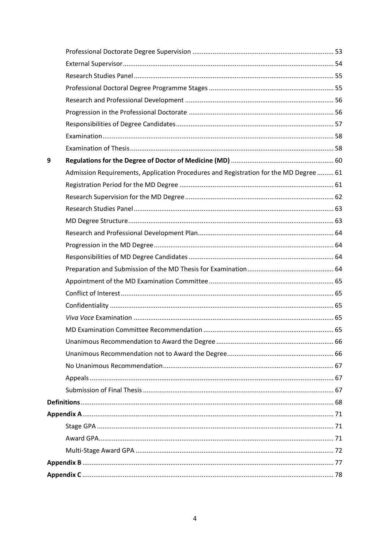| 9 |                                                                                       |  |
|---|---------------------------------------------------------------------------------------|--|
|   | Admission Requirements, Application Procedures and Registration for the MD Degree  61 |  |
|   |                                                                                       |  |
|   |                                                                                       |  |
|   |                                                                                       |  |
|   |                                                                                       |  |
|   |                                                                                       |  |
|   |                                                                                       |  |
|   |                                                                                       |  |
|   |                                                                                       |  |
|   |                                                                                       |  |
|   |                                                                                       |  |
|   |                                                                                       |  |
|   |                                                                                       |  |
|   |                                                                                       |  |
|   |                                                                                       |  |
|   |                                                                                       |  |
|   |                                                                                       |  |
|   |                                                                                       |  |
|   |                                                                                       |  |
|   |                                                                                       |  |
|   |                                                                                       |  |
|   |                                                                                       |  |
|   |                                                                                       |  |
|   |                                                                                       |  |
|   |                                                                                       |  |
|   |                                                                                       |  |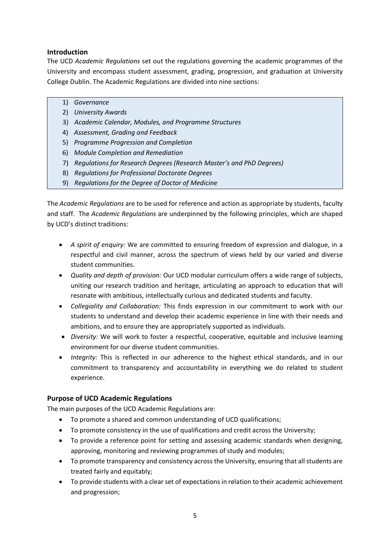#### <span id="page-4-0"></span>**Introduction**

The UCD *Academic Regulations* set out the regulations governing the academic programmes of the University and encompass student assessment, grading, progression, and graduation at University College Dublin. The Academic Regulations are divided into nine sections:

- 1) *Governance*
- 2) *University Awards*
- 3) *Academic Calendar, Modules, and Programme Structures*
- 4) *Assessment, Grading and Feedback*
- 5) *Programme Progression and Completion*
- 6) *Module Completion and Remediation*
- 7) *Regulations for Research Degrees (Research Master's and PhD Degrees)*
- 8) *Regulations for Professional Doctorate Degrees*
- 9) *Regulations for the Degree of Doctor of Medicine*

The *Academic Regulations* are to be used for reference and action as appropriate by students, faculty and staff. The *Academic Regulations* are underpinned by the following principles, which are shaped by UCD's distinct traditions:

- *A spirit of enquiry:* We are committed to ensuring freedom of expression and dialogue, in a respectful and civil manner, across the spectrum of views held by our varied and diverse student communities.
- *Quality and depth of provision:* Our UCD modular curriculum offers a wide range of subjects, uniting our research tradition and heritage, articulating an approach to education that will resonate with ambitious, intellectually curious and dedicated students and faculty.
- *Collegiality and Collaboration:* This finds expression in our commitment to work with our students to understand and develop their academic experience in line with their needs and ambitions, and to ensure they are appropriately supported as individuals.
- *Diversity:* We will work to foster a respectful, cooperative, equitable and inclusive learning environment for our diverse student communities.
- *Integrity:* This is reflected in our adherence to the highest ethical standards, and in our commitment to transparency and accountability in everything we do related to student experience.

## <span id="page-4-1"></span>**Purpose of UCD Academic Regulations**

The main purposes of the UCD Academic Regulations are:

- To promote a shared and common understanding of UCD qualifications;
- To promote consistency in the use of qualifications and credit across the University;
- To provide a reference point for setting and assessing academic standards when designing, approving, monitoring and reviewing programmes of study and modules;
- To promote transparency and consistency across the University, ensuring that all students are treated fairly and equitably;
- To provide students with a clear set of expectations in relation to their academic achievement and progression;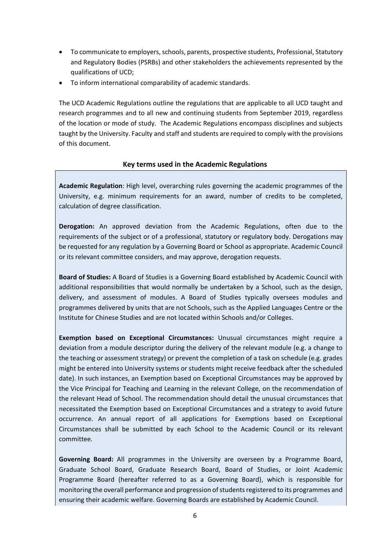- To communicate to employers, schools, parents, prospective students, Professional, Statutory and Regulatory Bodies (PSRBs) and other stakeholders the achievements represented by the qualifications of UCD;
- To inform international comparability of academic standards.

The UCD Academic Regulations outline the regulations that are applicable to all UCD taught and research programmes and to all new and continuing students from September 2019, regardless of the location or mode of study. The Academic Regulations encompass disciplines and subjects taught by the University. Faculty and staff and students are required to comply with the provisions of this document.

#### **Key terms used in the Academic Regulations**

<span id="page-5-0"></span>**Academic Regulation**: High level, overarching rules governing the academic programmes of the University, e.g. minimum requirements for an award, number of credits to be completed, calculation of degree classification.

**Derogation:** An approved deviation from the Academic Regulations, often due to the requirements of the subject or of a professional, statutory or regulatory body. Derogations may be requested for any regulation by a Governing Board or School as appropriate. Academic Council or its relevant committee considers, and may approve, derogation requests.

**Board of Studies:** A Board of Studies is a Governing Board established by Academic Council with additional responsibilities that would normally be undertaken by a School, such as the design, delivery, and assessment of modules. A Board of Studies typically oversees modules and programmes delivered by units that are not Schools, such as the Applied Languages Centre or the Institute for Chinese Studies and are not located within Schools and/or Colleges.

**Exemption based on Exceptional Circumstances:** Unusual circumstances might require a deviation from a module descriptor during the delivery of the relevant module (e.g. a change to the teaching or assessment strategy) or prevent the completion of a task on schedule (e.g. grades might be entered into University systems or students might receive feedback after the scheduled date). In such instances, an Exemption based on Exceptional Circumstances may be approved by the Vice Principal for Teaching and Learning in the relevant College, on the recommendation of the relevant Head of School. The recommendation should detail the unusual circumstances that necessitated the Exemption based on Exceptional Circumstances and a strategy to avoid future occurrence. An annual report of all applications for Exemptions based on Exceptional Circumstances shall be submitted by each School to the Academic Council or its relevant committee.

**Governing Board:** All programmes in the University are overseen by a Programme Board, Graduate School Board, Graduate Research Board, Board of Studies, or Joint Academic Programme Board (hereafter referred to as a Governing Board), which is responsible for monitoring the overall performance and progression of students registered to its programmes and ensuring their academic welfare. Governing Boards are established by Academic Council.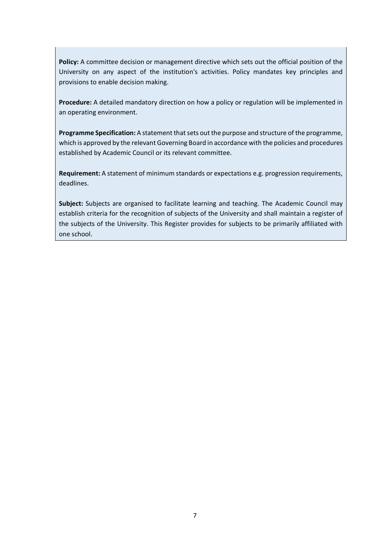**Policy:** A committee decision or management directive which sets out the official position of the University on any aspect of the institution's activities. Policy mandates key principles and provisions to enable decision making.

**Procedure:** A detailed mandatory direction on how a policy or regulation will be implemented in an operating environment.

**Programme Specification:** A statement that sets out the purpose and structure of the programme, which is approved by the relevant Governing Board in accordance with the policies and procedures established by Academic Council or its relevant committee.

**Requirement:** A statement of minimum standards or expectations e.g. progression requirements, deadlines.

**Subject:** Subjects are organised to facilitate learning and teaching. The Academic Council may establish criteria for the recognition of subjects of the University and shall maintain a register of the subjects of the University. This Register provides for subjects to be primarily affiliated with one school.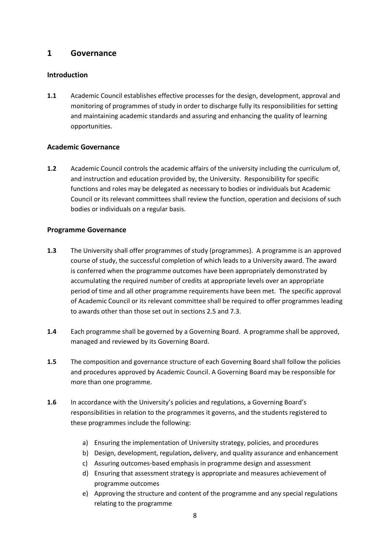## <span id="page-7-0"></span>**1 Governance**

#### <span id="page-7-1"></span>**Introduction**

**1.1** Academic Council establishes effective processes for the design, development, approval and monitoring of programmes of study in order to discharge fully its responsibilities for setting and maintaining academic standards and assuring and enhancing the quality of learning opportunities.

#### <span id="page-7-2"></span>**Academic Governance**

**1.2** Academic Council controls the academic affairs of the university including the curriculum of, and instruction and education provided by, the University. Responsibility for specific functions and roles may be delegated as necessary to bodies or individuals but Academic Council or its relevant committees shall review the function, operation and decisions of such bodies or individuals on a regular basis.

#### <span id="page-7-3"></span>**Programme Governance**

- **1.3** The University shall offer programmes of study (programmes). A programme is an approved course of study, the successful completion of which leads to a University award. The award is conferred when the programme outcomes have been appropriately demonstrated by accumulating the required number of credits at appropriate levels over an appropriate period of time and all other programme requirements have been met. The specific approval of Academic Council or its relevant committee shall be required to offer programmes leading to awards other than those set out in sections 2.5 and 7.3.
- **1.4** Each programme shall be governed by a Governing Board. A programme shall be approved, managed and reviewed by its Governing Board.
- **1.5** The composition and governance structure of each Governing Board shall follow the policies and procedures approved by Academic Council. A Governing Board may be responsible for more than one programme.
- **1.6** In accordance with the University's policies and regulations, a Governing Board's responsibilities in relation to the programmes it governs, and the students registered to these programmes include the following:
	- a) Ensuring the implementation of University strategy, policies, and procedures
	- b) Design, development, regulation**,** delivery, and quality assurance and enhancement
	- c) Assuring outcomes-based emphasis in programme design and assessment
	- d) Ensuring that assessment strategy is appropriate and measures achievement of programme outcomes
	- e) Approving the structure and content of the programme and any special regulations relating to the programme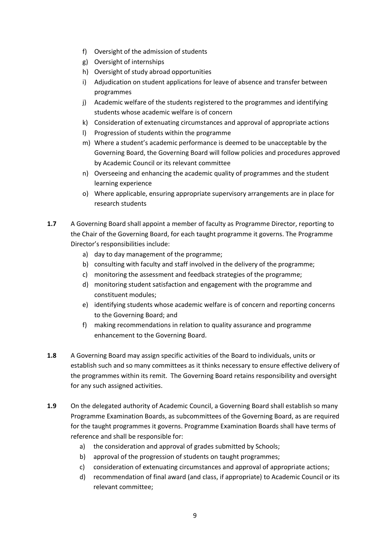- f) Oversight of the admission of students
- g) Oversight of internships
- h) Oversight of study abroad opportunities
- i) Adjudication on student applications for leave of absence and transfer between programmes
- j) Academic welfare of the students registered to the programmes and identifying students whose academic welfare is of concern
- k) Consideration of extenuating circumstances and approval of appropriate actions
- l) Progression of students within the programme
- m) Where a student's academic performance is deemed to be unacceptable by the Governing Board, the Governing Board will follow policies and procedures approved by Academic Council or its relevant committee
- n) Overseeing and enhancing the academic quality of programmes and the student learning experience
- o) Where applicable, ensuring appropriate supervisory arrangements are in place for research students
- **1.7** A Governing Board shall appoint a member of faculty as Programme Director, reporting to the Chair of the Governing Board, for each taught programme it governs. The Programme Director's responsibilities include:
	- a) day to day management of the programme;
	- b) consulting with faculty and staff involved in the delivery of the programme;
	- c) monitoring the assessment and feedback strategies of the programme;
	- d) monitoring student satisfaction and engagement with the programme and constituent modules;
	- e) identifying students whose academic welfare is of concern and reporting concerns to the Governing Board; and
	- f) making recommendations in relation to quality assurance and programme enhancement to the Governing Board.
- **1.8** A Governing Board may assign specific activities of the Board to individuals, units or establish such and so many committees as it thinks necessary to ensure effective delivery of the programmes within its remit. The Governing Board retains responsibility and oversight for any such assigned activities.
- **1.9** On the delegated authority of Academic Council, a Governing Board shall establish so many Programme Examination Boards, as subcommittees of the Governing Board, as are required for the taught programmes it governs. Programme Examination Boards shall have terms of reference and shall be responsible for:
	- a) the consideration and approval of grades submitted by Schools;
	- b) approval of the progression of students on taught programmes;
	- c) consideration of extenuating circumstances and approval of appropriate actions;
	- d) recommendation of final award (and class, if appropriate) to Academic Council or its relevant committee;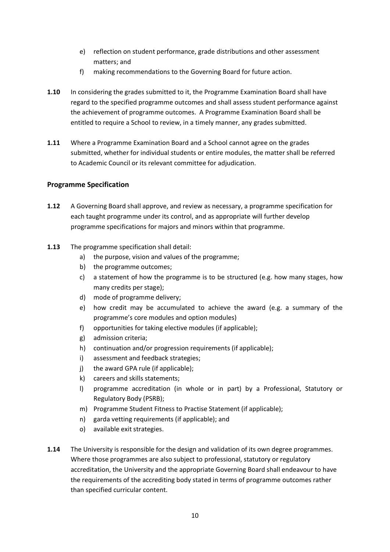- e) reflection on student performance, grade distributions and other assessment matters; and
- f) making recommendations to the Governing Board for future action.
- **1.10** In considering the grades submitted to it, the Programme Examination Board shall have regard to the specified programme outcomes and shall assess student performance against the achievement of programme outcomes. A Programme Examination Board shall be entitled to require a School to review, in a timely manner, any grades submitted.
- **1.11** Where a Programme Examination Board and a School cannot agree on the grades submitted, whether for individual students or entire modules, the matter shall be referred to Academic Council or its relevant committee for adjudication.

#### <span id="page-9-0"></span>**Programme Specification**

- **1.12** A Governing Board shall approve, and review as necessary, a programme specification for each taught programme under its control, and as appropriate will further develop programme specifications for majors and minors within that programme.
- **1.13** The programme specification shall detail:
	- a) the purpose, vision and values of the programme;
	- b) the programme outcomes;
	- c) a statement of how the programme is to be structured (e.g. how many stages, how many credits per stage);
	- d) mode of programme delivery;
	- e) how credit may be accumulated to achieve the award (e.g. a summary of the programme's core modules and option modules)
	- f) opportunities for taking elective modules (if applicable);
	- g) admission criteria;
	- h) continuation and/or progression requirements (if applicable);
	- i) assessment and feedback strategies;
	- j) the award GPA rule (if applicable);
	- k) careers and skills statements;
	- l) programme accreditation (in whole or in part) by a Professional, Statutory or Regulatory Body (PSRB);
	- m) Programme Student Fitness to Practise Statement (if applicable);
	- n) garda vetting requirements (if applicable); and
	- o) available exit strategies.
- **1.14** The University is responsible for the design and validation of its own degree programmes. Where those programmes are also subject to professional, statutory or regulatory accreditation, the University and the appropriate Governing Board shall endeavour to have the requirements of the accrediting body stated in terms of programme outcomes rather than specified curricular content.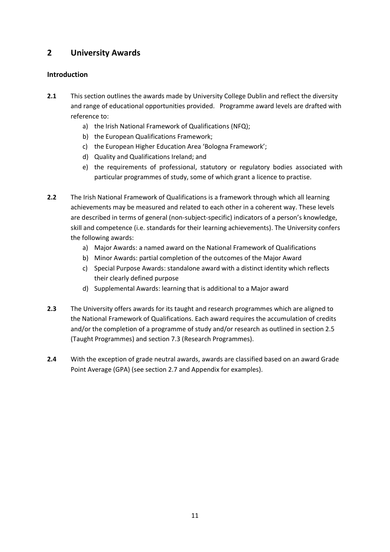## <span id="page-10-0"></span>**2 University Awards**

### <span id="page-10-1"></span>**Introduction**

- **2.1** This section outlines the awards made by University College Dublin and reflect the diversity and range of educational opportunities provided. Programme award levels are drafted with reference to:
	- a) the Irish National Framework of Qualifications (NFQ);
	- b) the European Qualifications Framework;
	- c) the European Higher Education Area 'Bologna Framework';
	- d) Quality and Qualifications Ireland; and
	- e) the requirements of professional, statutory or regulatory bodies associated with particular programmes of study, some of which grant a licence to practise.
- **2.2** The Irish National Framework of Qualifications is a framework through which all learning achievements may be measured and related to each other in a coherent way. These levels are described in terms of general (non-subject-specific) indicators of a person's knowledge, skill and competence (i.e. standards for their learning achievements). The University confers the following awards:
	- a) Major Awards: a named award on the National Framework of Qualifications
	- b) Minor Awards: partial completion of the outcomes of the Major Award
	- c) Special Purpose Awards: standalone award with a distinct identity which reflects their clearly defined purpose
	- d) Supplemental Awards: learning that is additional to a Major award
- **2.3** The University offers awards for its taught and research programmes which are aligned to the National Framework of Qualifications. Each award requires the accumulation of credits and/or the completion of a programme of study and/or research as outlined in section 2.5 (Taught Programmes) and section 7.3 (Research Programmes).
- **2.4** With the exception of grade neutral awards, awards are classified based on an award Grade Point Average (GPA) (see section 2.7 and Appendix for examples).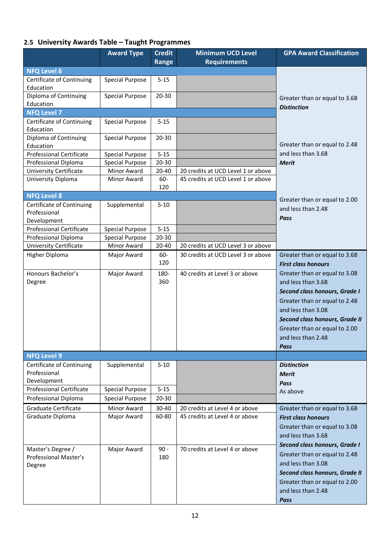# <span id="page-11-0"></span>**2.5 University Awards Table – Taught Programmes**

|                                                | <b>Award Type</b>                                | <b>Credit</b> | <b>Minimum UCD Level</b>           | <b>GPA Award Classification</b>                                 |
|------------------------------------------------|--------------------------------------------------|---------------|------------------------------------|-----------------------------------------------------------------|
|                                                |                                                  | Range         | <b>Requirements</b>                |                                                                 |
| <b>NFQ Level 6</b>                             |                                                  |               |                                    |                                                                 |
| Certificate of Continuing<br>Education         | <b>Special Purpose</b>                           | $5 - 15$      |                                    |                                                                 |
| Diploma of Continuing<br>Education             | <b>Special Purpose</b>                           | 20-30         |                                    | Greater than or equal to 3.68                                   |
| <b>NFQ Level 7</b>                             |                                                  |               |                                    | <b>Distinction</b>                                              |
| Certificate of Continuing                      | <b>Special Purpose</b>                           | $5 - 15$      |                                    |                                                                 |
| Education                                      |                                                  |               |                                    |                                                                 |
| Diploma of Continuing                          | <b>Special Purpose</b>                           | 20-30         |                                    |                                                                 |
| Education                                      |                                                  |               |                                    | Greater than or equal to 2.48                                   |
| <b>Professional Certificate</b>                | <b>Special Purpose</b>                           | $5 - 15$      |                                    | and less than 3.68                                              |
| Professional Diploma                           | <b>Special Purpose</b>                           | 20-30         |                                    | <b>Merit</b>                                                    |
| <b>University Certificate</b>                  | Minor Award                                      | 20-40         | 20 credits at UCD Level 1 or above |                                                                 |
| University Diploma                             | Minor Award                                      | 60-<br>120    | 45 credits at UCD Level 1 or above |                                                                 |
| <b>NFQ Level 8</b>                             |                                                  |               |                                    | Greater than or equal to 2.00                                   |
| Certificate of Continuing                      | Supplemental                                     | $5 - 10$      |                                    | and less than 2.48                                              |
| Professional                                   |                                                  |               |                                    | Pass                                                            |
| Development<br><b>Professional Certificate</b> |                                                  | $5 - 15$      |                                    |                                                                 |
| Professional Diploma                           | <b>Special Purpose</b><br><b>Special Purpose</b> | 20-30         |                                    |                                                                 |
| <b>University Certificate</b>                  | Minor Award                                      | 20-40         | 20 credits at UCD Level 3 or above |                                                                 |
| Higher Diploma                                 | Major Award                                      | 60-           | 30 credits at UCD Level 3 or above | Greater than or equal to 3.68                                   |
|                                                |                                                  | 120           |                                    | <b>First class honours</b>                                      |
| Honours Bachelor's                             | Major Award                                      | 180-          | 40 credits at Level 3 or above     | Greater than or equal to 3.08                                   |
| Degree                                         |                                                  | 360           |                                    | and less than 3.68                                              |
|                                                |                                                  |               |                                    | Second class honours, Grade I                                   |
|                                                |                                                  |               |                                    | Greater than or equal to 2.48                                   |
|                                                |                                                  |               |                                    | and less than 3.08                                              |
|                                                |                                                  |               |                                    | Second class honours, Grade II                                  |
|                                                |                                                  |               |                                    | Greater than or equal to 2.00                                   |
|                                                |                                                  |               |                                    | and less than 2.48                                              |
|                                                |                                                  |               |                                    | Pass                                                            |
| <b>NFQ Level 9</b>                             |                                                  |               |                                    |                                                                 |
| Certificate of Continuing                      | Supplemental                                     | $5 - 10$      |                                    | <b>Distinction</b>                                              |
| Professional                                   |                                                  |               |                                    | Merit                                                           |
| Development<br><b>Professional Certificate</b> | <b>Special Purpose</b>                           | $5 - 15$      |                                    | <b>Pass</b>                                                     |
| Professional Diploma                           | <b>Special Purpose</b>                           | 20-30         |                                    | As above                                                        |
| Graduate Certificate                           | Minor Award                                      | 30-40         | 20 credits at Level 4 or above     | Greater than or equal to 3.68                                   |
| Graduate Diploma                               | Major Award                                      | 60-80         | 45 credits at Level 4 or above     | <b>First class honours</b>                                      |
|                                                |                                                  |               |                                    | Greater than or equal to 3.08                                   |
|                                                |                                                  |               |                                    | and less than 3.68                                              |
|                                                |                                                  |               |                                    | Second class honours, Grade I                                   |
| Master's Degree /                              | Major Award                                      | $90 -$        | 70 credits at Level 4 or above     |                                                                 |
| Professional Master's                          |                                                  | 180           |                                    | Greater than or equal to 2.48<br>and less than 3.08             |
| Degree                                         |                                                  |               |                                    |                                                                 |
|                                                |                                                  |               |                                    | Second class honours, Grade II<br>Greater than or equal to 2.00 |
|                                                |                                                  |               |                                    | and less than 2.48                                              |
|                                                |                                                  |               |                                    | Pass                                                            |
|                                                |                                                  |               |                                    |                                                                 |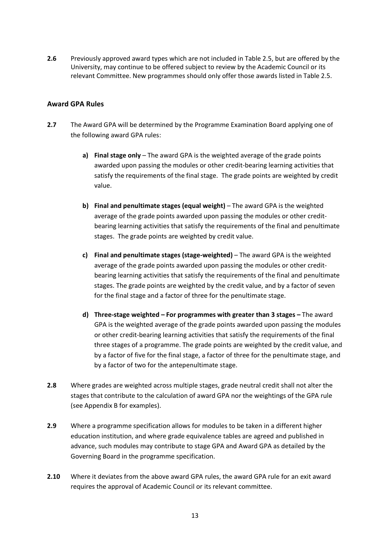**2.6** Previously approved award types which are not included in Table 2.5, but are offered by the University, may continue to be offered subject to review by the Academic Council or its relevant Committee. New programmes should only offer those awards listed in Table 2.5.

#### <span id="page-12-0"></span>**Award GPA Rules**

- **2.7** The Award GPA will be determined by the Programme Examination Board applying one of the following award GPA rules:
	- **a) Final stage only** The award GPA is the weighted average of the grade points awarded upon passing the modules or other credit-bearing learning activities that satisfy the requirements of the final stage. The grade points are weighted by credit value.
	- **b) Final and penultimate stages (equal weight)** The award GPA is the weighted average of the grade points awarded upon passing the modules or other creditbearing learning activities that satisfy the requirements of the final and penultimate stages. The grade points are weighted by credit value.
	- **c) Final and penultimate stages (stage-weighted)** The award GPA is the weighted average of the grade points awarded upon passing the modules or other creditbearing learning activities that satisfy the requirements of the final and penultimate stages. The grade points are weighted by the credit value, and by a factor of seven for the final stage and a factor of three for the penultimate stage.
	- **d) Three-stage weighted – For programmes with greater than 3 stages –** The award GPA is the weighted average of the grade points awarded upon passing the modules or other credit-bearing learning activities that satisfy the requirements of the final three stages of a programme. The grade points are weighted by the credit value, and by a factor of five for the final stage, a factor of three for the penultimate stage, and by a factor of two for the antepenultimate stage.
- **2.8** Where grades are weighted across multiple stages, grade neutral credit shall not alter the stages that contribute to the calculation of award GPA nor the weightings of the GPA rule (see Appendix B for examples).
- **2.9** Where a programme specification allows for modules to be taken in a different higher education institution, and where grade equivalence tables are agreed and published in advance, such modules may contribute to stage GPA and Award GPA as detailed by the Governing Board in the programme specification.
- **2.10** Where it deviates from the above award GPA rules, the award GPA rule for an exit award requires the approval of Academic Council or its relevant committee.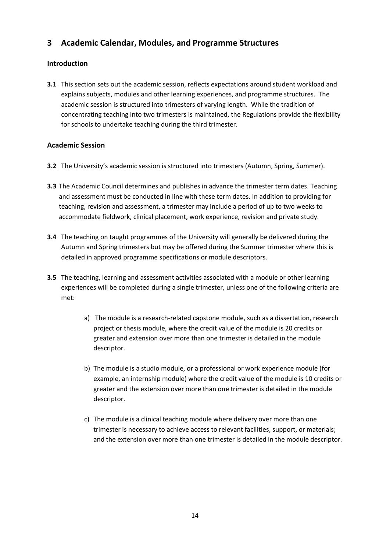# <span id="page-13-0"></span>**3 Academic Calendar, Modules, and Programme Structures**

### <span id="page-13-1"></span>**Introduction**

**3.1** This section sets out the academic session, reflects expectations around student workload and explains subjects, modules and other learning experiences, and programme structures. The academic session is structured into trimesters of varying length. While the tradition of concentrating teaching into two trimesters is maintained, the Regulations provide the flexibility for schools to undertake teaching during the third trimester.

#### <span id="page-13-2"></span>**Academic Session**

- **3.2** The University's academic session is structured into trimesters (Autumn, Spring, Summer).
- **3.3** The Academic Council determines and publishes in advance the trimester term dates. Teaching and assessment must be conducted in line with these term dates. In addition to providing for teaching, revision and assessment, a trimester may include a period of up to two weeks to accommodate fieldwork, clinical placement, work experience, revision and private study.
- **3.4** The teaching on taught programmes of the University will generally be delivered during the Autumn and Spring trimesters but may be offered during the Summer trimester where this is detailed in approved programme specifications or module descriptors.
- **3.5** The teaching, learning and assessment activities associated with a module or other learning experiences will be completed during a single trimester, unless one of the following criteria are met:
	- a) The module is a research-related capstone module, such as a dissertation, research project or thesis module, where the credit value of the module is 20 credits or greater and extension over more than one trimester is detailed in the module descriptor.
	- b) The module is a studio module, or a professional or work experience module (for example, an internship module) where the credit value of the module is 10 credits or greater and the extension over more than one trimester is detailed in the module descriptor.
	- c) The module is a clinical teaching module where delivery over more than one trimester is necessary to achieve access to relevant facilities, support, or materials; and the extension over more than one trimester is detailed in the module descriptor.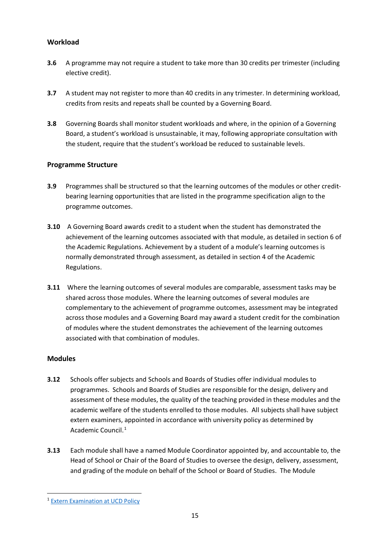### <span id="page-14-0"></span>**Workload**

- **3.6** A programme may not require a student to take more than 30 credits per trimester (including elective credit).
- **3.7** A student may not register to more than 40 credits in any trimester. In determining workload, credits from resits and repeats shall be counted by a Governing Board.
- **3.8** Governing Boards shall monitor student workloads and where, in the opinion of a Governing Board, a student's workload is unsustainable, it may, following appropriate consultation with the student, require that the student's workload be reduced to sustainable levels.

#### <span id="page-14-1"></span>**Programme Structure**

- **3.9** Programmes shall be structured so that the learning outcomes of the modules or other creditbearing learning opportunities that are listed in the programme specification align to the programme outcomes.
- **3.10** A Governing Board awards credit to a student when the student has demonstrated the achievement of the learning outcomes associated with that module, as detailed in section 6 of the Academic Regulations. Achievement by a student of a module's learning outcomes is normally demonstrated through assessment, as detailed in section 4 of the Academic Regulations.
- **3.11** Where the learning outcomes of several modules are comparable, assessment tasks may be shared across those modules. Where the learning outcomes of several modules are complementary to the achievement of programme outcomes, assessment may be integrated across those modules and a Governing Board may award a student credit for the combination of modules where the student demonstrates the achievement of the learning outcomes associated with that combination of modules.

#### <span id="page-14-2"></span>**Modules**

- **3.12** Schools offer subjects and Schools and Boards of Studies offer individual modules to programmes. Schools and Boards of Studies are responsible for the design, delivery and assessment of these modules, the quality of the teaching provided in these modules and the academic welfare of the students enrolled to those modules. All subjects shall have subject extern examiners, appointed in accordance with university policy as determined by Academic Council. [1](#page-14-3)
- **3.13** Each module shall have a named Module Coordinator appointed by, and accountable to, the Head of School or Chair of the Board of Studies to oversee the design, delivery, assessment, and grading of the module on behalf of the School or Board of Studies. The Module

<span id="page-14-3"></span><sup>1</sup> [Extern Examination at UCD Policy](https://sisweb.ucd.ie/usis/!W_HU_MENU.P_PUBLISH?p_tag=GD-DOCLAND&ID=183)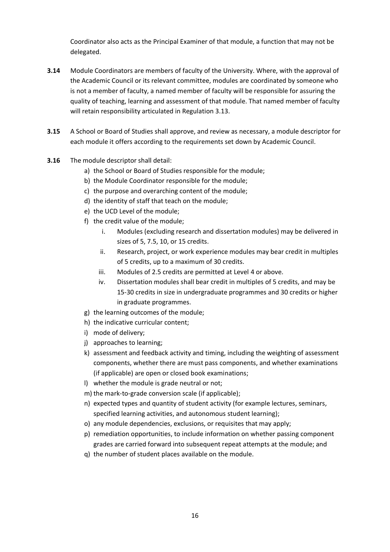Coordinator also acts as the Principal Examiner of that module, a function that may not be delegated.

- **3.14** Module Coordinators are members of faculty of the University. Where, with the approval of the Academic Council or its relevant committee, modules are coordinated by someone who is not a member of faculty, a named member of faculty will be responsible for assuring the quality of teaching, learning and assessment of that module. That named member of faculty will retain responsibility articulated in Regulation 3.13.
- **3.15** A School or Board of Studies shall approve, and review as necessary, a module descriptor for each module it offers according to the requirements set down by Academic Council.
- **3.16** The module descriptor shall detail:
	- a) the School or Board of Studies responsible for the module;
	- b) the Module Coordinator responsible for the module;
	- c) the purpose and overarching content of the module;
	- d) the identity of staff that teach on the module;
	- e) the UCD Level of the module;
	- f) the credit value of the module;
		- i. Modules (excluding research and dissertation modules) may be delivered in sizes of 5, 7.5, 10, or 15 credits.
		- ii. Research, project, or work experience modules may bear credit in multiples of 5 credits, up to a maximum of 30 credits.
		- iii. Modules of 2.5 credits are permitted at Level 4 or above.
		- iv. Dissertation modules shall bear credit in multiples of 5 credits, and may be 15-30 credits in size in undergraduate programmes and 30 credits or higher in graduate programmes.
	- g) the learning outcomes of the module;
	- h) the indicative curricular content;
	- i) mode of delivery;
	- j) approaches to learning;
	- k) assessment and feedback activity and timing, including the weighting of assessment components, whether there are must pass components, and whether examinations (if applicable) are open or closed book examinations;
	- l) whether the module is grade neutral or not;
	- m) the mark-to-grade conversion scale (if applicable);
	- n) expected types and quantity of student activity (for example lectures, seminars, specified learning activities, and autonomous student learning);
	- o) any module dependencies, exclusions, or requisites that may apply;
	- p) remediation opportunities, to include information on whether passing component grades are carried forward into subsequent repeat attempts at the module; and
	- q) the number of student places available on the module.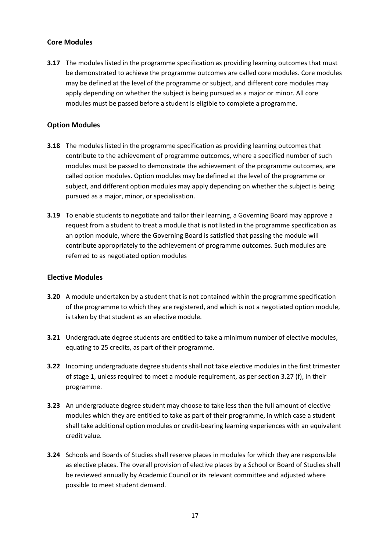#### <span id="page-16-0"></span>**Core Modules**

**3.17** The modules listed in the programme specification as providing learning outcomes that must be demonstrated to achieve the programme outcomes are called core modules. Core modules may be defined at the level of the programme or subject, and different core modules may apply depending on whether the subject is being pursued as a major or minor. All core modules must be passed before a student is eligible to complete a programme.

#### <span id="page-16-1"></span>**Option Modules**

- **3.18** The modules listed in the programme specification as providing learning outcomes that contribute to the achievement of programme outcomes, where a specified number of such modules must be passed to demonstrate the achievement of the programme outcomes, are called option modules. Option modules may be defined at the level of the programme or subject, and different option modules may apply depending on whether the subject is being pursued as a major, minor, or specialisation.
- **3.19** To enable students to negotiate and tailor their learning, a Governing Board may approve a request from a student to treat a module that is not listed in the programme specification as an option module, where the Governing Board is satisfied that passing the module will contribute appropriately to the achievement of programme outcomes. Such modules are referred to as negotiated option modules

#### <span id="page-16-2"></span>**Elective Modules**

- **3.20** A module undertaken by a student that is not contained within the programme specification of the programme to which they are registered, and which is not a negotiated option module, is taken by that student as an elective module.
- **3.21** Undergraduate degree students are entitled to take a minimum number of elective modules, equating to 25 credits, as part of their programme.
- **3.22** Incoming undergraduate degree students shall not take elective modules in the first trimester of stage 1, unless required to meet a module requirement, as per section 3.27 (f), in their programme.
- **3.23** An undergraduate degree student may choose to take less than the full amount of elective modules which they are entitled to take as part of their programme, in which case a student shall take additional option modules or credit-bearing learning experiences with an equivalent credit value.
- **3.24** Schools and Boards of Studies shall reserve places in modules for which they are responsible as elective places. The overall provision of elective places by a School or Board of Studies shall be reviewed annually by Academic Council or its relevant committee and adjusted where possible to meet student demand.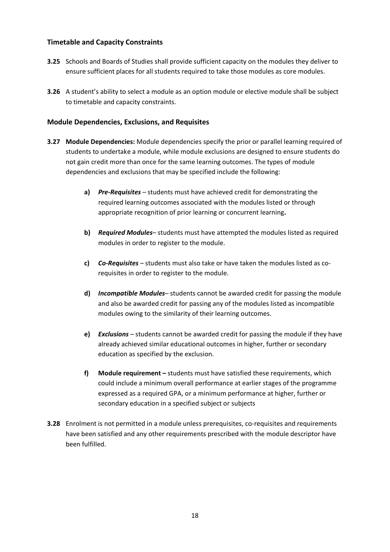#### <span id="page-17-0"></span>**Timetable and Capacity Constraints**

- **3.25** Schools and Boards of Studies shall provide sufficient capacity on the modules they deliver to ensure sufficient places for all students required to take those modules as core modules.
- **3.26** A student's ability to select a module as an option module or elective module shall be subject to timetable and capacity constraints.

#### <span id="page-17-1"></span>**Module Dependencies, Exclusions, and Requisites**

- **3.27 Module Dependencies:** Module dependencies specify the prior or parallel learning required of students to undertake a module, while module exclusions are designed to ensure students do not gain credit more than once for the same learning outcomes. The types of module dependencies and exclusions that may be specified include the following:
	- **a)** *Pre-Requisites* students must have achieved credit for demonstrating the required learning outcomes associated with the modules listed or through appropriate recognition of prior learning or concurrent learning**.**
	- **b)** *Required Modules* students must have attempted the modules listed as required modules in order to register to the module.
	- **c)** *Co-Requisites* students must also take or have taken the modules listed as corequisites in order to register to the module.
	- **d)** *Incompatible Modules* students cannot be awarded credit for passing the module and also be awarded credit for passing any of the modules listed as incompatible modules owing to the similarity of their learning outcomes.
	- **e)** *Exclusions*  students cannot be awarded credit for passing the module if they have already achieved similar educational outcomes in higher, further or secondary education as specified by the exclusion.
	- **f) Module requirement –** students must have satisfied these requirements, which could include a minimum overall performance at earlier stages of the programme expressed as a required GPA, or a minimum performance at higher, further or secondary education in a specified subject or subjects
- **3.28** Enrolment is not permitted in a module unless prerequisites, co-requisites and requirements have been satisfied and any other requirements prescribed with the module descriptor have been fulfilled.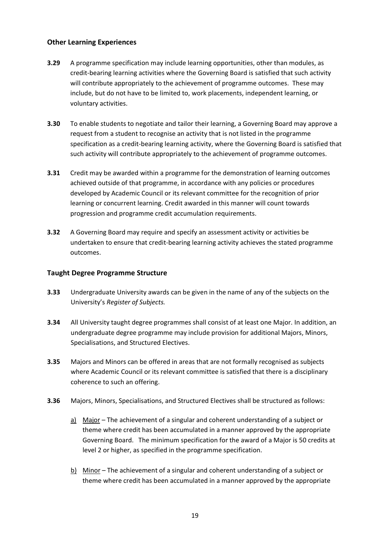#### <span id="page-18-0"></span>**Other Learning Experiences**

- **3.29** A programme specification may include learning opportunities, other than modules, as credit-bearing learning activities where the Governing Board is satisfied that such activity will contribute appropriately to the achievement of programme outcomes. These may include, but do not have to be limited to, work placements, independent learning, or voluntary activities.
- **3.30** To enable students to negotiate and tailor their learning, a Governing Board may approve a request from a student to recognise an activity that is not listed in the programme specification as a credit-bearing learning activity, where the Governing Board is satisfied that such activity will contribute appropriately to the achievement of programme outcomes.
- **3.31** Credit may be awarded within a programme for the demonstration of learning outcomes achieved outside of that programme, in accordance with any policies or procedures developed by Academic Council or its relevant committee for the recognition of prior learning or concurrent learning. Credit awarded in this manner will count towards progression and programme credit accumulation requirements.
- **3.32** A Governing Board may require and specify an assessment activity or activities be undertaken to ensure that credit-bearing learning activity achieves the stated programme outcomes.

#### <span id="page-18-1"></span>**Taught Degree Programme Structure**

- **3.33** Undergraduate University awards can be given in the name of any of the subjects on the University's *Register of Subjects.*
- **3.34** All University taught degree programmes shall consist of at least one Major. In addition, an undergraduate degree programme may include provision for additional Majors, Minors, Specialisations, and Structured Electives.
- **3.35** Majors and Minors can be offered in areas that are not formally recognised as subjects where Academic Council or its relevant committee is satisfied that there is a disciplinary coherence to such an offering.
- **3.36** Majors, Minors, Specialisations, and Structured Electives shall be structured as follows:
	- a) Major The achievement of a singular and coherent understanding of a subject or theme where credit has been accumulated in a manner approved by the appropriate Governing Board. The minimum specification for the award of a Major is 50 credits at level 2 or higher, as specified in the programme specification.
	- b) Minor The achievement of a singular and coherent understanding of a subject or theme where credit has been accumulated in a manner approved by the appropriate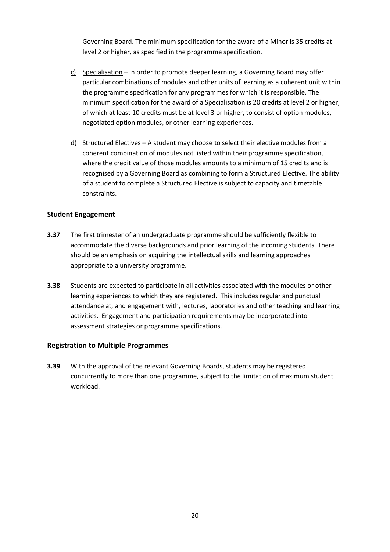Governing Board. The minimum specification for the award of a Minor is 35 credits at level 2 or higher, as specified in the programme specification.

- c) Specialisation In order to promote deeper learning, a Governing Board may offer particular combinations of modules and other units of learning as a coherent unit within the programme specification for any programmes for which it is responsible. The minimum specification for the award of a Specialisation is 20 credits at level 2 or higher, of which at least 10 credits must be at level 3 or higher, to consist of option modules, negotiated option modules, or other learning experiences.
- d) Structured Electives A student may choose to select their elective modules from a coherent combination of modules not listed within their programme specification, where the credit value of those modules amounts to a minimum of 15 credits and is recognised by a Governing Board as combining to form a Structured Elective. The ability of a student to complete a Structured Elective is subject to capacity and timetable constraints.

#### <span id="page-19-0"></span>**Student Engagement**

- **3.37** The first trimester of an undergraduate programme should be sufficiently flexible to accommodate the diverse backgrounds and prior learning of the incoming students. There should be an emphasis on acquiring the intellectual skills and learning approaches appropriate to a university programme.
- **3.38** Students are expected to participate in all activities associated with the modules or other learning experiences to which they are registered. This includes regular and punctual attendance at, and engagement with, lectures, laboratories and other teaching and learning activities. Engagement and participation requirements may be incorporated into assessment strategies or programme specifications.

#### <span id="page-19-1"></span>**Registration to Multiple Programmes**

**3.39** With the approval of the relevant Governing Boards, students may be registered concurrently to more than one programme, subject to the limitation of maximum student workload.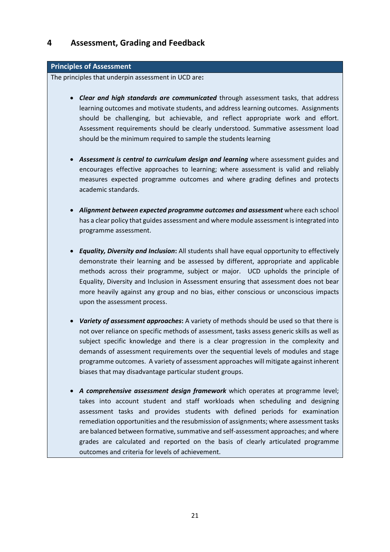## <span id="page-20-0"></span>**4 Assessment, Grading and Feedback**

#### **Principles of Assessment**

The principles that underpin assessment in UCD are**:**

- *Clear and high standards are communicated* through assessment tasks, that address learning outcomes and motivate students, and address learning outcomes. Assignments should be challenging, but achievable, and reflect appropriate work and effort. Assessment requirements should be clearly understood. Summative assessment load should be the minimum required to sample the students learning
- *Assessment is central to curriculum design and learning* where assessment guides and encourages effective approaches to learning; where assessment is valid and reliably measures expected programme outcomes and where grading defines and protects academic standards.
- *Alignment between expected programme outcomes and assessment* where each school has a clear policy that guides assessment and where module assessment is integrated into programme assessment.
- *Equality, Diversity and Inclusion***:** All students shall have equal opportunity to effectively demonstrate their learning and be assessed by different, appropriate and applicable methods across their programme, subject or major. UCD upholds the principle of Equality, Diversity and Inclusion in Assessment ensuring that assessment does not bear more heavily against any group and no bias, either conscious or unconscious impacts upon the assessment process.
- *Variety of assessment approaches***:** A variety of methods should be used so that there is not over reliance on specific methods of assessment, tasks assess generic skills as well as subject specific knowledge and there is a clear progression in the complexity and demands of assessment requirements over the sequential levels of modules and stage programme outcomes. A variety of assessment approaches will mitigate against inherent biases that may disadvantage particular student groups.
- *A comprehensive assessment design framework* which operates at programme level; takes into account student and staff workloads when scheduling and designing assessment tasks and provides students with defined periods for examination remediation opportunities and the resubmission of assignments; where assessment tasks are balanced between formative, summative and self-assessment approaches; and where grades are calculated and reported on the basis of clearly articulated programme outcomes and criteria for levels of achievement.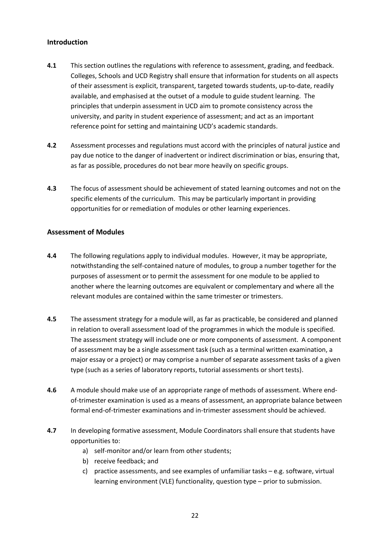#### <span id="page-21-0"></span>**Introduction**

- **4.1** This section outlines the regulations with reference to assessment, grading, and feedback. Colleges, Schools and UCD Registry shall ensure that information for students on all aspects of their assessment is explicit, transparent, targeted towards students, up-to-date, readily available, and emphasised at the outset of a module to guide student learning. The principles that underpin assessment in UCD aim to promote consistency across the university, and parity in student experience of assessment; and act as an important reference point for setting and maintaining UCD's academic standards.
- **4.2** Assessment processes and regulations must accord with the principles of natural justice and pay due notice to the danger of inadvertent or indirect discrimination or bias, ensuring that, as far as possible, procedures do not bear more heavily on specific groups.
- **4.3** The focus of assessment should be achievement of stated learning outcomes and not on the specific elements of the curriculum. This may be particularly important in providing opportunities for or remediation of modules or other learning experiences.

#### <span id="page-21-1"></span>**Assessment of Modules**

- **4.4** The following regulations apply to individual modules. However, it may be appropriate, notwithstanding the self-contained nature of modules, to group a number together for the purposes of assessment or to permit the assessment for one module to be applied to another where the learning outcomes are equivalent or complementary and where all the relevant modules are contained within the same trimester or trimesters.
- **4.5** The assessment strategy for a module will, as far as practicable, be considered and planned in relation to overall assessment load of the programmes in which the module is specified. The assessment strategy will include one or more components of assessment. A component of assessment may be a single assessment task (such as a terminal written examination, a major essay or a project) or may comprise a number of separate assessment tasks of a given type (such as a series of laboratory reports, tutorial assessments or short tests).
- **4.6** A module should make use of an appropriate range of methods of assessment. Where endof-trimester examination is used as a means of assessment, an appropriate balance between formal end-of-trimester examinations and in-trimester assessment should be achieved.
- **4.7** In developing formative assessment, Module Coordinators shall ensure that students have opportunities to:
	- a) self-monitor and/or learn from other students;
	- b) receive feedback; and
	- c) practice assessments, and see examples of unfamiliar tasks e.g. software, virtual learning environment (VLE) functionality, question type – prior to submission.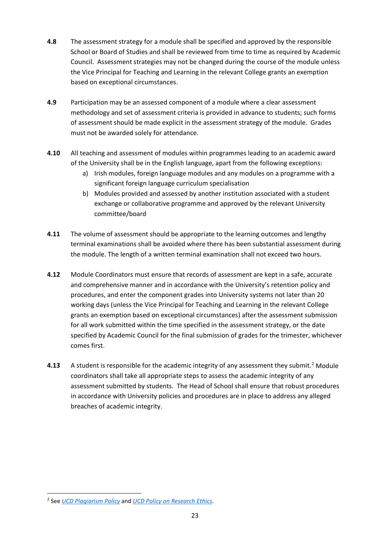- **4.8** The assessment strategy for a module shall be specified and approved by the responsible School or Board of Studies and shall be reviewed from time to time as required by Academic Council. Assessment strategies may not be changed during the course of the module unless the Vice Principal for Teaching and Learning in the relevant College grants an exemption based on exceptional circumstances.
- **4.9** Participation may be an assessed component of a module where a clear assessment methodology and set of assessment criteria is provided in advance to students; such forms of assessment should be made explicit in the assessment strategy of the module. Grades must not be awarded solely for attendance.
- **4.10** All teaching and assessment of modules within programmes leading to an academic award of the University shall be in the English language, apart from the following exceptions:
	- a) Irish modules, foreign language modules and any modules on a programme with a significant foreign language curriculum specialisation
	- b) Modules provided and assessed by another institution associated with a student exchange or collaborative programme and approved by the relevant University committee/board
- **4.11** The volume of assessment should be appropriate to the learning outcomes and lengthy terminal examinations shall be avoided where there has been substantial assessment during the module. The length of a written terminal examination shall not exceed two hours.
- **4.12** Module Coordinators must ensure that records of assessment are kept in a safe, accurate and comprehensive manner and in accordance with the University's retention policy and procedures, and enter the component grades into University systems not later than 20 working days (unless the Vice Principal for Teaching and Learning in the relevant College grants an exemption based on exceptional circumstances) after the assessment submission for all work submitted within the time specified in the assessment strategy, or the date specified by Academic Council for the final submission of grades for the trimester, whichever comes first.
- **4.13** A student is responsible for the academic integrity of any assessment they submit.<sup>[2](#page-22-0)</sup> Module coordinators shall take all appropriate steps to assess the academic integrity of any assessment submitted by students. The Head of School shall ensure that robust procedures in accordance with University policies and procedures are in place to address any alleged breaches of academic integrity.

<span id="page-22-0"></span><sup>2</sup> See *[UCD Plagiarism Policy](http://www.ucd.ie/governance/resources/policypage-plagiarismpolicy/)* and *[UCD Policy on Research Ethics](https://sisweb.ucd.ie/usis/!W_HU_MENU.P_PUBLISH?p_tag=GD-DOCLAND&ID=218)*.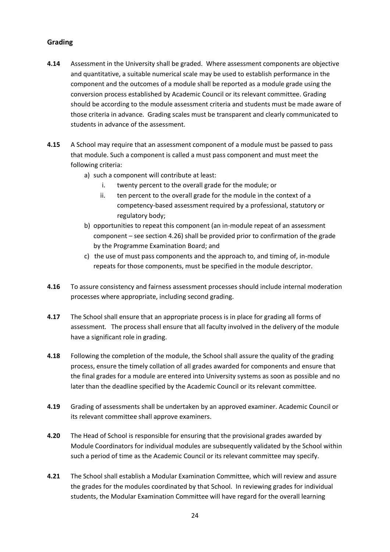#### <span id="page-23-0"></span>**Grading**

- **4.14** Assessment in the University shall be graded. Where assessment components are objective and quantitative, a suitable numerical scale may be used to establish performance in the component and the outcomes of a module shall be reported as a module grade using the conversion process established by Academic Council or its relevant committee. Grading should be according to the module assessment criteria and students must be made aware of those criteria in advance. Grading scales must be transparent and clearly communicated to students in advance of the assessment.
- **4.15** A School may require that an assessment component of a module must be passed to pass that module. Such a component is called a must pass component and must meet the following criteria:
	- a) such a component will contribute at least:
		- i. twenty percent to the overall grade for the module; or
		- ii. ten percent to the overall grade for the module in the context of a competency-based assessment required by a professional, statutory or regulatory body;
	- b) opportunities to repeat this component (an in-module repeat of an assessment component – see section 4.26) shall be provided prior to confirmation of the grade by the Programme Examination Board; and
	- c) the use of must pass components and the approach to, and timing of, in-module repeats for those components, must be specified in the module descriptor.
- **4.16** To assure consistency and fairness assessment processes should include internal moderation processes where appropriate, including second grading.
- **4.17** The School shall ensure that an appropriate process is in place for grading all forms of assessment. The process shall ensure that all faculty involved in the delivery of the module have a significant role in grading.
- **4.18** Following the completion of the module, the School shall assure the quality of the grading process, ensure the timely collation of all grades awarded for components and ensure that the final grades for a module are entered into University systems as soon as possible and no later than the deadline specified by the Academic Council or its relevant committee.
- **4.19** Grading of assessments shall be undertaken by an approved examiner. Academic Council or its relevant committee shall approve examiners.
- **4.20** The Head of School is responsible for ensuring that the provisional grades awarded by Module Coordinators for individual modules are subsequently validated by the School within such a period of time as the Academic Council or its relevant committee may specify.
- **4.21** The School shall establish a Modular Examination Committee, which will review and assure the grades for the modules coordinated by that School. In reviewing grades for individual students, the Modular Examination Committee will have regard for the overall learning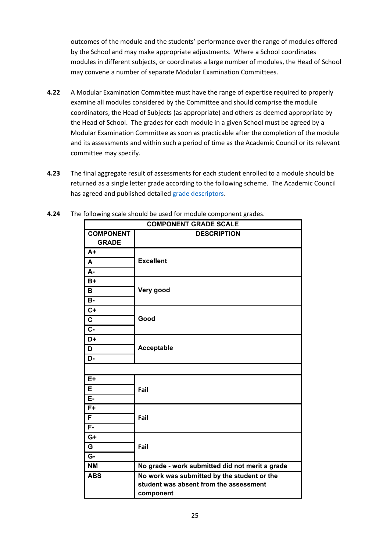outcomes of the module and the students' performance over the range of modules offered by the School and may make appropriate adjustments. Where a School coordinates modules in different subjects, or coordinates a large number of modules, the Head of School may convene a number of separate Modular Examination Committees.

- **4.22** A Modular Examination Committee must have the range of expertise required to properly examine all modules considered by the Committee and should comprise the module coordinators, the Head of Subjects (as appropriate) and others as deemed appropriate by the Head of School. The grades for each module in a given School must be agreed by a Modular Examination Committee as soon as practicable after the completion of the module and its assessments and within such a period of time as the Academic Council or its relevant committee may specify.
- **4.23** The final aggregate result of assessments for each student enrolled to a module should be returned as a single letter grade according to the following scheme. The Academic Council has agreed and published detailed [grade descriptors.](https://www.ucd.ie/registry/t4media/UCD%20Module%20Grade%20Descriptors.pdf)

| <b>COMPONENT GRADE SCALE</b>     |                                                 |  |  |
|----------------------------------|-------------------------------------------------|--|--|
| <b>COMPONENT</b><br><b>GRADE</b> | <b>DESCRIPTION</b>                              |  |  |
| $A+$                             |                                                 |  |  |
| A                                | <b>Excellent</b>                                |  |  |
| А-                               |                                                 |  |  |
| $B+$                             |                                                 |  |  |
| B                                | Very good                                       |  |  |
| <b>B-</b>                        |                                                 |  |  |
| $\overline{C}$                   |                                                 |  |  |
| $\mathbf c$                      | Good                                            |  |  |
| $\overline{c}$                   |                                                 |  |  |
| D+                               |                                                 |  |  |
| Acceptable<br>D                  |                                                 |  |  |
| D-                               |                                                 |  |  |
|                                  |                                                 |  |  |
| $E+$                             |                                                 |  |  |
| Е                                | Fail                                            |  |  |
| E-                               |                                                 |  |  |
| $\overline{F+}$                  |                                                 |  |  |
| F                                | Fail                                            |  |  |
| $F -$                            |                                                 |  |  |
| $G+$                             |                                                 |  |  |
| G                                | Fail                                            |  |  |
| G-                               |                                                 |  |  |
| <b>NM</b>                        | No grade - work submitted did not merit a grade |  |  |
| <b>ABS</b>                       | No work was submitted by the student or the     |  |  |
|                                  | student was absent from the assessment          |  |  |
|                                  | component                                       |  |  |

**4.24** The following scale should be used for module component grades.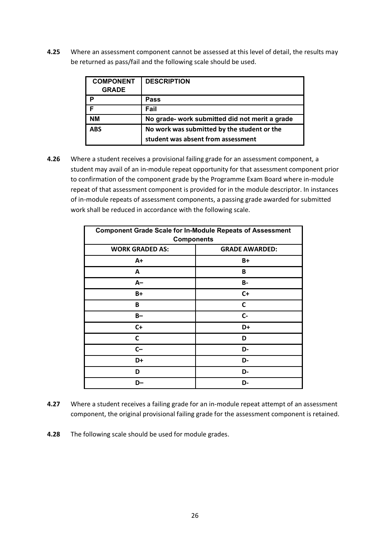**4.25** Where an assessment component cannot be assessed at this level of detail, the results may be returned as pass/fail and the following scale should be used.

| <b>COMPONENT</b><br><b>GRADE</b> | <b>DESCRIPTION</b>                             |
|----------------------------------|------------------------------------------------|
| P                                | Pass                                           |
| F                                | Fail                                           |
| <b>NM</b>                        | No grade- work submitted did not merit a grade |
| <b>ABS</b>                       | No work was submitted by the student or the    |
|                                  | student was absent from assessment             |

**4.26** Where a student receives a provisional failing grade for an assessment component, a student may avail of an in-module repeat opportunity for that assessment component prior to confirmation of the component grade by the Programme Exam Board where in-module repeat of that assessment component is provided for in the module descriptor. In instances of in-module repeats of assessment components, a passing grade awarded for submitted work shall be reduced in accordance with the following scale.

| <b>Component Grade Scale for In-Module Repeats of Assessment</b><br><b>Components</b> |                       |  |
|---------------------------------------------------------------------------------------|-----------------------|--|
| <b>WORK GRADED AS:</b>                                                                | <b>GRADE AWARDED:</b> |  |
| A+                                                                                    | $B+$                  |  |
| A                                                                                     | B                     |  |
| $A-$                                                                                  | <b>B-</b>             |  |
| B+                                                                                    | $C+$                  |  |
| В                                                                                     | C                     |  |
| $B -$                                                                                 | C-                    |  |
| $C+$                                                                                  | D+                    |  |
| C                                                                                     | D                     |  |
| $C-$                                                                                  | D-                    |  |
| D+                                                                                    | D-                    |  |
| D                                                                                     | D-                    |  |
| D-                                                                                    | D-                    |  |

- **4.27** Where a student receives a failing grade for an in-module repeat attempt of an assessment component, the original provisional failing grade for the assessment component is retained.
- **4.28** The following scale should be used for module grades.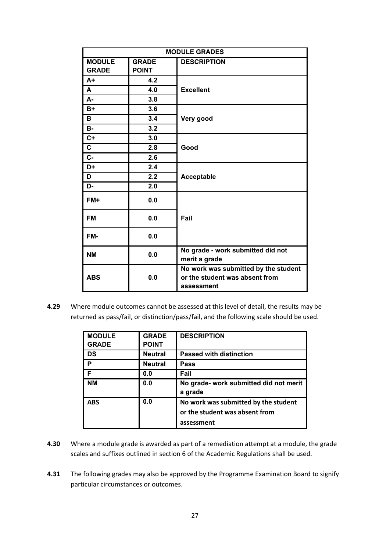| <b>MODULE GRADES</b> |              |                                                                                      |  |
|----------------------|--------------|--------------------------------------------------------------------------------------|--|
| <b>MODULE</b>        | <b>GRADE</b> | <b>DESCRIPTION</b>                                                                   |  |
| <b>GRADE</b>         | <b>POINT</b> |                                                                                      |  |
| $A+$                 | 4.2          |                                                                                      |  |
| A                    | 4.0          | <b>Excellent</b>                                                                     |  |
| А-                   | 3.8          |                                                                                      |  |
| $B+$                 | 3.6          |                                                                                      |  |
| в                    | 3.4          | Very good                                                                            |  |
| <b>B-</b>            | 3.2          |                                                                                      |  |
| $C+$                 | 3.0          |                                                                                      |  |
| C                    | 2.8          | Good                                                                                 |  |
| C-                   | 2.6          |                                                                                      |  |
| D+                   | 2.4          |                                                                                      |  |
| D                    | 2.2          | Acceptable                                                                           |  |
| D-                   | 2.0          |                                                                                      |  |
| FM+                  | 0.0          |                                                                                      |  |
| <b>FM</b>            | 0.0          | Fail                                                                                 |  |
| FM-                  | 0.0          |                                                                                      |  |
| <b>NM</b>            | 0.0          | No grade - work submitted did not<br>merit a grade                                   |  |
| <b>ABS</b>           | 0.0          | No work was submitted by the student<br>or the student was absent from<br>assessment |  |

**4.29** Where module outcomes cannot be assessed at this level of detail, the results may be returned as pass/fail, or distinction/pass/fail, and the following scale should be used.

| <b>MODULE</b> | <b>GRADE</b>   | <b>DESCRIPTION</b>                                |
|---------------|----------------|---------------------------------------------------|
| <b>GRADE</b>  | <b>POINT</b>   |                                                   |
| <b>DS</b>     | <b>Neutral</b> | <b>Passed with distinction</b>                    |
| P             | <b>Neutral</b> | Pass                                              |
| F             | 0.0            | Fail                                              |
| <b>NM</b>     | 0.0            | No grade- work submitted did not merit<br>a grade |
| <b>ABS</b>    | 0.0            | No work was submitted by the student              |
|               |                | or the student was absent from                    |
|               |                | assessment                                        |

- **4.30** Where a module grade is awarded as part of a remediation attempt at a module, the grade scales and suffixes outlined in section 6 of the Academic Regulations shall be used.
- **4.31** The following grades may also be approved by the Programme Examination Board to signify particular circumstances or outcomes.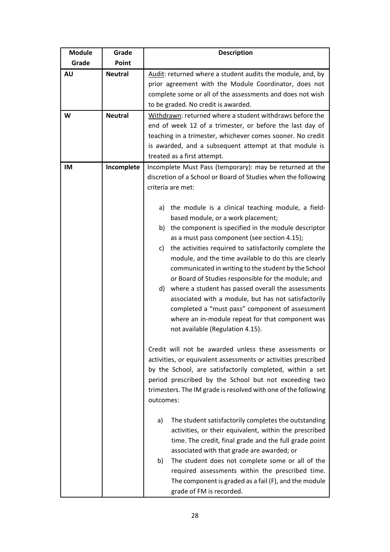| <b>Module</b> | Grade          | <b>Description</b>                                                                                                                                                                                                                                                                                                                                                                                                                                                                                                                                                                                                                                                                                           |  |  |
|---------------|----------------|--------------------------------------------------------------------------------------------------------------------------------------------------------------------------------------------------------------------------------------------------------------------------------------------------------------------------------------------------------------------------------------------------------------------------------------------------------------------------------------------------------------------------------------------------------------------------------------------------------------------------------------------------------------------------------------------------------------|--|--|
| Grade         | Point          |                                                                                                                                                                                                                                                                                                                                                                                                                                                                                                                                                                                                                                                                                                              |  |  |
| <b>AU</b>     | <b>Neutral</b> | Audit: returned where a student audits the module, and, by<br>prior agreement with the Module Coordinator, does not<br>complete some or all of the assessments and does not wish<br>to be graded. No credit is awarded.                                                                                                                                                                                                                                                                                                                                                                                                                                                                                      |  |  |
| W             | <b>Neutral</b> | Withdrawn: returned where a student withdraws before the                                                                                                                                                                                                                                                                                                                                                                                                                                                                                                                                                                                                                                                     |  |  |
|               |                | end of week 12 of a trimester, or before the last day of<br>teaching in a trimester, whichever comes sooner. No credit<br>is awarded, and a subsequent attempt at that module is<br>treated as a first attempt.                                                                                                                                                                                                                                                                                                                                                                                                                                                                                              |  |  |
| <b>IM</b>     | Incomplete     | Incomplete Must Pass (temporary): may be returned at the<br>discretion of a School or Board of Studies when the following<br>criteria are met:                                                                                                                                                                                                                                                                                                                                                                                                                                                                                                                                                               |  |  |
|               |                | the module is a clinical teaching module, a field-<br>a)<br>based module, or a work placement;<br>b) the component is specified in the module descriptor<br>as a must pass component (see section 4.15);<br>the activities required to satisfactorily complete the<br>c)<br>module, and the time available to do this are clearly<br>communicated in writing to the student by the School<br>or Board of Studies responsible for the module; and<br>d) where a student has passed overall the assessments<br>associated with a module, but has not satisfactorily<br>completed a "must pass" component of assessment<br>where an in-module repeat for that component was<br>not available (Regulation 4.15). |  |  |
|               |                | Credit will not be awarded unless these assessments or<br>activities, or equivalent assessments or activities prescribed<br>by the School, are satisfactorily completed, within a set<br>period prescribed by the School but not exceeding two<br>trimesters. The IM grade is resolved with one of the following<br>outcomes:<br>The student satisfactorily completes the outstanding<br>a)<br>activities, or their equivalent, within the prescribed<br>time. The credit, final grade and the full grade point<br>associated with that grade are awarded; or<br>The student does not complete some or all of the<br>b)                                                                                      |  |  |
|               |                | required assessments within the prescribed time.<br>The component is graded as a fail (F), and the module<br>grade of FM is recorded.                                                                                                                                                                                                                                                                                                                                                                                                                                                                                                                                                                        |  |  |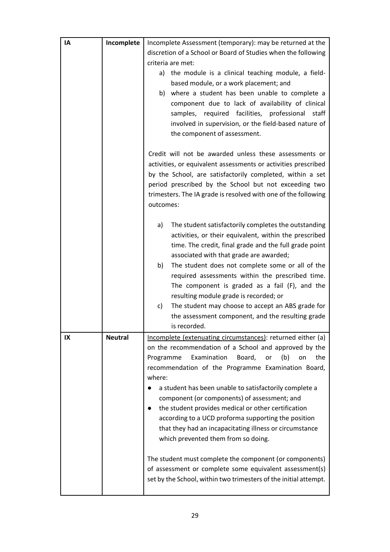| IA | Incomplete     | Incomplete Assessment (temporary): may be returned at the                                                    |
|----|----------------|--------------------------------------------------------------------------------------------------------------|
|    |                | discretion of a School or Board of Studies when the following                                                |
|    |                | criteria are met:                                                                                            |
|    |                | the module is a clinical teaching module, a field-<br>a)                                                     |
|    |                | based module, or a work placement; and                                                                       |
|    |                | b) where a student has been unable to complete a                                                             |
|    |                | component due to lack of availability of clinical                                                            |
|    |                | samples, required facilities, professional staff                                                             |
|    |                | involved in supervision, or the field-based nature of                                                        |
|    |                | the component of assessment.                                                                                 |
|    |                | Credit will not be awarded unless these assessments or                                                       |
|    |                | activities, or equivalent assessments or activities prescribed                                               |
|    |                | by the School, are satisfactorily completed, within a set                                                    |
|    |                | period prescribed by the School but not exceeding two                                                        |
|    |                | trimesters. The IA grade is resolved with one of the following                                               |
|    |                | outcomes:                                                                                                    |
|    |                | The student satisfactorily completes the outstanding<br>a)                                                   |
|    |                | activities, or their equivalent, within the prescribed                                                       |
|    |                | time. The credit, final grade and the full grade point                                                       |
|    |                | associated with that grade are awarded;                                                                      |
|    |                | b)<br>The student does not complete some or all of the                                                       |
|    |                | required assessments within the prescribed time.                                                             |
|    |                | The component is graded as a fail (F), and the                                                               |
|    |                | resulting module grade is recorded; or                                                                       |
|    |                | c)<br>The student may choose to accept an ABS grade for<br>the assessment component, and the resulting grade |
|    |                | is recorded.                                                                                                 |
| IX | <b>Neutral</b> | Incomplete (extenuating circumstances): returned either (a)                                                  |
|    |                | on the recommendation of a School and approved by the                                                        |
|    |                | Examination<br>Board,<br>(b)<br>the<br>Programme<br>or<br>on                                                 |
|    |                | recommendation of the Programme Examination Board,                                                           |
|    |                | where:                                                                                                       |
|    |                | a student has been unable to satisfactorily complete a                                                       |
|    |                | component (or components) of assessment; and                                                                 |
|    |                | the student provides medical or other certification                                                          |
|    |                | according to a UCD proforma supporting the position                                                          |
|    |                | that they had an incapacitating illness or circumstance                                                      |
|    |                | which prevented them from so doing.                                                                          |
|    |                | The student must complete the component (or components)                                                      |
|    |                | of assessment or complete some equivalent assessment(s)                                                      |
|    |                | set by the School, within two trimesters of the initial attempt.                                             |
|    |                |                                                                                                              |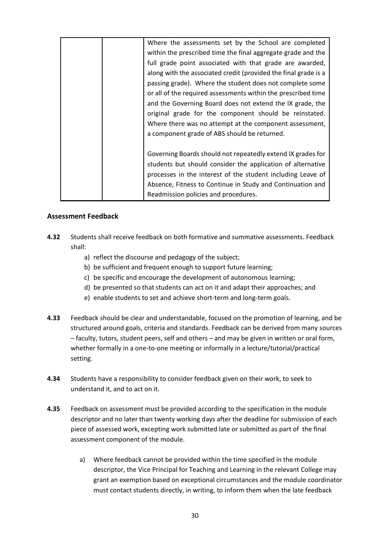| Where the assessments set by the School are completed           |
|-----------------------------------------------------------------|
| within the prescribed time the final aggregate grade and the    |
| full grade point associated with that grade are awarded,        |
| along with the associated credit (provided the final grade is a |
| passing grade). Where the student does not complete some        |
| or all of the required assessments within the prescribed time   |
| and the Governing Board does not extend the IX grade, the       |
| original grade for the component should be reinstated.          |
| Where there was no attempt at the component assessment,         |
| a component grade of ABS should be returned.                    |
|                                                                 |
| Governing Boards should not repeatedly extend IX grades for     |
| students but should consider the application of alternative     |
| processes in the interest of the student including Leave of     |
| Absence, Fitness to Continue in Study and Continuation and      |
| Readmission policies and procedures.                            |

#### <span id="page-29-0"></span>**Assessment Feedback**

- **4.32** Students shall receive feedback on both formative and summative assessments. Feedback shall:
	- a) reflect the discourse and pedagogy of the subject;
	- b) be sufficient and frequent enough to support future learning;
	- c) be specific and encourage the development of autonomous learning;
	- d) be presented so that students can act on it and adapt their approaches; and
	- e) enable students to set and achieve short-term and long-term goals.
- **4.33** Feedback should be clear and understandable, focused on the promotion of learning, and be structured around goals, criteria and standards. Feedback can be derived from many sources – faculty, tutors, student peers, self and others – and may be given in written or oral form, whether formally in a one-to-one meeting or informally in a lecture/tutorial/practical setting.
- **4.34** Students have a responsibility to consider feedback given on their work, to seek to understand it, and to act on it.
- **4.35** Feedback on assessment must be provided according to the specification in the module descriptor and no later than twenty working days after the deadline for submission of each piece of assessed work, excepting work submitted late or submitted as part of the final assessment component of the module.
	- a) Where feedback cannot be provided within the time specified in the module descriptor, the Vice Principal for Teaching and Learning in the relevant College may grant an exemption based on exceptional circumstances and the module coordinator must contact students directly, in writing, to inform them when the late feedback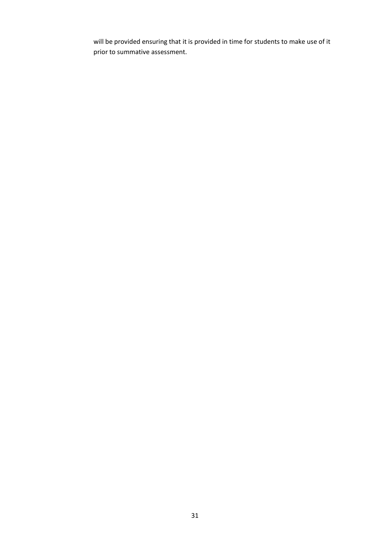will be provided ensuring that it is provided in time for students to make use of it prior to summative assessment.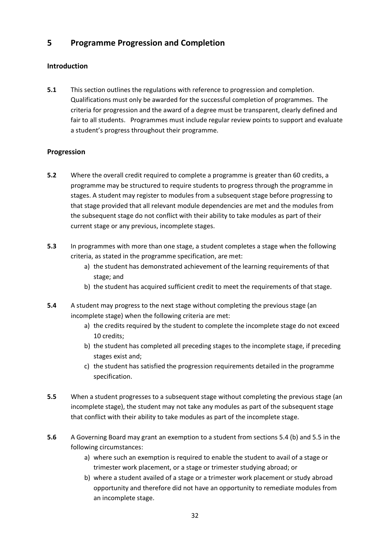# <span id="page-31-0"></span>**5 Programme Progression and Completion**

## <span id="page-31-1"></span>**Introduction**

**5.1** This section outlines the regulations with reference to progression and completion. Qualifications must only be awarded for the successful completion of programmes. The criteria for progression and the award of a degree must be transparent, clearly defined and fair to all students. Programmes must include regular review points to support and evaluate a student's progress throughout their programme.

#### <span id="page-31-2"></span>**Progression**

- **5.2** Where the overall credit required to complete a programme is greater than 60 credits, a programme may be structured to require students to progress through the programme in stages. A student may register to modules from a subsequent stage before progressing to that stage provided that all relevant module dependencies are met and the modules from the subsequent stage do not conflict with their ability to take modules as part of their current stage or any previous, incomplete stages.
- **5.3** In programmes with more than one stage, a student completes a stage when the following criteria, as stated in the programme specification, are met:
	- a) the student has demonstrated achievement of the learning requirements of that stage; and
	- b) the student has acquired sufficient credit to meet the requirements of that stage.
- **5.4** A student may progress to the next stage without completing the previous stage (an incomplete stage) when the following criteria are met:
	- a) the credits required by the student to complete the incomplete stage do not exceed 10 credits;
	- b) the student has completed all preceding stages to the incomplete stage, if preceding stages exist and;
	- c) the student has satisfied the progression requirements detailed in the programme specification.
- **5.5** When a student progresses to a subsequent stage without completing the previous stage (an incomplete stage), the student may not take any modules as part of the subsequent stage that conflict with their ability to take modules as part of the incomplete stage.
- **5.6** A Governing Board may grant an exemption to a student from sections 5.4 (b) and 5.5 in the following circumstances:
	- a) where such an exemption is required to enable the student to avail of a stage or trimester work placement, or a stage or trimester studying abroad; or
	- b) where a student availed of a stage or a trimester work placement or study abroad opportunity and therefore did not have an opportunity to remediate modules from an incomplete stage.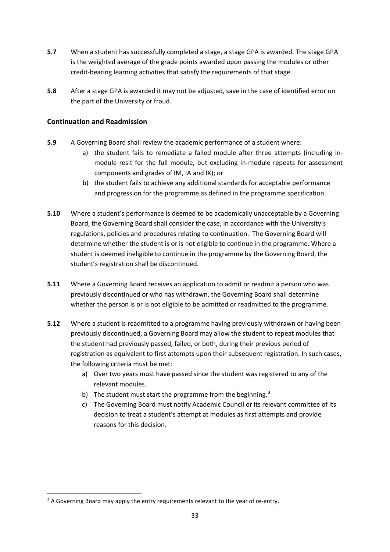- **5.7** When a student has successfully completed a stage, a stage GPA is awarded. The stage GPA is the weighted average of the grade points awarded upon passing the modules or other credit-bearing learning activities that satisfy the requirements of that stage.
- **5.8** After a stage GPA is awarded it may not be adjusted, save in the case of identified error on the part of the University or fraud.

#### <span id="page-32-0"></span>**Continuation and Readmission**

- **5.9** A Governing Board shall review the academic performance of a student where:
	- a) the student fails to remediate a failed module after three attempts (including inmodule resit for the full module, but excluding in-module repeats for assessment components and grades of IM, IA and IX); or
	- b) the student fails to achieve any additional standards for acceptable performance and progression for the programme as defined in the programme specification.
- **5.10** Where a student's performance is deemed to be academically unacceptable by a Governing Board, the Governing Board shall consider the case, in accordance with the University's regulations, policies and procedures relating to continuation. The Governing Board will determine whether the student is or is not eligible to continue in the programme. Where a student is deemed ineligible to continue in the programme by the Governing Board, the student's registration shall be discontinued.
- **5.11** Where a Governing Board receives an application to admit or readmit a person who was previously discontinued or who has withdrawn, the Governing Board shall determine whether the person is or is not eligible to be admitted or readmitted to the programme.
- **5.12** Where a student is readmitted to a programme having previously withdrawn or having been previously discontinued, a Governing Board may allow the student to repeat modules that the student had previously passed, failed, or both, during their previous period of registration as equivalent to first attempts upon their subsequent registration. In such cases, the following criteria must be met:
	- a) Over two years must have passed since the student was registered to any of the relevant modules.
	- b) The student must start the programme from the beginning.<sup>[3](#page-32-1)</sup>
	- c) The Governing Board must notify Academic Council or its relevant committee of its decision to treat a student's attempt at modules as first attempts and provide reasons for this decision.

<span id="page-32-1"></span><sup>&</sup>lt;sup>3</sup> A Governing Board may apply the entry requirements relevant to the year of re-entry.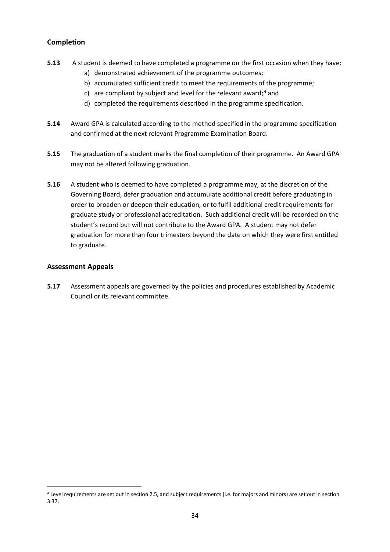#### <span id="page-33-0"></span>**Completion**

- **5.13** A student is deemed to have completed a programme on the first occasion when they have:
	- a) demonstrated achievement of the programme outcomes;
	- b) accumulated sufficient credit to meet the requirements of the programme;
	- c) are compliant by subject and level for the relevant award;<sup>[4](#page-33-2)</sup> and
	- d) completed the requirements described in the programme specification.
- **5.14** Award GPA is calculated according to the method specified in the programme specification and confirmed at the next relevant Programme Examination Board.
- **5.15** The graduation of a student marks the final completion of their programme. An Award GPA may not be altered following graduation.
- **5.16** A student who is deemed to have completed a programme may, at the discretion of the Governing Board, defer graduation and accumulate additional credit before graduating in order to broaden or deepen their education, or to fulfil additional credit requirements for graduate study or professional accreditation. Such additional credit will be recorded on the student's record but will not contribute to the Award GPA. A student may not defer graduation for more than four trimesters beyond the date on which they were first entitled to graduate.

#### <span id="page-33-1"></span>**Assessment Appeals**

**5.17** Assessment appeals are governed by the policies and procedures established by Academic Council or its relevant committee.

<span id="page-33-2"></span><sup>4</sup> Level requirements are set out in section 2.5, and subject requirements (i.e. for majors and minors) are set out in section 3.37.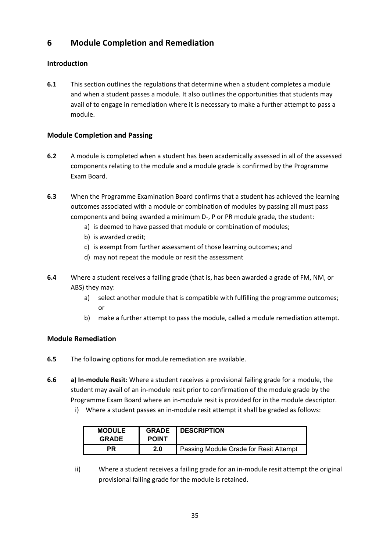# <span id="page-34-0"></span>**6 Module Completion and Remediation**

## <span id="page-34-1"></span>**Introduction**

**6.1** This section outlines the regulations that determine when a student completes a module and when a student passes a module. It also outlines the opportunities that students may avail of to engage in remediation where it is necessary to make a further attempt to pass a module.

#### <span id="page-34-2"></span>**Module Completion and Passing**

- **6.2** A module is completed when a student has been academically assessed in all of the assessed components relating to the module and a module grade is confirmed by the Programme Exam Board.
- **6.3** When the Programme Examination Board confirms that a student has achieved the learning outcomes associated with a module or combination of modules by passing all must pass components and being awarded a minimum D-, P or PR module grade, the student:
	- a) is deemed to have passed that module or combination of modules;
	- b) is awarded credit;
	- c) is exempt from further assessment of those learning outcomes; and
	- d) may not repeat the module or resit the assessment
- **6.4** Where a student receives a failing grade (that is, has been awarded a grade of FM, NM, or ABS) they may:
	- a) select another module that is compatible with fulfilling the programme outcomes; or
	- b) make a further attempt to pass the module, called a module remediation attempt.

#### <span id="page-34-3"></span>**Module Remediation**

- **6.5** The following options for module remediation are available.
- **6.6 a) In-module Resit:** Where a student receives a provisional failing grade for a module, the student may avail of an in-module resit prior to confirmation of the module grade by the Programme Exam Board where an in-module resit is provided for in the module descriptor.
	- i) Where a student passes an in-module resit attempt it shall be graded as follows:

| <b>MODULE</b> | <b>GRADE</b> | <b>DESCRIPTION</b>                     |
|---------------|--------------|----------------------------------------|
| <b>GRADE</b>  | <b>POINT</b> |                                        |
| РR            | 2.0          | Passing Module Grade for Resit Attempt |

ii) Where a student receives a failing grade for an in-module resit attempt the original provisional failing grade for the module is retained.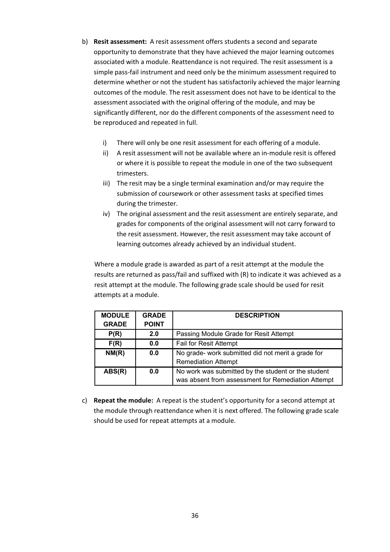- b) **Resit assessment:** A resit assessment offers students a second and separate opportunity to demonstrate that they have achieved the major learning outcomes associated with a module. Reattendance is not required. The resit assessment is a simple pass-fail instrument and need only be the minimum assessment required to determine whether or not the student has satisfactorily achieved the major learning outcomes of the module. The resit assessment does not have to be identical to the assessment associated with the original offering of the module, and may be significantly different, nor do the different components of the assessment need to be reproduced and repeated in full.
	- i) There will only be one resit assessment for each offering of a module.
	- ii) A resit assessment will not be available where an in-module resit is offered or where it is possible to repeat the module in one of the two subsequent trimesters.
	- iii) The resit may be a single terminal examination and/or may require the submission of coursework or other assessment tasks at specified times during the trimester.
	- iv) The original assessment and the resit assessment are entirely separate, and grades for components of the original assessment will not carry forward to the resit assessment. However, the resit assessment may take account of learning outcomes already achieved by an individual student.

Where a module grade is awarded as part of a resit attempt at the module the results are returned as pass/fail and suffixed with (R) to indicate it was achieved as a resit attempt at the module. The following grade scale should be used for resit attempts at a module.

| <b>MODULE</b> | <b>GRADE</b> | <b>DESCRIPTION</b>                                  |
|---------------|--------------|-----------------------------------------------------|
| <b>GRADE</b>  | <b>POINT</b> |                                                     |
| P(R)          | 2.0          | Passing Module Grade for Resit Attempt              |
| F(R)          | 0.0          | Fail for Resit Attempt                              |
| NM(R)         | 0.0          | No grade- work submitted did not merit a grade for  |
|               |              | <b>Remediation Attempt</b>                          |
| ABS(R)        | 0.0          | No work was submitted by the student or the student |
|               |              | was absent from assessment for Remediation Attempt  |

c) **Repeat the module:** A repeat is the student's opportunity for a second attempt at the module through reattendance when it is next offered. The following grade scale should be used for repeat attempts at a module.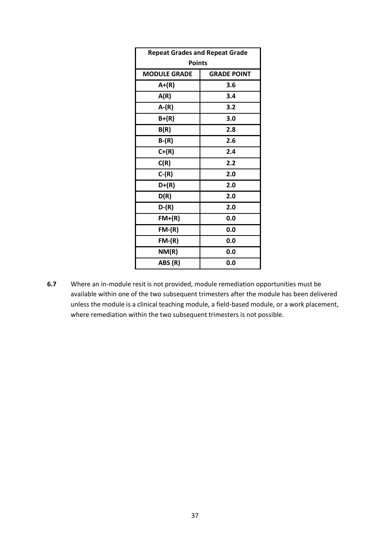| <b>Repeat Grades and Repeat Grade</b> |                    |  |  |  |
|---------------------------------------|--------------------|--|--|--|
| <b>Points</b>                         |                    |  |  |  |
| <b>MODULE GRADE</b>                   | <b>GRADE POINT</b> |  |  |  |
| $A+(R)$                               | 3.6                |  |  |  |
| A(R)                                  | 3.4                |  |  |  |
| $A-(R)$                               | 3.2                |  |  |  |
| $B+(R)$                               | 3.0                |  |  |  |
| B(R)                                  | 2.8                |  |  |  |
| $B-(R)$                               | 2.6                |  |  |  |
| $C+(R)$                               | 2.4                |  |  |  |
| C(R)                                  | 2.2                |  |  |  |
| $C-(R)$                               | 2.0                |  |  |  |
| $D+(R)$                               | 2.0                |  |  |  |
| D(R)                                  | 2.0                |  |  |  |
| $D-(R)$                               | 2.0                |  |  |  |
| $FM+(R)$                              | 0.0                |  |  |  |
| $FM-(R)$                              | 0.0                |  |  |  |
| $FM-(R)$                              | 0.0                |  |  |  |
| NM(R)                                 | 0.0                |  |  |  |
| ABS (R)                               | 0.0                |  |  |  |

**6.7** Where an in-module resit is not provided, module remediation opportunities must be available within one of the two subsequent trimesters after the module has been delivered unless the module is a clinical teaching module, a field-based module, or a work placement, where remediation within the two subsequent trimesters is not possible.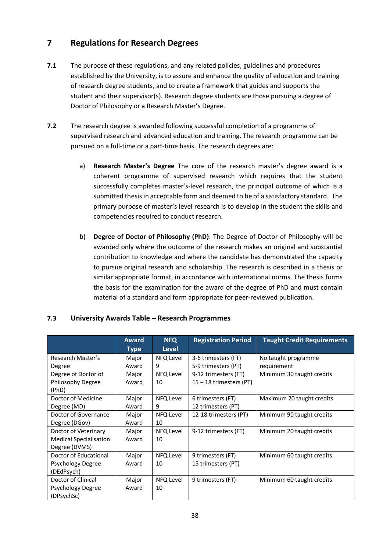# **7 Regulations for Research Degrees**

- **7.1** The purpose of these regulations, and any related policies, guidelines and procedures established by the University, is to assure and enhance the quality of education and training of research degree students, and to create a framework that guides and supports the student and their supervisor(s). Research degree students are those pursuing a degree of Doctor of Philosophy or a Research Master's Degree.
- **7.2** The research degree is awarded following successful completion of a programme of supervised research and advanced education and training. The research programme can be pursued on a full-time or a part-time basis. The research degrees are:
	- a) **Research Master's Degree** The core of the research master's degree award is a coherent programme of supervised research which requires that the student successfully completes master's-level research, the principal outcome of which is a submitted thesis in acceptable form and deemed to be of a satisfactory standard. The primary purpose of master's level research is to develop in the student the skills and competencies required to conduct research.
	- b) **Degree of Doctor of Philosophy (PhD)**: The Degree of Doctor of Philosophy will be awarded only where the outcome of the research makes an original and substantial contribution to knowledge and where the candidate has demonstrated the capacity to pursue original research and scholarship. The research is described in a thesis or similar appropriate format, in accordance with international norms. The thesis forms the basis for the examination for the award of the degree of PhD and must contain material of a standard and form appropriate for peer-reviewed publication.

|                               | Award<br><b>Type</b> | <b>NFQ</b><br><b>Level</b> | <b>Registration Period</b> | <b>Taught Credit Requirements</b> |
|-------------------------------|----------------------|----------------------------|----------------------------|-----------------------------------|
| Research Master's             | Major                | NFQ Level                  | 3-6 trimesters (FT)        | No taught programme               |
| Degree                        | Award                | 9                          | 5-9 trimesters (PT)        | requirement                       |
| Degree of Doctor of           | Major                | NFQ Level                  | 9-12 trimesters (FT)       | Minimum 30 taught credits         |
| Philosophy Degree             | Award                | 10                         | 15 – 18 trimesters (PT)    |                                   |
| (PhD)                         |                      |                            |                            |                                   |
| Doctor of Medicine            | Major                | NFQ Level                  | 6 trimesters (FT)          | Maximum 20 taught credits         |
| Degree (MD)                   | Award                | 9                          | 12 trimesters (PT)         |                                   |
| Doctor of Governance          | Major                | NFQ Level                  | 12-18 trimesters (PT)      | Minimum 90 taught credits         |
| Degree (DGov)                 | Award                | 10                         |                            |                                   |
| Doctor of Veterinary          | Major                | NFQ Level                  | 9-12 trimesters (FT)       | Minimum 20 taught credits         |
| <b>Medical Specialisation</b> | Award                | 10                         |                            |                                   |
| Degree (DVMS)                 |                      |                            |                            |                                   |
| Doctor of Educational         | Major                | NFQ Level                  | 9 trimesters (FT)          | Minimum 60 taught credits         |
| Psychology Degree             | Award                | 10                         | 15 trimesters (PT)         |                                   |
| (DEdPsych)                    |                      |                            |                            |                                   |
| Doctor of Clinical            | Major                | NFQ Level                  | 9 trimesters (FT)          | Minimum 60 taught credits         |
| Psychology Degree             | Award                | 10                         |                            |                                   |
| (DPsychSc)                    |                      |                            |                            |                                   |

# **7.3 University Awards Table – Research Programmes**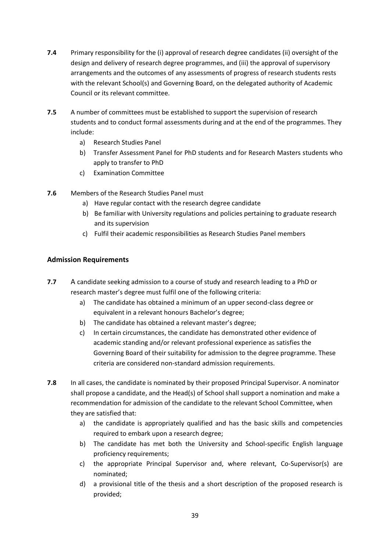- **7.4** Primary responsibility for the (i) approval of research degree candidates (ii) oversight of the design and delivery of research degree programmes, and (iii) the approval of supervisory arrangements and the outcomes of any assessments of progress of research students rests with the relevant School(s) and Governing Board, on the delegated authority of Academic Council or its relevant committee.
- **7.5** A number of committees must be established to support the supervision of research students and to conduct formal assessments during and at the end of the programmes. They include:
	- a) Research Studies Panel
	- b) Transfer Assessment Panel for PhD students and for Research Masters students who apply to transfer to PhD
	- c) Examination Committee
- **7.6** Members of the Research Studies Panel must
	- a) Have regular contact with the research degree candidate
	- b) Be familiar with University regulations and policies pertaining to graduate research and its supervision
	- c) Fulfil their academic responsibilities as Research Studies Panel members

# **Admission Requirements**

- **7.7** A candidate seeking admission to a course of study and research leading to a PhD or research master's degree must fulfil one of the following criteria:
	- a) The candidate has obtained a minimum of an upper second-class degree or equivalent in a relevant honours Bachelor's degree;
	- b) The candidate has obtained a relevant master's degree;
	- c) In certain circumstances, the candidate has demonstrated other evidence of academic standing and/or relevant professional experience as satisfies the Governing Board of their suitability for admission to the degree programme. These criteria are considered non-standard admission requirements.
- **7.8** In all cases, the candidate is nominated by their proposed Principal Supervisor. A nominator shall propose a candidate, and the Head(s) of School shall support a nomination and make a recommendation for admission of the candidate to the relevant School Committee, when they are satisfied that:
	- a) the candidate is appropriately qualified and has the basic skills and competencies required to embark upon a research degree;
	- b) The candidate has met both the University and School-specific English language proficiency requirements;
	- c) the appropriate Principal Supervisor and, where relevant, Co-Supervisor(s) are nominated;
	- d) a provisional title of the thesis and a short description of the proposed research is provided;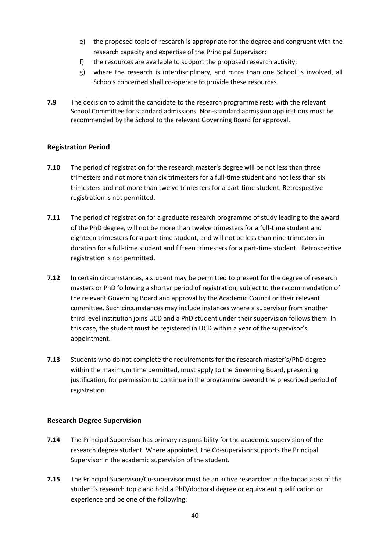- e) the proposed topic of research is appropriate for the degree and congruent with the research capacity and expertise of the Principal Supervisor;
- f) the resources are available to support the proposed research activity;
- g) where the research is interdisciplinary, and more than one School is involved, all Schools concerned shall co-operate to provide these resources.
- **7.9** The decision to admit the candidate to the research programme rests with the relevant School Committee for standard admissions. Non-standard admission applications must be recommended by the School to the relevant Governing Board for approval.

#### **Registration Period**

- **7.10** The period of registration for the research master's degree will be not less than three trimesters and not more than six trimesters for a full-time student and not less than six trimesters and not more than twelve trimesters for a part-time student. Retrospective registration is not permitted.
- **7.11** The period of registration for a graduate research programme of study leading to the award of the PhD degree, will not be more than twelve trimesters for a full-time student and eighteen trimesters for a part-time student, and will not be less than nine trimesters in duration for a full-time student and fifteen trimesters for a part-time student. Retrospective registration is not permitted.
- **7.12** In certain circumstances, a student may be permitted to present for the degree of research masters or PhD following a shorter period of registration, subject to the recommendation of the relevant Governing Board and approval by the Academic Council or their relevant committee. Such circumstances may include instances where a supervisor from another third level institution joins UCD and a PhD student under their supervision follows them. In this case, the student must be registered in UCD within a year of the supervisor's appointment.
- **7.13** Students who do not complete the requirements for the research master's/PhD degree within the maximum time permitted, must apply to the Governing Board, presenting justification, for permission to continue in the programme beyond the prescribed period of registration.

#### **Research Degree Supervision**

- **7.14** The Principal Supervisor has primary responsibility for the academic supervision of the research degree student. Where appointed, the Co-supervisor supports the Principal Supervisor in the academic supervision of the student.
- **7.15** The Principal Supervisor/Co-supervisor must be an active researcher in the broad area of the student's research topic and hold a PhD/doctoral degree or equivalent qualification or experience and be one of the following: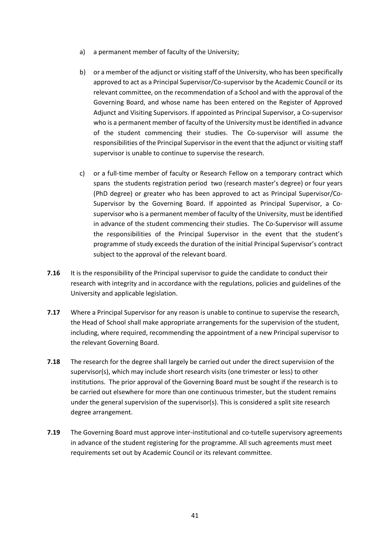- a) a permanent member of faculty of the University;
- b) or a member of the adjunct or visiting staff of the University, who has been specifically approved to act as a Principal Supervisor/Co-supervisor by the Academic Council or its relevant committee, on the recommendation of a School and with the approval of the Governing Board, and whose name has been entered on the Register of Approved Adjunct and Visiting Supervisors. If appointed as Principal Supervisor, a Co-supervisor who is a permanent member of faculty of the University must be identified in advance of the student commencing their studies. The Co-supervisor will assume the responsibilities of the Principal Supervisor in the event that the adjunct or visiting staff supervisor is unable to continue to supervise the research.
- c) or a full-time member of faculty or Research Fellow on a temporary contract which spans the students registration period two (research master's degree) or four years (PhD degree) or greater who has been approved to act as Principal Supervisor/Co-Supervisor by the Governing Board. If appointed as Principal Supervisor, a Cosupervisor who is a permanent member of faculty of the University, must be identified in advance of the student commencing their studies. The Co-Supervisor will assume the responsibilities of the Principal Supervisor in the event that the student's programme of study exceeds the duration of the initial Principal Supervisor's contract subject to the approval of the relevant board.
- **7.16** It is the responsibility of the Principal supervisor to guide the candidate to conduct their research with integrity and in accordance with the regulations, policies and guidelines of the University and applicable legislation.
- **7.17** Where a Principal Supervisor for any reason is unable to continue to supervise the research, the Head of School shall make appropriate arrangements for the supervision of the student, including, where required, recommending the appointment of a new Principal supervisor to the relevant Governing Board.
- **7.18** The research for the degree shall largely be carried out under the direct supervision of the supervisor(s), which may include short research visits (one trimester or less) to other institutions. The prior approval of the Governing Board must be sought if the research is to be carried out elsewhere for more than one continuous trimester, but the student remains under the general supervision of the supervisor(s). This is considered a split site research degree arrangement.
- **7.19** The Governing Board must approve inter-institutional and co-tutelle supervisory agreements in advance of the student registering for the programme. All such agreements must meet requirements set out by Academic Council or its relevant committee.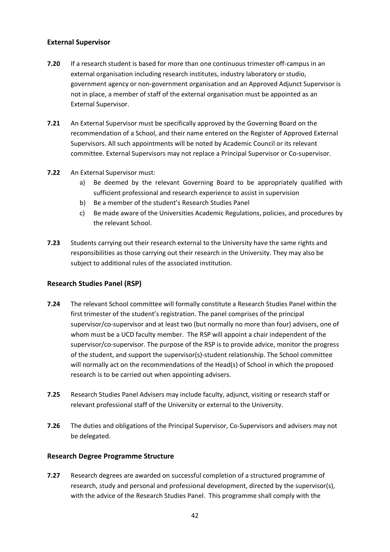# **External Supervisor**

- **7.20** If a research student is based for more than one continuous trimester off-campus in an external organisation including research institutes, industry laboratory or studio, government agency or non-government organisation and an Approved Adjunct Supervisor is not in place, a member of staff of the external organisation must be appointed as an External Supervisor.
- **7.21** An External Supervisor must be specifically approved by the Governing Board on the recommendation of a School, and their name entered on the Register of Approved External Supervisors. All such appointments will be noted by Academic Council or its relevant committee. External Supervisors may not replace a Principal Supervisor or Co-supervisor.
- **7.22** An External Supervisor must:
	- a) Be deemed by the relevant Governing Board to be appropriately qualified with sufficient professional and research experience to assist in supervision
	- b) Be a member of the student's Research Studies Panel
	- c) Be made aware of the Universities Academic Regulations, policies, and procedures by the relevant School.
- **7.23** Students carrying out their research external to the University have the same rights and responsibilities as those carrying out their research in the University. They may also be subject to additional rules of the associated institution.

#### **Research Studies Panel (RSP)**

- **7.24** The relevant School committee will formally constitute a Research Studies Panel within the first trimester of the student's registration. The panel comprises of the principal supervisor/co-supervisor and at least two (but normally no more than four) advisers, one of whom must be a UCD faculty member. The RSP will appoint a chair independent of the supervisor/co-supervisor. The purpose of the RSP is to provide advice, monitor the progress of the student, and support the supervisor(s)-student relationship. The School committee will normally act on the recommendations of the Head(s) of School in which the proposed research is to be carried out when appointing advisers.
- **7.25** Research Studies Panel Advisers may include faculty, adjunct, visiting or research staff or relevant professional staff of the University or external to the University.
- **7.26** The duties and obligations of the Principal Supervisor, Co-Supervisors and advisers may not be delegated.

#### **Research Degree Programme Structure**

**7.27** Research degrees are awarded on successful completion of a structured programme of research, study and personal and professional development, directed by the supervisor(s), with the advice of the Research Studies Panel. This programme shall comply with the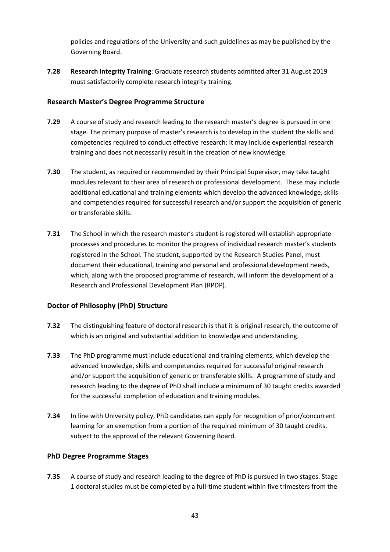policies and regulations of the University and such guidelines as may be published by the Governing Board.

**7.28 Research Integrity Training**: Graduate research students admitted after 31 August 2019 must satisfactorily complete research integrity training.

# **Research Master's Degree Programme Structure**

- **7.29** A course of study and research leading to the research master's degree is pursued in one stage. The primary purpose of master's research is to develop in the student the skills and competencies required to conduct effective research: it may include experiential research training and does not necessarily result in the creation of new knowledge.
- **7.30** The student, as required or recommended by their Principal Supervisor, may take taught modules relevant to their area of research or professional development. These may include additional educational and training elements which develop the advanced knowledge, skills and competencies required for successful research and/or support the acquisition of generic or transferable skills.
- **7.31** The School in which the research master's student is registered will establish appropriate processes and procedures to monitor the progress of individual research master's students registered in the School. The student, supported by the Research Studies Panel, must document their educational, training and personal and professional development needs, which, along with the proposed programme of research, will inform the development of a Research and Professional Development Plan (RPDP).

# **Doctor of Philosophy (PhD) Structure**

- **7.32** The distinguishing feature of doctoral research is that it is original research, the outcome of which is an original and substantial addition to knowledge and understanding.
- **7.33** The PhD programme must include educational and training elements, which develop the advanced knowledge, skills and competencies required for successful original research and/or support the acquisition of generic or transferable skills. A programme of study and research leading to the degree of PhD shall include a minimum of 30 taught credits awarded for the successful completion of education and training modules.
- **7.34** In line with University policy, PhD candidates can apply for recognition of prior/concurrent learning for an exemption from a portion of the required minimum of 30 taught credits, subject to the approval of the relevant Governing Board.

# **PhD Degree Programme Stages**

**7.35** A course of study and research leading to the degree of PhD is pursued in two stages. Stage 1 doctoral studies must be completed by a full-time student within five trimesters from the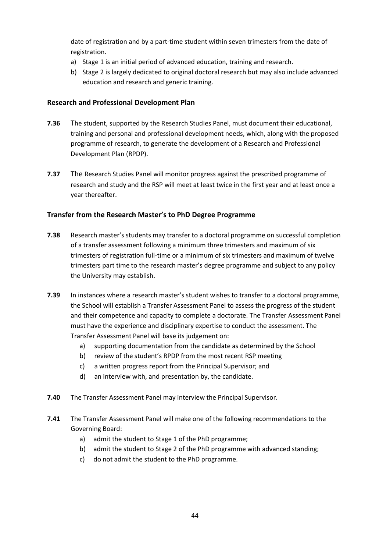date of registration and by a part-time student within seven trimesters from the date of registration.

- a) Stage 1 is an initial period of advanced education, training and research.
- b) Stage 2 is largely dedicated to original doctoral research but may also include advanced education and research and generic training.

# **Research and Professional Development Plan**

- **7.36** The student, supported by the Research Studies Panel, must document their educational, training and personal and professional development needs, which, along with the proposed programme of research, to generate the development of a Research and Professional Development Plan (RPDP).
- **7.37** The Research Studies Panel will monitor progress against the prescribed programme of research and study and the RSP will meet at least twice in the first year and at least once a year thereafter.

# **Transfer from the Research Master's to PhD Degree Programme**

- **7.38** Research master's students may transfer to a doctoral programme on successful completion of a transfer assessment following a minimum three trimesters and maximum of six trimesters of registration full-time or a minimum of six trimesters and maximum of twelve trimesters part time to the research master's degree programme and subject to any policy the University may establish.
- **7.39** In instances where a research master's student wishes to transfer to a doctoral programme, the School will establish a Transfer Assessment Panel to assess the progress of the student and their competence and capacity to complete a doctorate. The Transfer Assessment Panel must have the experience and disciplinary expertise to conduct the assessment. The Transfer Assessment Panel will base its judgement on:
	- a) supporting documentation from the candidate as determined by the School
	- b) review of the student's RPDP from the most recent RSP meeting
	- c) a written progress report from the Principal Supervisor; and
	- d) an interview with, and presentation by, the candidate.
- **7.40** The Transfer Assessment Panel may interview the Principal Supervisor.
- **7.41** The Transfer Assessment Panel will make one of the following recommendations to the Governing Board:
	- a) admit the student to Stage 1 of the PhD programme;
	- b) admit the student to Stage 2 of the PhD programme with advanced standing;
	- c) do not admit the student to the PhD programme.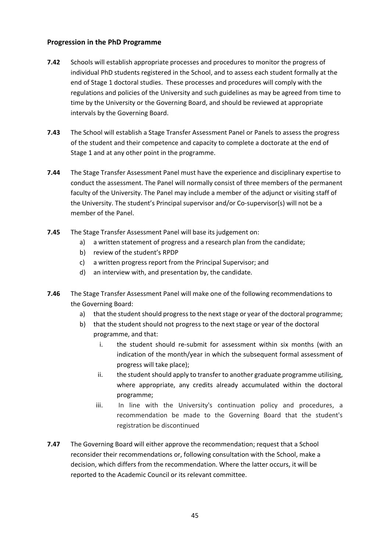# **Progression in the PhD Programme**

- **7.42** Schools will establish appropriate processes and procedures to monitor the progress of individual PhD students registered in the School, and to assess each student formally at the end of Stage 1 doctoral studies. These processes and procedures will comply with the regulations and policies of the University and such guidelines as may be agreed from time to time by the University or the Governing Board, and should be reviewed at appropriate intervals by the Governing Board.
- **7.43** The School will establish a Stage Transfer Assessment Panel or Panels to assess the progress of the student and their competence and capacity to complete a doctorate at the end of Stage 1 and at any other point in the programme.
- **7.44** The Stage Transfer Assessment Panel must have the experience and disciplinary expertise to conduct the assessment. The Panel will normally consist of three members of the permanent faculty of the University. The Panel may include a member of the adjunct or visiting staff of the University. The student's Principal supervisor and/or Co-supervisor(s) will not be a member of the Panel.
- **7.45** The Stage Transfer Assessment Panel will base its judgement on:
	- a) a written statement of progress and a research plan from the candidate;
	- b) review of the student's RPDP
	- c) a written progress report from the Principal Supervisor; and
	- d) an interview with, and presentation by, the candidate.
- **7.46** The Stage Transfer Assessment Panel will make one of the following recommendations to the Governing Board:
	- a) that the student should progress to the next stage or year of the doctoral programme;
	- b) that the student should not progress to the next stage or year of the doctoral programme, and that:
		- i. the student should re-submit for assessment within six months (with an indication of the month/year in which the subsequent formal assessment of progress will take place);
		- ii. the student should apply to transfer to another graduate programme utilising, where appropriate, any credits already accumulated within the doctoral programme;
		- iii. In line with the University's continuation policy and procedures, a recommendation be made to the Governing Board that the student's registration be discontinued
- **7.47** The Governing Board will either approve the recommendation; request that a School reconsider their recommendations or, following consultation with the School, make a decision, which differs from the recommendation. Where the latter occurs, it will be reported to the Academic Council or its relevant committee.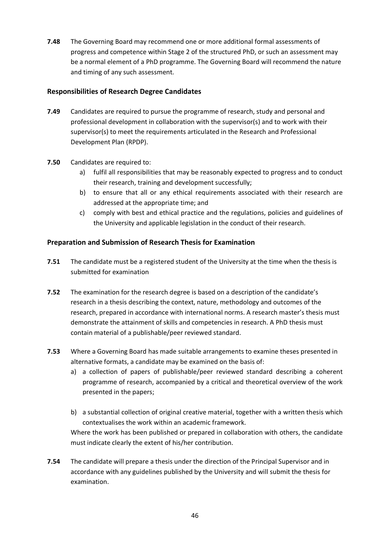**7.48** The Governing Board may recommend one or more additional formal assessments of progress and competence within Stage 2 of the structured PhD, or such an assessment may be a normal element of a PhD programme. The Governing Board will recommend the nature and timing of any such assessment.

# **Responsibilities of Research Degree Candidates**

- **7.49** Candidates are required to pursue the programme of research, study and personal and professional development in collaboration with the supervisor(s) and to work with their supervisor(s) to meet the requirements articulated in the Research and Professional Development Plan (RPDP).
- **7.50** Candidates are required to:
	- a) fulfil all responsibilities that may be reasonably expected to progress and to conduct their research, training and development successfully;
	- b) to ensure that all or any ethical requirements associated with their research are addressed at the appropriate time; and
	- c) comply with best and ethical practice and the regulations, policies and guidelines of the University and applicable legislation in the conduct of their research.

# **Preparation and Submission of Research Thesis for Examination**

- **7.51** The candidate must be a registered student of the University at the time when the thesis is submitted for examination
- **7.52** The examination for the research degree is based on a description of the candidate's research in a thesis describing the context, nature, methodology and outcomes of the research, prepared in accordance with international norms. A research master's thesis must demonstrate the attainment of skills and competencies in research. A PhD thesis must contain material of a publishable/peer reviewed standard.
- **7.53** Where a Governing Board has made suitable arrangements to examine theses presented in alternative formats, a candidate may be examined on the basis of:
	- a) a collection of papers of publishable/peer reviewed standard describing a coherent programme of research, accompanied by a critical and theoretical overview of the work presented in the papers;
	- b) a substantial collection of original creative material, together with a written thesis which contextualises the work within an academic framework.

Where the work has been published or prepared in collaboration with others, the candidate must indicate clearly the extent of his/her contribution.

**7.54** The candidate will prepare a thesis under the direction of the Principal Supervisor and in accordance with any guidelines published by the University and will submit the thesis for examination.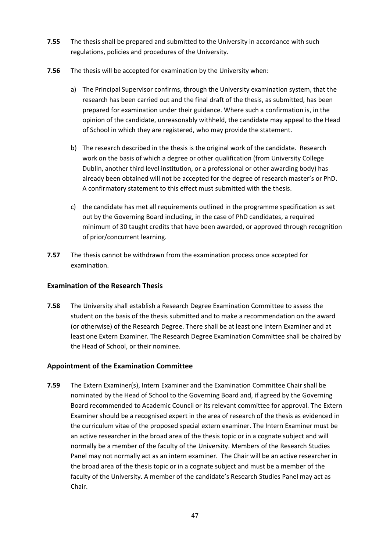- **7.55** The thesis shall be prepared and submitted to the University in accordance with such regulations, policies and procedures of the University.
- **7.56** The thesis will be accepted for examination by the University when:
	- a) The Principal Supervisor confirms, through the University examination system, that the research has been carried out and the final draft of the thesis, as submitted, has been prepared for examination under their guidance. Where such a confirmation is, in the opinion of the candidate, unreasonably withheld, the candidate may appeal to the Head of School in which they are registered, who may provide the statement.
	- b) The research described in the thesis is the original work of the candidate. Research work on the basis of which a degree or other qualification (from University College Dublin, another third level institution, or a professional or other awarding body) has already been obtained will not be accepted for the degree of research master's or PhD. A confirmatory statement to this effect must submitted with the thesis.
	- c) the candidate has met all requirements outlined in the programme specification as set out by the Governing Board including, in the case of PhD candidates, a required minimum of 30 taught credits that have been awarded, or approved through recognition of prior/concurrent learning.
- **7.57** The thesis cannot be withdrawn from the examination process once accepted for examination.

# **Examination of the Research Thesis**

**7.58** The University shall establish a Research Degree Examination Committee to assess the student on the basis of the thesis submitted and to make a recommendation on the award (or otherwise) of the Research Degree. There shall be at least one Intern Examiner and at least one Extern Examiner. The Research Degree Examination Committee shall be chaired by the Head of School, or their nominee.

# **Appointment of the Examination Committee**

**7.59** The Extern Examiner(s), Intern Examiner and the Examination Committee Chair shall be nominated by the Head of School to the Governing Board and, if agreed by the Governing Board recommended to Academic Council or its relevant committee for approval. The Extern Examiner should be a recognised expert in the area of research of the thesis as evidenced in the curriculum vitae of the proposed special extern examiner. The Intern Examiner must be an active researcher in the broad area of the thesis topic or in a cognate subject and will normally be a member of the faculty of the University. Members of the Research Studies Panel may not normally act as an intern examiner. The Chair will be an active researcher in the broad area of the thesis topic or in a cognate subject and must be a member of the faculty of the University. A member of the candidate's Research Studies Panel may act as Chair.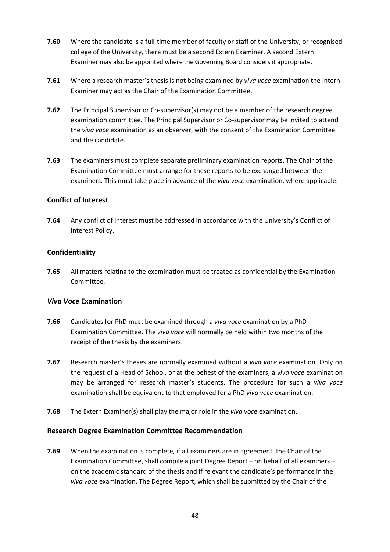- **7.60** Where the candidate is a full-time member of faculty or staff of the University, or recognised college of the University, there must be a second Extern Examiner. A second Extern Examiner may also be appointed where the Governing Board considers it appropriate.
- **7.61** Where a research master's thesis is not being examined by *viva voce* examination the Intern Examiner may act as the Chair of the Examination Committee.
- **7.62** The Principal Supervisor or Co-supervisor(s) may not be a member of the research degree examination committee. The Principal Supervisor or Co-supervisor may be invited to attend the *viva voce* examination as an observer, with the consent of the Examination Committee and the candidate.
- **7.63** The examiners must complete separate preliminary examination reports. The Chair of the Examination Committee must arrange for these reports to be exchanged between the examiners. This must take place in advance of the *viva voce* examination, where applicable.

# **Conflict of Interest**

**7.64** Any conflict of Interest must be addressed in accordance with the University's Conflict of Interest Policy.

# **Confidentiality**

**7.65** All matters relating to the examination must be treated as confidential by the Examination Committee.

#### *Viva Voce* **Examination**

- **7.66** Candidates for PhD must be examined through a *viva voce* examination by a PhD Examination Committee. The *viva voce* will normally be held within two months of the receipt of the thesis by the examiners.
- **7.67** Research master's theses are normally examined without a *viva voce* examination. Only on the request of a Head of School, or at the behest of the examiners, a *viva voce* examination may be arranged for research master's students. The procedure for such a *viva voce* examination shall be equivalent to that employed for a PhD *viva voce* examination.
- **7.68** The Extern Examiner(s) shall play the major role in the *viva voce* examination.

#### **Research Degree Examination Committee Recommendation**

**7.69** When the examination is complete, if all examiners are in agreement, the Chair of the Examination Committee, shall compile a joint Degree Report – on behalf of all examiners – on the academic standard of the thesis and if relevant the candidate's performance in the *viva voce* examination. The Degree Report, which shall be submitted by the Chair of the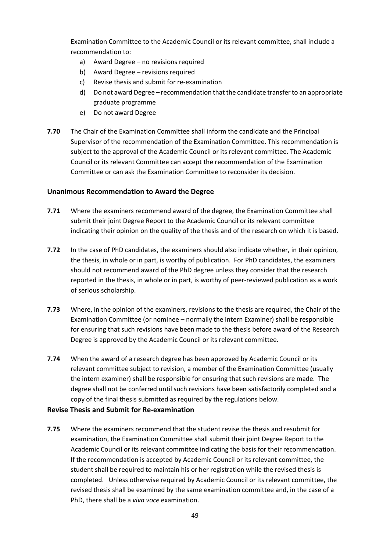Examination Committee to the Academic Council or its relevant committee, shall include a recommendation to:

- a) Award Degree no revisions required
- b) Award Degree revisions required
- c) Revise thesis and submit for re-examination
- d) Do not award Degree recommendation that the candidate transfer to an appropriate graduate programme
- e) Do not award Degree
- **7.70** The Chair of the Examination Committee shall inform the candidate and the Principal Supervisor of the recommendation of the Examination Committee. This recommendation is subject to the approval of the Academic Council or its relevant committee. The Academic Council or its relevant Committee can accept the recommendation of the Examination Committee or can ask the Examination Committee to reconsider its decision.

#### **Unanimous Recommendation to Award the Degree**

- **7.71** Where the examiners recommend award of the degree, the Examination Committee shall submit their joint Degree Report to the Academic Council or its relevant committee indicating their opinion on the quality of the thesis and of the research on which it is based.
- **7.72** In the case of PhD candidates, the examiners should also indicate whether, in their opinion, the thesis, in whole or in part, is worthy of publication. For PhD candidates, the examiners should not recommend award of the PhD degree unless they consider that the research reported in the thesis, in whole or in part, is worthy of peer-reviewed publication as a work of serious scholarship.
- **7.73** Where, in the opinion of the examiners, revisions to the thesis are required, the Chair of the Examination Committee (or nominee – normally the Intern Examiner) shall be responsible for ensuring that such revisions have been made to the thesis before award of the Research Degree is approved by the Academic Council or its relevant committee.
- **7.74** When the award of a research degree has been approved by Academic Council or its relevant committee subject to revision, a member of the Examination Committee (usually the intern examiner) shall be responsible for ensuring that such revisions are made. The degree shall not be conferred until such revisions have been satisfactorily completed and a copy of the final thesis submitted as required by the regulations below.

#### **Revise Thesis and Submit for Re-examination**

**7.75** Where the examiners recommend that the student revise the thesis and resubmit for examination, the Examination Committee shall submit their joint Degree Report to the Academic Council or its relevant committee indicating the basis for their recommendation. If the recommendation is accepted by Academic Council or its relevant committee, the student shall be required to maintain his or her registration while the revised thesis is completed. Unless otherwise required by Academic Council or its relevant committee, the revised thesis shall be examined by the same examination committee and, in the case of a PhD, there shall be a *viva voce* examination.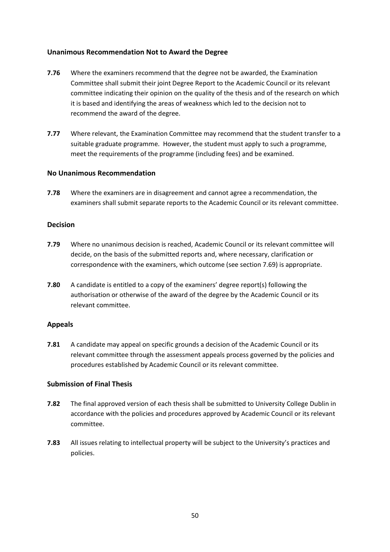#### **Unanimous Recommendation Not to Award the Degree**

- **7.76** Where the examiners recommend that the degree not be awarded, the Examination Committee shall submit their joint Degree Report to the Academic Council or its relevant committee indicating their opinion on the quality of the thesis and of the research on which it is based and identifying the areas of weakness which led to the decision not to recommend the award of the degree.
- **7.77** Where relevant, the Examination Committee may recommend that the student transfer to a suitable graduate programme. However, the student must apply to such a programme, meet the requirements of the programme (including fees) and be examined.

#### **No Unanimous Recommendation**

**7.78** Where the examiners are in disagreement and cannot agree a recommendation, the examiners shall submit separate reports to the Academic Council or its relevant committee.

#### **Decision**

- **7.79** Where no unanimous decision is reached, Academic Council or its relevant committee will decide, on the basis of the submitted reports and, where necessary, clarification or correspondence with the examiners, which outcome (see section 7.69) is appropriate.
- **7.80** A candidate is entitled to a copy of the examiners' degree report(s) following the authorisation or otherwise of the award of the degree by the Academic Council or its relevant committee.

#### **Appeals**

**7.81** A candidate may appeal on specific grounds a decision of the Academic Council or its relevant committee through the assessment appeals process governed by the policies and procedures established by Academic Council or its relevant committee.

#### **Submission of Final Thesis**

- **7.82** The final approved version of each thesis shall be submitted to University College Dublin in accordance with the policies and procedures approved by Academic Council or its relevant committee.
- **7.83** All issues relating to intellectual property will be subject to the University's practices and policies.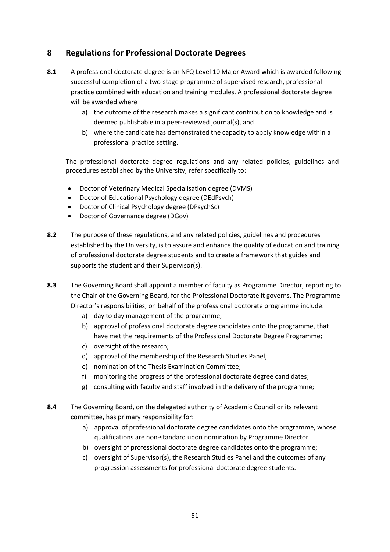# **8 Regulations for Professional Doctorate Degrees**

- **8.1** A professional doctorate degree is an NFQ Level 10 Major Award which is awarded following successful completion of a two-stage programme of supervised research, professional practice combined with education and training modules. A professional doctorate degree will be awarded where
	- a) the outcome of the research makes a significant contribution to knowledge and is deemed publishable in a peer-reviewed journal(s), and
	- b) where the candidate has demonstrated the capacity to apply knowledge within a professional practice setting.

The professional doctorate degree regulations and any related policies, guidelines and procedures established by the University, refer specifically to:

- Doctor of Veterinary Medical Specialisation degree (DVMS)
- Doctor of Educational Psychology degree (DEdPsych)
- Doctor of Clinical Psychology degree (DPsychSc)
- Doctor of Governance degree (DGov)
- **8.2** The purpose of these regulations, and any related policies, guidelines and procedures established by the University, is to assure and enhance the quality of education and training of professional doctorate degree students and to create a framework that guides and supports the student and their Supervisor(s).
- **8.3** The Governing Board shall appoint a member of faculty as Programme Director, reporting to the Chair of the Governing Board, for the Professional Doctorate it governs. The Programme Director's responsibilities, on behalf of the professional doctorate programme include:
	- a) day to day management of the programme;
	- b) approval of professional doctorate degree candidates onto the programme, that have met the requirements of the Professional Doctorate Degree Programme;
	- c) oversight of the research;
	- d) approval of the membership of the Research Studies Panel;
	- e) nomination of the Thesis Examination Committee;
	- f) monitoring the progress of the professional doctorate degree candidates;
	- g) consulting with faculty and staff involved in the delivery of the programme;
- **8.4** The Governing Board, on the delegated authority of Academic Council or its relevant committee, has primary responsibility for:
	- a) approval of professional doctorate degree candidates onto the programme, whose qualifications are non-standard upon nomination by Programme Director
	- b) oversight of professional doctorate degree candidates onto the programme;
	- c) oversight of Supervisor(s), the Research Studies Panel and the outcomes of any progression assessments for professional doctorate degree students.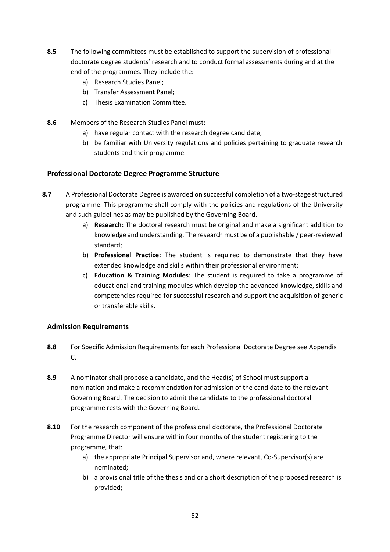- **8.5** The following committees must be established to support the supervision of professional doctorate degree students' research and to conduct formal assessments during and at the end of the programmes. They include the:
	- a) Research Studies Panel;
	- b) Transfer Assessment Panel;
	- c) Thesis Examination Committee.
- **8.6** Members of the Research Studies Panel must:
	- a) have regular contact with the research degree candidate;
	- b) be familiar with University regulations and policies pertaining to graduate research students and their programme.

# **Professional Doctorate Degree Programme Structure**

- **8.7** A Professional Doctorate Degree is awarded on successful completion of a two-stage structured programme. This programme shall comply with the policies and regulations of the University and such guidelines as may be published by the Governing Board.
	- a) **Research:** The doctoral research must be original and make a significant addition to knowledge and understanding. The research must be of a publishable / peer-reviewed standard;
	- b) **Professional Practice:** The student is required to demonstrate that they have extended knowledge and skills within their professional environment;
	- c) **Education & Training Modules**: The student is required to take a programme of educational and training modules which develop the advanced knowledge, skills and competencies required for successful research and support the acquisition of generic or transferable skills.

#### **Admission Requirements**

- **8.8** For Specific Admission Requirements for each Professional Doctorate Degree see Appendix C.
- **8.9** A nominator shall propose a candidate, and the Head(s) of School must support a nomination and make a recommendation for admission of the candidate to the relevant Governing Board. The decision to admit the candidate to the professional doctoral programme rests with the Governing Board.
- **8.10** For the research component of the professional doctorate, the Professional Doctorate Programme Director will ensure within four months of the student registering to the programme, that:
	- a) the appropriate Principal Supervisor and, where relevant, Co-Supervisor(s) are nominated;
	- b) a provisional title of the thesis and or a short description of the proposed research is provided;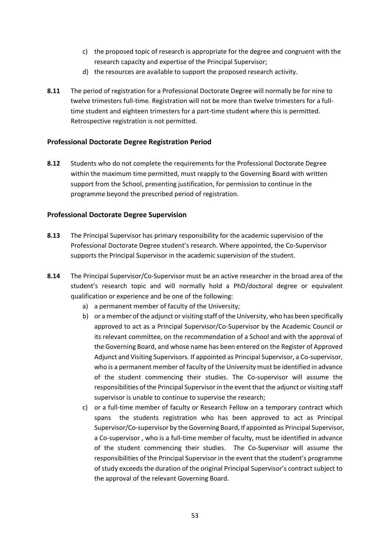- c) the proposed topic of research is appropriate for the degree and congruent with the research capacity and expertise of the Principal Supervisor;
- d) the resources are available to support the proposed research activity.
- **8.11** The period of registration for a Professional Doctorate Degree will normally be for nine to twelve trimesters full-time. Registration will not be more than twelve trimesters for a fulltime student and eighteen trimesters for a part-time student where this is permitted. Retrospective registration is not permitted.

# **Professional Doctorate Degree Registration Period**

**8.12** Students who do not complete the requirements for the Professional Doctorate Degree within the maximum time permitted, must reapply to the Governing Board with written support from the School, presenting justification, for permission to continue in the programme beyond the prescribed period of registration.

# **Professional Doctorate Degree Supervision**

- **8.13** The Principal Supervisor has primary responsibility for the academic supervision of the Professional Doctorate Degree student's research. Where appointed, the Co-Supervisor supports the Principal Supervisor in the academic supervision of the student.
- **8.14** The Principal Supervisor/Co-Supervisor must be an active researcher in the broad area of the student's research topic and will normally hold a PhD/doctoral degree or equivalent qualification or experience and be one of the following:
	- a) a permanent member of faculty of the University;
	- b) or a member of the adjunct or visiting staff of the University, who has been specifically approved to act as a Principal Supervisor/Co-Supervisor by the Academic Council or its relevant committee, on the recommendation of a School and with the approval of the Governing Board, and whose name has been entered on the Register of Approved Adjunct and Visiting Supervisors. If appointed as Principal Supervisor, a Co-supervisor, who is a permanent member of faculty of the University must be identified in advance of the student commencing their studies. The Co-supervisor will assume the responsibilities of the Principal Supervisor in the event that the adjunct or visiting staff supervisor is unable to continue to supervise the research;
	- c) or a full-time member of faculty or Research Fellow on a temporary contract which spans the students registration who has been approved to act as Principal Supervisor/Co-supervisor by the Governing Board, If appointed as Principal Supervisor, a Co-supervisor , who is a full-time member of faculty, must be identified in advance of the student commencing their studies. The Co-Supervisor will assume the responsibilities of the Principal Supervisor in the event that the student's programme of study exceeds the duration of the original Principal Supervisor's contract subject to the approval of the relevant Governing Board.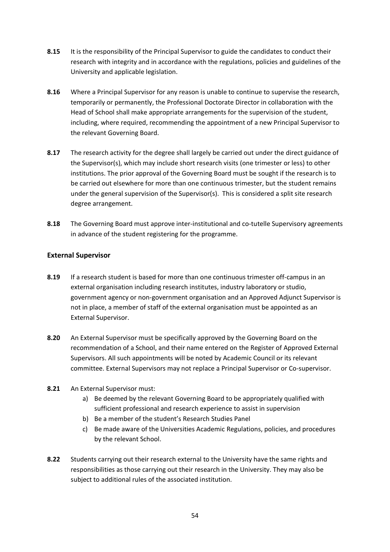- **8.15** It is the responsibility of the Principal Supervisor to guide the candidates to conduct their research with integrity and in accordance with the regulations, policies and guidelines of the University and applicable legislation.
- **8.16** Where a Principal Supervisor for any reason is unable to continue to supervise the research, temporarily or permanently, the Professional Doctorate Director in collaboration with the Head of School shall make appropriate arrangements for the supervision of the student, including, where required, recommending the appointment of a new Principal Supervisor to the relevant Governing Board.
- **8.17** The research activity for the degree shall largely be carried out under the direct guidance of the Supervisor(s), which may include short research visits (one trimester or less) to other institutions. The prior approval of the Governing Board must be sought if the research is to be carried out elsewhere for more than one continuous trimester, but the student remains under the general supervision of the Supervisor(s). This is considered a split site research degree arrangement.
- **8.18** The Governing Board must approve inter-institutional and co-tutelle Supervisory agreements in advance of the student registering for the programme.

#### **External Supervisor**

- **8.19** If a research student is based for more than one continuous trimester off-campus in an external organisation including research institutes, industry laboratory or studio, government agency or non-government organisation and an Approved Adjunct Supervisor is not in place, a member of staff of the external organisation must be appointed as an External Supervisor.
- **8.20** An External Supervisor must be specifically approved by the Governing Board on the recommendation of a School, and their name entered on the Register of Approved External Supervisors. All such appointments will be noted by Academic Council or its relevant committee. External Supervisors may not replace a Principal Supervisor or Co-supervisor.
- **8.21** An External Supervisor must:
	- a) Be deemed by the relevant Governing Board to be appropriately qualified with sufficient professional and research experience to assist in supervision
	- b) Be a member of the student's Research Studies Panel
	- c) Be made aware of the Universities Academic Regulations, policies, and procedures by the relevant School.
- **8.22** Students carrying out their research external to the University have the same rights and responsibilities as those carrying out their research in the University. They may also be subject to additional rules of the associated institution.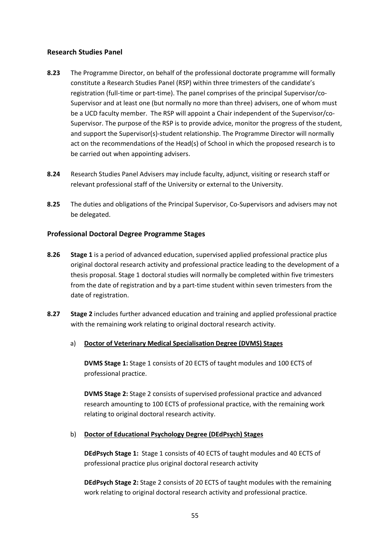#### **Research Studies Panel**

- **8.23** The Programme Director, on behalf of the professional doctorate programme will formally constitute a Research Studies Panel (RSP) within three trimesters of the candidate's registration (full-time or part-time). The panel comprises of the principal Supervisor/co-Supervisor and at least one (but normally no more than three) advisers, one of whom must be a UCD faculty member. The RSP will appoint a Chair independent of the Supervisor/co-Supervisor. The purpose of the RSP is to provide advice, monitor the progress of the student, and support the Supervisor(s)-student relationship. The Programme Director will normally act on the recommendations of the Head(s) of School in which the proposed research is to be carried out when appointing advisers.
- **8.24** Research Studies Panel Advisers may include faculty, adjunct, visiting or research staff or relevant professional staff of the University or external to the University.
- **8.25** The duties and obligations of the Principal Supervisor, Co-Supervisors and advisers may not be delegated.

#### **Professional Doctoral Degree Programme Stages**

- **8.26 Stage 1** is a period of advanced education, supervised applied professional practice plus original doctoral research activity and professional practice leading to the development of a thesis proposal. Stage 1 doctoral studies will normally be completed within five trimesters from the date of registration and by a part-time student within seven trimesters from the date of registration.
- **8.27 Stage 2** includes further advanced education and training and applied professional practice with the remaining work relating to original doctoral research activity.

#### a) **Doctor of Veterinary Medical Specialisation Degree (DVMS) Stages**

**DVMS Stage 1:** Stage 1 consists of 20 ECTS of taught modules and 100 ECTS of professional practice.

**DVMS Stage 2:** Stage 2 consists of supervised professional practice and advanced research amounting to 100 ECTS of professional practice, with the remaining work relating to original doctoral research activity.

#### b) **Doctor of Educational Psychology Degree (DEdPsych) Stages**

**DEdPsych Stage 1:** Stage 1 consists of 40 ECTS of taught modules and 40 ECTS of professional practice plus original doctoral research activity

**DEdPsych Stage 2:** Stage 2 consists of 20 ECTS of taught modules with the remaining work relating to original doctoral research activity and professional practice.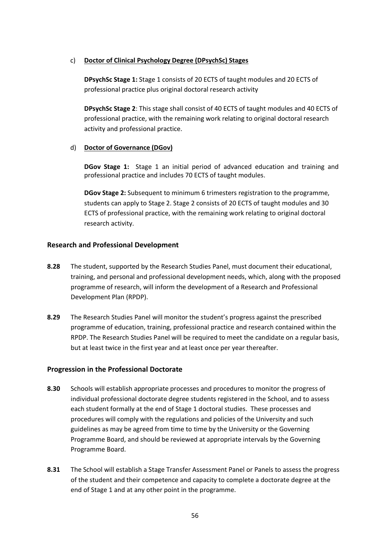#### c) **Doctor of Clinical Psychology Degree (DPsychSc) Stages**

**DPsychSc Stage 1:** Stage 1 consists of 20 ECTS of taught modules and 20 ECTS of professional practice plus original doctoral research activity

**DPsychSc Stage 2**: This stage shall consist of 40 ECTS of taught modules and 40 ECTS of professional practice, with the remaining work relating to original doctoral research activity and professional practice.

#### d) **Doctor of Governance (DGov)**

**DGov Stage 1:** Stage 1 an initial period of advanced education and training and professional practice and includes 70 ECTS of taught modules.

**DGov Stage 2:** Subsequent to minimum 6 trimesters registration to the programme, students can apply to Stage 2. Stage 2 consists of 20 ECTS of taught modules and 30 ECTS of professional practice, with the remaining work relating to original doctoral research activity.

#### **Research and Professional Development**

- **8.28** The student, supported by the Research Studies Panel, must document their educational, training, and personal and professional development needs, which, along with the proposed programme of research, will inform the development of a Research and Professional Development Plan (RPDP).
- **8.29** The Research Studies Panel will monitor the student's progress against the prescribed programme of education, training, professional practice and research contained within the RPDP. The Research Studies Panel will be required to meet the candidate on a regular basis, but at least twice in the first year and at least once per year thereafter.

#### **Progression in the Professional Doctorate**

- **8.30** Schools will establish appropriate processes and procedures to monitor the progress of individual professional doctorate degree students registered in the School, and to assess each student formally at the end of Stage 1 doctoral studies. These processes and procedures will comply with the regulations and policies of the University and such guidelines as may be agreed from time to time by the University or the Governing Programme Board, and should be reviewed at appropriate intervals by the Governing Programme Board.
- **8.31** The School will establish a Stage Transfer Assessment Panel or Panels to assess the progress of the student and their competence and capacity to complete a doctorate degree at the end of Stage 1 and at any other point in the programme.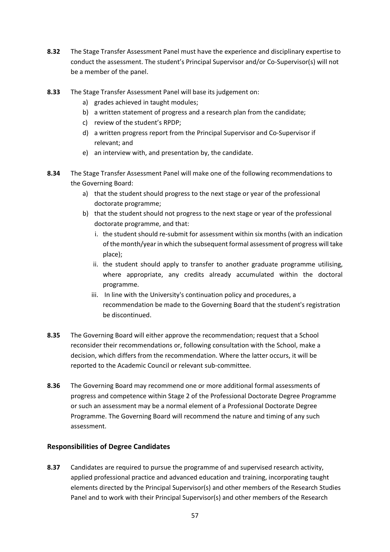- **8.32** The Stage Transfer Assessment Panel must have the experience and disciplinary expertise to conduct the assessment. The student's Principal Supervisor and/or Co-Supervisor(s) will not be a member of the panel.
- **8.33** The Stage Transfer Assessment Panel will base its judgement on:
	- a) grades achieved in taught modules;
	- b) a written statement of progress and a research plan from the candidate;
	- c) review of the student's RPDP;
	- d) a written progress report from the Principal Supervisor and Co-Supervisor if relevant; and
	- e) an interview with, and presentation by, the candidate.
- **8.34** The Stage Transfer Assessment Panel will make one of the following recommendations to the Governing Board:
	- a) that the student should progress to the next stage or year of the professional doctorate programme;
	- b) that the student should not progress to the next stage or year of the professional doctorate programme, and that:
		- i. the student should re-submit for assessment within six months (with an indication of the month/year in which the subsequent formal assessment of progress will take place);
		- ii. the student should apply to transfer to another graduate programme utilising, where appropriate, any credits already accumulated within the doctoral programme.
		- iii. In line with the University's continuation policy and procedures, a recommendation be made to the Governing Board that the student's registration be discontinued.
- **8.35** The Governing Board will either approve the recommendation; request that a School reconsider their recommendations or, following consultation with the School, make a decision, which differs from the recommendation. Where the latter occurs, it will be reported to the Academic Council or relevant sub-committee.
- **8.36** The Governing Board may recommend one or more additional formal assessments of progress and competence within Stage 2 of the Professional Doctorate Degree Programme or such an assessment may be a normal element of a Professional Doctorate Degree Programme. The Governing Board will recommend the nature and timing of any such assessment.

#### **Responsibilities of Degree Candidates**

**8.37** Candidates are required to pursue the programme of and supervised research activity, applied professional practice and advanced education and training, incorporating taught elements directed by the Principal Supervisor(s) and other members of the Research Studies Panel and to work with their Principal Supervisor(s) and other members of the Research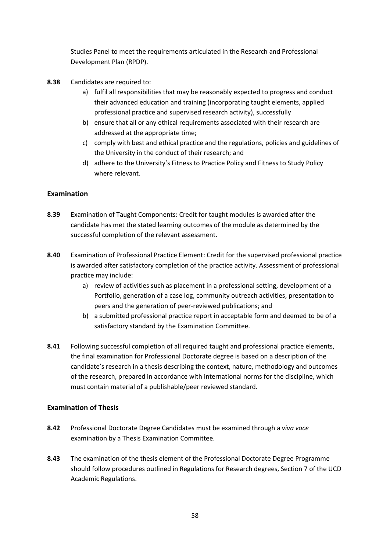Studies Panel to meet the requirements articulated in the Research and Professional Development Plan (RPDP).

- **8.38** Candidates are required to:
	- a) fulfil all responsibilities that may be reasonably expected to progress and conduct their advanced education and training (incorporating taught elements, applied professional practice and supervised research activity), successfully
	- b) ensure that all or any ethical requirements associated with their research are addressed at the appropriate time;
	- c) comply with best and ethical practice and the regulations, policies and guidelines of the University in the conduct of their research; and
	- d) adhere to the University's Fitness to Practice Policy and Fitness to Study Policy where relevant.

# **Examination**

- **8.39** Examination of Taught Components: Credit for taught modules is awarded after the candidate has met the stated learning outcomes of the module as determined by the successful completion of the relevant assessment.
- **8.40** Examination of Professional Practice Element: Credit for the supervised professional practice is awarded after satisfactory completion of the practice activity. Assessment of professional practice may include:
	- a) review of activities such as placement in a professional setting, development of a Portfolio, generation of a case log, community outreach activities, presentation to peers and the generation of peer-reviewed publications; and
	- b) a submitted professional practice report in acceptable form and deemed to be of a satisfactory standard by the Examination Committee.
- **8.41** Following successful completion of all required taught and professional practice elements, the final examination for Professional Doctorate degree is based on a description of the candidate's research in a thesis describing the context, nature, methodology and outcomes of the research, prepared in accordance with international norms for the discipline, which must contain material of a publishable/peer reviewed standard.

#### **Examination of Thesis**

- **8.42** Professional Doctorate Degree Candidates must be examined through a *viva voce* examination by a Thesis Examination Committee.
- **8.43** The examination of the thesis element of the Professional Doctorate Degree Programme should follow procedures outlined in Regulations for Research degrees, Section 7 of the UCD Academic Regulations.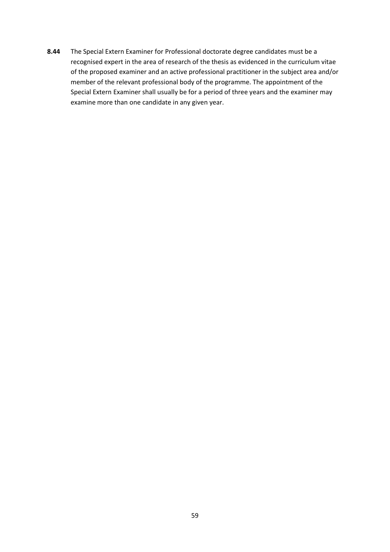**8.44** The Special Extern Examiner for Professional doctorate degree candidates must be a recognised expert in the area of research of the thesis as evidenced in the curriculum vitae of the proposed examiner and an active professional practitioner in the subject area and/or member of the relevant professional body of the programme. The appointment of the Special Extern Examiner shall usually be for a period of three years and the examiner may examine more than one candidate in any given year.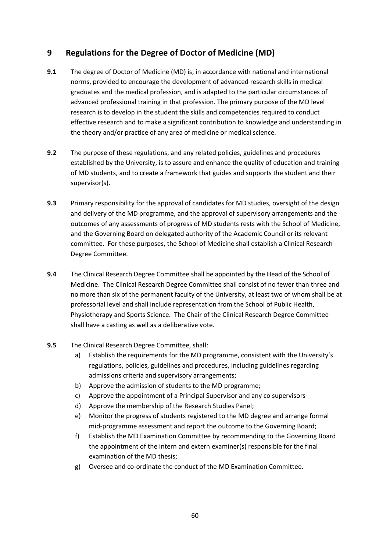# **9 Regulations for the Degree of Doctor of Medicine (MD)**

- **9.1** The degree of Doctor of Medicine (MD) is, in accordance with national and international norms, provided to encourage the development of advanced research skills in medical graduates and the medical profession, and is adapted to the particular circumstances of advanced professional training in that profession. The primary purpose of the MD level research is to develop in the student the skills and competencies required to conduct effective research and to make a significant contribution to knowledge and understanding in the theory and/or practice of any area of medicine or medical science.
- **9.2** The purpose of these regulations, and any related policies, guidelines and procedures established by the University, is to assure and enhance the quality of education and training of MD students, and to create a framework that guides and supports the student and their supervisor(s).
- **9.3** Primary responsibility for the approval of candidates for MD studies, oversight of the design and delivery of the MD programme, and the approval of supervisory arrangements and the outcomes of any assessments of progress of MD students rests with the School of Medicine, and the Governing Board on delegated authority of the Academic Council or its relevant committee. For these purposes, the School of Medicine shall establish a Clinical Research Degree Committee.
- **9.4** The Clinical Research Degree Committee shall be appointed by the Head of the School of Medicine. The Clinical Research Degree Committee shall consist of no fewer than three and no more than six of the permanent faculty of the University, at least two of whom shall be at professorial level and shall include representation from the School of Public Health, Physiotherapy and Sports Science. The Chair of the Clinical Research Degree Committee shall have a casting as well as a deliberative vote.
- **9.5** The Clinical Research Degree Committee, shall:
	- a) Establish the requirements for the MD programme, consistent with the University's regulations, policies, guidelines and procedures, including guidelines regarding admissions criteria and supervisory arrangements;
	- b) Approve the admission of students to the MD programme;
	- c) Approve the appointment of a Principal Supervisor and any co supervisors
	- d) Approve the membership of the Research Studies Panel;
	- e) Monitor the progress of students registered to the MD degree and arrange formal mid-programme assessment and report the outcome to the Governing Board;
	- f) Establish the MD Examination Committee by recommending to the Governing Board the appointment of the intern and extern examiner(s) responsible for the final examination of the MD thesis;
	- g) Oversee and co-ordinate the conduct of the MD Examination Committee.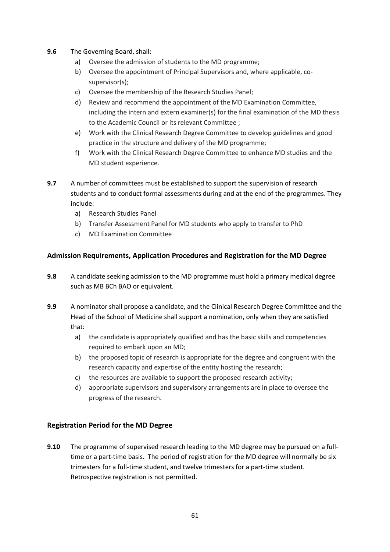- **9.6** The Governing Board, shall:
	- a) Oversee the admission of students to the MD programme;
	- b) Oversee the appointment of Principal Supervisors and, where applicable, cosupervisor(s);
	- c) Oversee the membership of the Research Studies Panel;
	- d) Review and recommend the appointment of the MD Examination Committee, including the intern and extern examiner(s) for the final examination of the MD thesis to the Academic Council or its relevant Committee ;
	- e) Work with the Clinical Research Degree Committee to develop guidelines and good practice in the structure and delivery of the MD programme;
	- f) Work with the Clinical Research Degree Committee to enhance MD studies and the MD student experience.
- **9.7** A number of committees must be established to support the supervision of research students and to conduct formal assessments during and at the end of the programmes. They include:
	- a) Research Studies Panel
	- b) Transfer Assessment Panel for MD students who apply to transfer to PhD
	- c) MD Examination Committee

# **Admission Requirements, Application Procedures and Registration for the MD Degree**

- **9.8** A candidate seeking admission to the MD programme must hold a primary medical degree such as MB BCh BAO or equivalent.
- **9.9** A nominator shall propose a candidate, and the Clinical Research Degree Committee and the Head of the School of Medicine shall support a nomination, only when they are satisfied that:
	- a) the candidate is appropriately qualified and has the basic skills and competencies required to embark upon an MD;
	- b) the proposed topic of research is appropriate for the degree and congruent with the research capacity and expertise of the entity hosting the research;
	- c) the resources are available to support the proposed research activity;
	- d) appropriate supervisors and supervisory arrangements are in place to oversee the progress of the research.

#### **Registration Period for the MD Degree**

**9.10** The programme of supervised research leading to the MD degree may be pursued on a fulltime or a part-time basis. The period of registration for the MD degree will normally be six trimesters for a full-time student, and twelve trimesters for a part-time student. Retrospective registration is not permitted.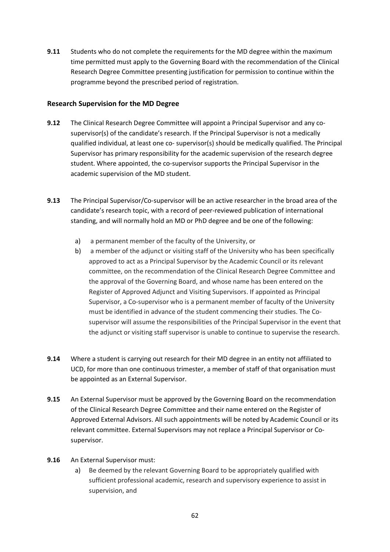**9.11** Students who do not complete the requirements for the MD degree within the maximum time permitted must apply to the Governing Board with the recommendation of the Clinical Research Degree Committee presenting justification for permission to continue within the programme beyond the prescribed period of registration.

#### **Research Supervision for the MD Degree**

- **9.12** The Clinical Research Degree Committee will appoint a Principal Supervisor and any cosupervisor(s) of the candidate's research. If the Principal Supervisor is not a medically qualified individual, at least one co- supervisor(s) should be medically qualified. The Principal Supervisor has primary responsibility for the academic supervision of the research degree student. Where appointed, the co-supervisor supports the Principal Supervisor in the academic supervision of the MD student.
- **9.13** The Principal Supervisor/Co-supervisor will be an active researcher in the broad area of the candidate's research topic, with a record of peer-reviewed publication of international standing, and will normally hold an MD or PhD degree and be one of the following:
	- a) a permanent member of the faculty of the University, or
	- b) a member of the adjunct or visiting staff of the University who has been specifically approved to act as a Principal Supervisor by the Academic Council or its relevant committee, on the recommendation of the Clinical Research Degree Committee and the approval of the Governing Board, and whose name has been entered on the Register of Approved Adjunct and Visiting Supervisors. If appointed as Principal Supervisor, a Co-supervisor who is a permanent member of faculty of the University must be identified in advance of the student commencing their studies. The Cosupervisor will assume the responsibilities of the Principal Supervisor in the event that the adjunct or visiting staff supervisor is unable to continue to supervise the research.
- **9.14** Where a student is carrying out research for their MD degree in an entity not affiliated to UCD, for more than one continuous trimester, a member of staff of that organisation must be appointed as an External Supervisor.
- **9.15** An External Supervisor must be approved by the Governing Board on the recommendation of the Clinical Research Degree Committee and their name entered on the Register of Approved External Advisors. All such appointments will be noted by Academic Council or its relevant committee. External Supervisors may not replace a Principal Supervisor or Cosupervisor.
- **9.16** An External Supervisor must:
	- a) Be deemed by the relevant Governing Board to be appropriately qualified with sufficient professional academic, research and supervisory experience to assist in supervision, and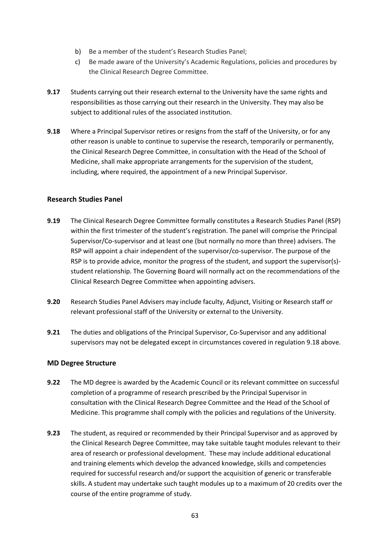- b) Be a member of the student's Research Studies Panel;
- c) Be made aware of the University's Academic Regulations, policies and procedures by the Clinical Research Degree Committee.
- **9.17** Students carrying out their research external to the University have the same rights and responsibilities as those carrying out their research in the University. They may also be subject to additional rules of the associated institution.
- **9.18** Where a Principal Supervisor retires or resigns from the staff of the University, or for any other reason is unable to continue to supervise the research, temporarily or permanently, the Clinical Research Degree Committee, in consultation with the Head of the School of Medicine, shall make appropriate arrangements for the supervision of the student, including, where required, the appointment of a new Principal Supervisor.

#### **Research Studies Panel**

- **9.19** The Clinical Research Degree Committee formally constitutes a Research Studies Panel (RSP) within the first trimester of the student's registration. The panel will comprise the Principal Supervisor/Co-supervisor and at least one (but normally no more than three) advisers. The RSP will appoint a chair independent of the supervisor/co-supervisor. The purpose of the RSP is to provide advice, monitor the progress of the student, and support the supervisor(s)student relationship. The Governing Board will normally act on the recommendations of the Clinical Research Degree Committee when appointing advisers.
- **9.20** Research Studies Panel Advisers may include faculty, Adjunct, Visiting or Research staff or relevant professional staff of the University or external to the University.
- **9.21** The duties and obligations of the Principal Supervisor, Co-Supervisor and any additional supervisors may not be delegated except in circumstances covered in regulation 9.18 above.

#### **MD Degree Structure**

- **9.22** The MD degree is awarded by the Academic Council or its relevant committee on successful completion of a programme of research prescribed by the Principal Supervisor in consultation with the Clinical Research Degree Committee and the Head of the School of Medicine. This programme shall comply with the policies and regulations of the University.
- **9.23** The student, as required or recommended by their Principal Supervisor and as approved by the Clinical Research Degree Committee, may take suitable taught modules relevant to their area of research or professional development. These may include additional educational and training elements which develop the advanced knowledge, skills and competencies required for successful research and/or support the acquisition of generic or transferable skills. A student may undertake such taught modules up to a maximum of 20 credits over the course of the entire programme of study.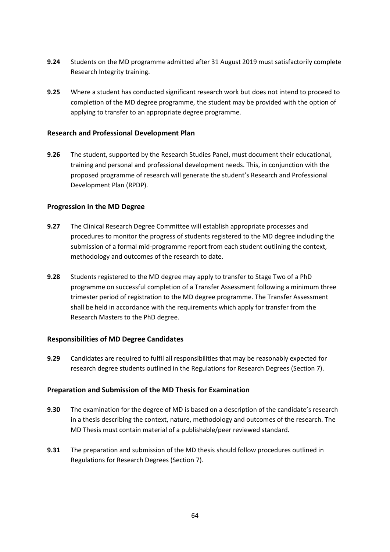- **9.24** Students on the MD programme admitted after 31 August 2019 must satisfactorily complete Research Integrity training.
- **9.25** Where a student has conducted significant research work but does not intend to proceed to completion of the MD degree programme, the student may be provided with the option of applying to transfer to an appropriate degree programme.

#### **Research and Professional Development Plan**

**9.26** The student, supported by the Research Studies Panel, must document their educational, training and personal and professional development needs. This, in conjunction with the proposed programme of research will generate the student's Research and Professional Development Plan (RPDP).

#### **Progression in the MD Degree**

- **9.27** The Clinical Research Degree Committee will establish appropriate processes and procedures to monitor the progress of students registered to the MD degree including the submission of a formal mid-programme report from each student outlining the context, methodology and outcomes of the research to date.
- **9.28** Students registered to the MD degree may apply to transfer to Stage Two of a PhD programme on successful completion of a Transfer Assessment following a minimum three trimester period of registration to the MD degree programme. The Transfer Assessment shall be held in accordance with the requirements which apply for transfer from the Research Masters to the PhD degree.

#### **Responsibilities of MD Degree Candidates**

**9.29** Candidates are required to fulfil all responsibilities that may be reasonably expected for research degree students outlined in the Regulations for Research Degrees (Section 7).

#### **Preparation and Submission of the MD Thesis for Examination**

- **9.30** The examination for the degree of MD is based on a description of the candidate's research in a thesis describing the context, nature, methodology and outcomes of the research. The MD Thesis must contain material of a publishable/peer reviewed standard.
- **9.31** The preparation and submission of the MD thesis should follow procedures outlined in Regulations for Research Degrees (Section 7).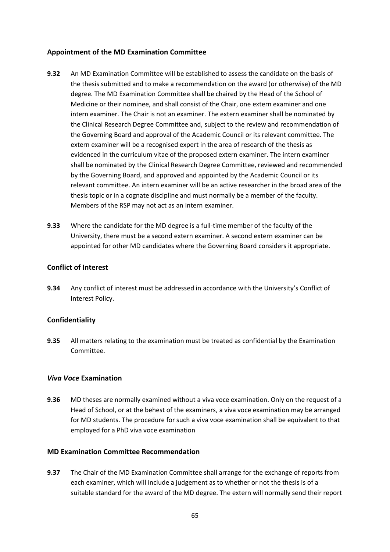# **Appointment of the MD Examination Committee**

- **9.32** An MD Examination Committee will be established to assess the candidate on the basis of the thesis submitted and to make a recommendation on the award (or otherwise) of the MD degree. The MD Examination Committee shall be chaired by the Head of the School of Medicine or their nominee, and shall consist of the Chair, one extern examiner and one intern examiner. The Chair is not an examiner. The extern examiner shall be nominated by the Clinical Research Degree Committee and, subject to the review and recommendation of the Governing Board and approval of the Academic Council or its relevant committee. The extern examiner will be a recognised expert in the area of research of the thesis as evidenced in the curriculum vitae of the proposed extern examiner. The intern examiner shall be nominated by the Clinical Research Degree Committee, reviewed and recommended by the Governing Board, and approved and appointed by the Academic Council or its relevant committee. An intern examiner will be an active researcher in the broad area of the thesis topic or in a cognate discipline and must normally be a member of the faculty. Members of the RSP may not act as an intern examiner.
- **9.33** Where the candidate for the MD degree is a full-time member of the faculty of the University, there must be a second extern examiner. A second extern examiner can be appointed for other MD candidates where the Governing Board considers it appropriate.

#### **Conflict of Interest**

**9.34** Any conflict of interest must be addressed in accordance with the University's Conflict of Interest Policy.

#### **Confidentiality**

**9.35** All matters relating to the examination must be treated as confidential by the Examination Committee.

#### *Viva Voce* **Examination**

**9.36** MD theses are normally examined without a viva voce examination. Only on the request of a Head of School, or at the behest of the examiners, a viva voce examination may be arranged for MD students. The procedure for such a viva voce examination shall be equivalent to that employed for a PhD viva voce examination

#### **MD Examination Committee Recommendation**

**9.37** The Chair of the MD Examination Committee shall arrange for the exchange of reports from each examiner, which will include a judgement as to whether or not the thesis is of a suitable standard for the award of the MD degree. The extern will normally send their report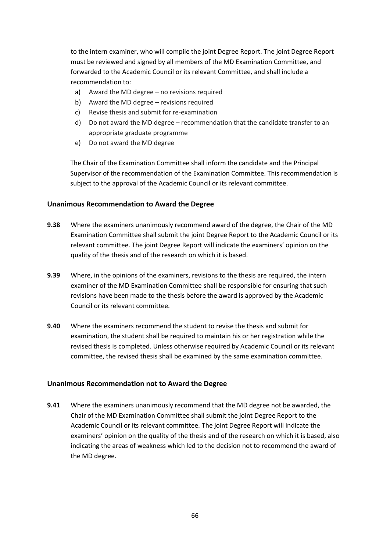to the intern examiner, who will compile the joint Degree Report. The joint Degree Report must be reviewed and signed by all members of the MD Examination Committee, and forwarded to the Academic Council or its relevant Committee, and shall include a recommendation to:

- a) Award the MD degree no revisions required
- b) Award the MD degree revisions required
- c) Revise thesis and submit for re-examination
- d) Do not award the MD degree recommendation that the candidate transfer to an appropriate graduate programme
- e) Do not award the MD degree

The Chair of the Examination Committee shall inform the candidate and the Principal Supervisor of the recommendation of the Examination Committee. This recommendation is subject to the approval of the Academic Council or its relevant committee.

#### **Unanimous Recommendation to Award the Degree**

- **9.38** Where the examiners unanimously recommend award of the degree, the Chair of the MD Examination Committee shall submit the joint Degree Report to the Academic Council or its relevant committee. The joint Degree Report will indicate the examiners' opinion on the quality of the thesis and of the research on which it is based.
- **9.39** Where, in the opinions of the examiners, revisions to the thesis are required, the intern examiner of the MD Examination Committee shall be responsible for ensuring that such revisions have been made to the thesis before the award is approved by the Academic Council or its relevant committee.
- **9.40** Where the examiners recommend the student to revise the thesis and submit for examination, the student shall be required to maintain his or her registration while the revised thesis is completed. Unless otherwise required by Academic Council or its relevant committee, the revised thesis shall be examined by the same examination committee.

#### **Unanimous Recommendation not to Award the Degree**

**9.41** Where the examiners unanimously recommend that the MD degree not be awarded, the Chair of the MD Examination Committee shall submit the joint Degree Report to the Academic Council or its relevant committee. The joint Degree Report will indicate the examiners' opinion on the quality of the thesis and of the research on which it is based, also indicating the areas of weakness which led to the decision not to recommend the award of the MD degree.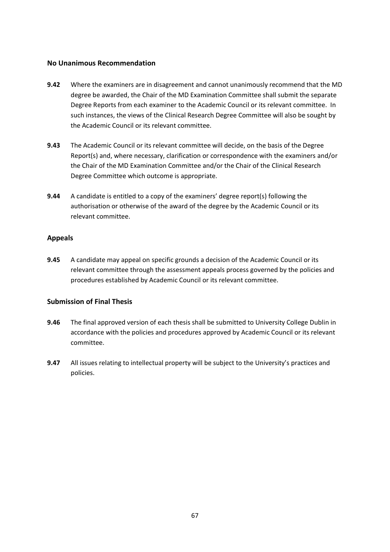#### **No Unanimous Recommendation**

- **9.42** Where the examiners are in disagreement and cannot unanimously recommend that the MD degree be awarded, the Chair of the MD Examination Committee shall submit the separate Degree Reports from each examiner to the Academic Council or its relevant committee. In such instances, the views of the Clinical Research Degree Committee will also be sought by the Academic Council or its relevant committee.
- **9.43** The Academic Council or its relevant committee will decide, on the basis of the Degree Report(s) and, where necessary, clarification or correspondence with the examiners and/or the Chair of the MD Examination Committee and/or the Chair of the Clinical Research Degree Committee which outcome is appropriate.
- **9.44** A candidate is entitled to a copy of the examiners' degree report(s) following the authorisation or otherwise of the award of the degree by the Academic Council or its relevant committee.

#### **Appeals**

**9.45** A candidate may appeal on specific grounds a decision of the Academic Council or its relevant committee through the assessment appeals process governed by the policies and procedures established by Academic Council or its relevant committee.

#### **Submission of Final Thesis**

- **9.46** The final approved version of each thesis shall be submitted to University College Dublin in accordance with the policies and procedures approved by Academic Council or its relevant committee.
- **9.47** All issues relating to intellectual property will be subject to the University's practices and policies.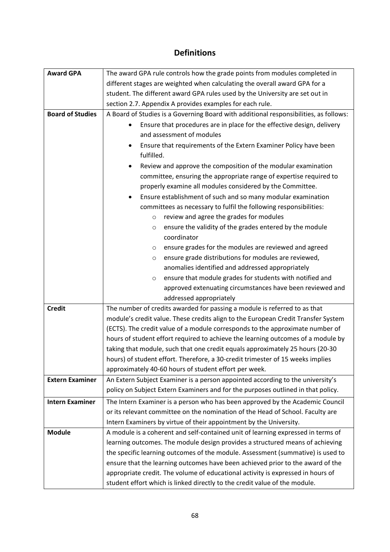# **Definitions**

| <b>Award GPA</b>        | The award GPA rule controls how the grade points from modules completed in            |  |  |  |  |
|-------------------------|---------------------------------------------------------------------------------------|--|--|--|--|
|                         |                                                                                       |  |  |  |  |
|                         | different stages are weighted when calculating the overall award GPA for a            |  |  |  |  |
|                         | student. The different award GPA rules used by the University are set out in          |  |  |  |  |
|                         | section 2.7. Appendix A provides examples for each rule.                              |  |  |  |  |
| <b>Board of Studies</b> | A Board of Studies is a Governing Board with additional responsibilities, as follows: |  |  |  |  |
|                         | Ensure that procedures are in place for the effective design, delivery<br>$\bullet$   |  |  |  |  |
|                         | and assessment of modules                                                             |  |  |  |  |
|                         | Ensure that requirements of the Extern Examiner Policy have been                      |  |  |  |  |
|                         | fulfilled.                                                                            |  |  |  |  |
|                         | Review and approve the composition of the modular examination                         |  |  |  |  |
|                         | committee, ensuring the appropriate range of expertise required to                    |  |  |  |  |
|                         | properly examine all modules considered by the Committee.                             |  |  |  |  |
|                         | Ensure establishment of such and so many modular examination                          |  |  |  |  |
|                         | committees as necessary to fulfil the following responsibilities:                     |  |  |  |  |
|                         | review and agree the grades for modules<br>$\circ$                                    |  |  |  |  |
|                         | ensure the validity of the grades entered by the module<br>O                          |  |  |  |  |
|                         | coordinator                                                                           |  |  |  |  |
|                         | ensure grades for the modules are reviewed and agreed<br>O                            |  |  |  |  |
|                         | ensure grade distributions for modules are reviewed,<br>O                             |  |  |  |  |
|                         | anomalies identified and addressed appropriately                                      |  |  |  |  |
|                         | ensure that module grades for students with notified and<br>$\circ$                   |  |  |  |  |
|                         | approved extenuating circumstances have been reviewed and                             |  |  |  |  |
|                         | addressed appropriately                                                               |  |  |  |  |
| <b>Credit</b>           | The number of credits awarded for passing a module is referred to as that             |  |  |  |  |
|                         | module's credit value. These credits align to the European Credit Transfer System     |  |  |  |  |
|                         | (ECTS). The credit value of a module corresponds to the approximate number of         |  |  |  |  |
|                         | hours of student effort required to achieve the learning outcomes of a module by      |  |  |  |  |
|                         | taking that module, such that one credit equals approximately 25 hours (20-30         |  |  |  |  |
|                         | hours) of student effort. Therefore, a 30-credit trimester of 15 weeks implies        |  |  |  |  |
|                         | approximately 40-60 hours of student effort per week.                                 |  |  |  |  |
| <b>Extern Examiner</b>  | An Extern Subject Examiner is a person appointed according to the university's        |  |  |  |  |
|                         | policy on Subject Extern Examiners and for the purposes outlined in that policy.      |  |  |  |  |
| <b>Intern Examiner</b>  |                                                                                       |  |  |  |  |
|                         | The Intern Examiner is a person who has been approved by the Academic Council         |  |  |  |  |
|                         | or its relevant committee on the nomination of the Head of School. Faculty are        |  |  |  |  |
|                         | Intern Examiners by virtue of their appointment by the University.                    |  |  |  |  |
| <b>Module</b>           | A module is a coherent and self-contained unit of learning expressed in terms of      |  |  |  |  |
|                         | learning outcomes. The module design provides a structured means of achieving         |  |  |  |  |
|                         | the specific learning outcomes of the module. Assessment (summative) is used to       |  |  |  |  |
|                         | ensure that the learning outcomes have been achieved prior to the award of the        |  |  |  |  |
|                         | appropriate credit. The volume of educational activity is expressed in hours of       |  |  |  |  |
|                         | student effort which is linked directly to the credit value of the module.            |  |  |  |  |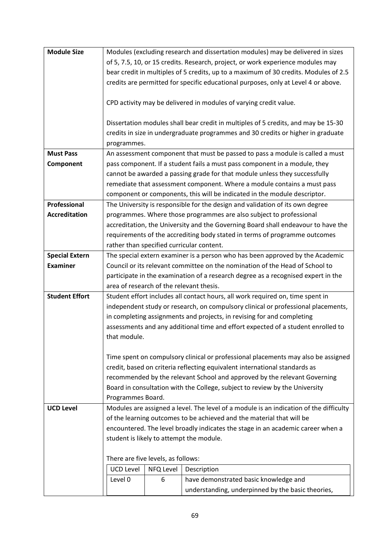| <b>Module Size</b>    | Modules (excluding research and dissertation modules) may be delivered in sizes                             |           |                                                                                    |  |
|-----------------------|-------------------------------------------------------------------------------------------------------------|-----------|------------------------------------------------------------------------------------|--|
|                       | of 5, 7.5, 10, or 15 credits. Research, project, or work experience modules may                             |           |                                                                                    |  |
|                       | bear credit in multiples of 5 credits, up to a maximum of 30 credits. Modules of 2.5                        |           |                                                                                    |  |
|                       | credits are permitted for specific educational purposes, only at Level 4 or above.                          |           |                                                                                    |  |
|                       |                                                                                                             |           |                                                                                    |  |
|                       |                                                                                                             |           | CPD activity may be delivered in modules of varying credit value.                  |  |
|                       |                                                                                                             |           |                                                                                    |  |
|                       |                                                                                                             |           | Dissertation modules shall bear credit in multiples of 5 credits, and may be 15-30 |  |
|                       |                                                                                                             |           | credits in size in undergraduate programmes and 30 credits or higher in graduate   |  |
|                       | programmes.                                                                                                 |           |                                                                                    |  |
| <b>Must Pass</b>      |                                                                                                             |           | An assessment component that must be passed to pass a module is called a must      |  |
| Component             |                                                                                                             |           | pass component. If a student fails a must pass component in a module, they         |  |
|                       |                                                                                                             |           | cannot be awarded a passing grade for that module unless they successfully         |  |
|                       |                                                                                                             |           | remediate that assessment component. Where a module contains a must pass           |  |
|                       |                                                                                                             |           | component or components, this will be indicated in the module descriptor.          |  |
| Professional          |                                                                                                             |           | The University is responsible for the design and validation of its own degree      |  |
| <b>Accreditation</b>  |                                                                                                             |           | programmes. Where those programmes are also subject to professional                |  |
|                       |                                                                                                             |           | accreditation, the University and the Governing Board shall endeavour to have the  |  |
|                       |                                                                                                             |           | requirements of the accrediting body stated in terms of programme outcomes         |  |
|                       |                                                                                                             |           | rather than specified curricular content.                                          |  |
| <b>Special Extern</b> |                                                                                                             |           | The special extern examiner is a person who has been approved by the Academic      |  |
| <b>Examiner</b>       | Council or its relevant committee on the nomination of the Head of School to                                |           |                                                                                    |  |
|                       | participate in the examination of a research degree as a recognised expert in the                           |           |                                                                                    |  |
|                       | area of research of the relevant thesis.                                                                    |           |                                                                                    |  |
| <b>Student Effort</b> | Student effort includes all contact hours, all work required on, time spent in                              |           |                                                                                    |  |
|                       | independent study or research, on compulsory clinical or professional placements,                           |           |                                                                                    |  |
|                       |                                                                                                             |           | in completing assignments and projects, in revising for and completing             |  |
|                       | assessments and any additional time and effort expected of a student enrolled to                            |           |                                                                                    |  |
|                       | that module.                                                                                                |           |                                                                                    |  |
|                       |                                                                                                             |           |                                                                                    |  |
|                       |                                                                                                             |           | Time spent on compulsory clinical or professional placements may also be assigned  |  |
|                       | credit, based on criteria reflecting equivalent international standards as                                  |           |                                                                                    |  |
|                       |                                                                                                             |           | recommended by the relevant School and approved by the relevant Governing          |  |
|                       |                                                                                                             |           | Board in consultation with the College, subject to review by the University        |  |
| <b>UCD Level</b>      | Programmes Board.<br>Modules are assigned a level. The level of a module is an indication of the difficulty |           |                                                                                    |  |
|                       |                                                                                                             |           | of the learning outcomes to be achieved and the material that will be              |  |
|                       |                                                                                                             |           | encountered. The level broadly indicates the stage in an academic career when a    |  |
|                       |                                                                                                             |           | student is likely to attempt the module.                                           |  |
|                       |                                                                                                             |           |                                                                                    |  |
|                       | There are five levels, as follows:                                                                          |           |                                                                                    |  |
|                       | <b>UCD Level</b>                                                                                            | NFQ Level | Description                                                                        |  |
|                       | Level 0                                                                                                     | 6         | have demonstrated basic knowledge and                                              |  |
|                       |                                                                                                             |           | understanding, underpinned by the basic theories,                                  |  |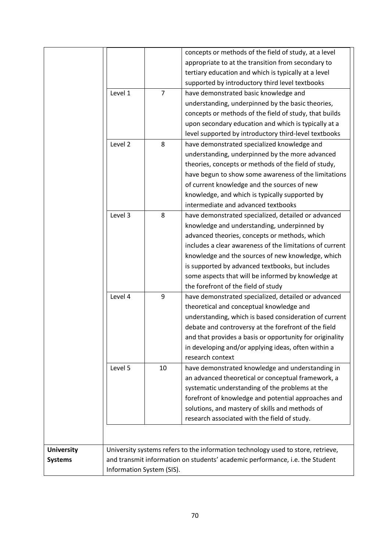|                   |                                                                              |                | concepts or methods of the field of study, at a level                            |  |
|-------------------|------------------------------------------------------------------------------|----------------|----------------------------------------------------------------------------------|--|
|                   |                                                                              |                | appropriate to at the transition from secondary to                               |  |
|                   |                                                                              |                | tertiary education and which is typically at a level                             |  |
|                   |                                                                              |                | supported by introductory third level textbooks                                  |  |
|                   | Level 1                                                                      | $\overline{7}$ | have demonstrated basic knowledge and                                            |  |
|                   |                                                                              |                | understanding, underpinned by the basic theories,                                |  |
|                   |                                                                              |                | concepts or methods of the field of study, that builds                           |  |
|                   |                                                                              |                | upon secondary education and which is typically at a                             |  |
|                   |                                                                              |                | level supported by introductory third-level textbooks                            |  |
|                   | Level 2                                                                      | 8              | have demonstrated specialized knowledge and                                      |  |
|                   |                                                                              |                | understanding, underpinned by the more advanced                                  |  |
|                   |                                                                              |                | theories, concepts or methods of the field of study,                             |  |
|                   |                                                                              |                | have begun to show some awareness of the limitations                             |  |
|                   |                                                                              |                | of current knowledge and the sources of new                                      |  |
|                   |                                                                              |                | knowledge, and which is typically supported by                                   |  |
|                   |                                                                              |                | intermediate and advanced textbooks                                              |  |
|                   | Level 3                                                                      | 8              | have demonstrated specialized, detailed or advanced                              |  |
|                   |                                                                              |                | knowledge and understanding, underpinned by                                      |  |
|                   |                                                                              |                | advanced theories, concepts or methods, which                                    |  |
|                   |                                                                              |                | includes a clear awareness of the limitations of current                         |  |
|                   |                                                                              |                | knowledge and the sources of new knowledge, which                                |  |
|                   |                                                                              |                | is supported by advanced textbooks, but includes                                 |  |
|                   |                                                                              |                | some aspects that will be informed by knowledge at                               |  |
|                   |                                                                              |                | the forefront of the field of study                                              |  |
|                   | Level 4                                                                      | 9              | have demonstrated specialized, detailed or advanced                              |  |
|                   |                                                                              |                | theoretical and conceptual knowledge and                                         |  |
|                   |                                                                              |                | understanding, which is based consideration of current                           |  |
|                   |                                                                              |                | debate and controversy at the forefront of the field                             |  |
|                   |                                                                              |                | and that provides a basis or opportunity for originality                         |  |
|                   |                                                                              |                | in developing and/or applying ideas, often within a                              |  |
|                   |                                                                              |                | research context                                                                 |  |
|                   | Level 5                                                                      | 10             | have demonstrated knowledge and understanding in                                 |  |
|                   |                                                                              |                | an advanced theoretical or conceptual framework, a                               |  |
|                   |                                                                              |                | systematic understanding of the problems at the                                  |  |
|                   |                                                                              |                | forefront of knowledge and potential approaches and                              |  |
|                   |                                                                              |                |                                                                                  |  |
|                   |                                                                              |                | solutions, and mastery of skills and methods of                                  |  |
|                   |                                                                              |                | research associated with the field of study.                                     |  |
|                   |                                                                              |                |                                                                                  |  |
| <b>University</b> |                                                                              |                | University systems refers to the information technology used to store, retrieve, |  |
| <b>Systems</b>    |                                                                              |                |                                                                                  |  |
|                   | and transmit information on students' academic performance, i.e. the Student |                |                                                                                  |  |
|                   | Information System (SIS).                                                    |                |                                                                                  |  |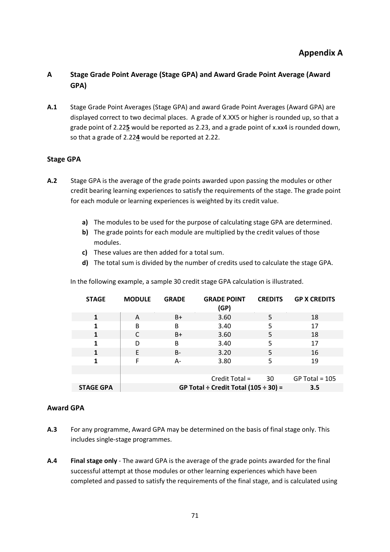# **A Stage Grade Point Average (Stage GPA) and Award Grade Point Average (Award GPA)**

**A.1** Stage Grade Point Averages (Stage GPA) and award Grade Point Averages (Award GPA) are displayed correct to two decimal places. A grade of X.XX5 or higher is rounded up, so that a grade point of 2.22**5** would be reported as 2.23, and a grade point of x.xx4 is rounded down, so that a grade of 2.22**4** would be reported at 2.22.

# **Stage GPA**

- **A.2** Stage GPA is the average of the grade points awarded upon passing the modules or other credit bearing learning experiences to satisfy the requirements of the stage. The grade point for each module or learning experiences is weighted by its credit value.
	- **a)** The modules to be used for the purpose of calculating stage GPA are determined.
	- **b)** The grade points for each module are multiplied by the credit values of those modules.
	- **c)** These values are then added for a total sum.
	- **d)** The total sum is divided by the number of credits used to calculate the stage GPA.

In the following example, a sample 30 credit stage GPA calculation is illustrated.

| <b>STAGE</b>     | <b>MODULE</b>                                    | <b>GRADE</b> | <b>GRADE POINT</b><br>(GP) | <b>CREDITS</b> | <b>GP X CREDITS</b> |
|------------------|--------------------------------------------------|--------------|----------------------------|----------------|---------------------|
|                  | A                                                | B+           | 3.60                       | 5              | 18                  |
|                  | B                                                | B            | 3.40                       | 5              | 17                  |
| 1                |                                                  | $B+$         | 3.60                       | 5              | 18                  |
| 1                | D                                                | B            | 3.40                       | 5              | 17                  |
| 1                | E                                                | $B -$        | 3.20                       | 5              | 16                  |
| 1                | F                                                | А-           | 3.80                       | 5              | 19                  |
|                  |                                                  |              |                            |                |                     |
|                  |                                                  |              | Credit Total =             | 30             | $GP$ Total = 105    |
| <b>STAGE GPA</b> | GP Total ÷ Credit Total $(105 \div 30)$ =<br>3.5 |              |                            |                |                     |

#### **Award GPA**

- **A.3** For any programme, Award GPA may be determined on the basis of final stage only. This includes single-stage programmes.
- **A.4 Final stage only** The award GPA is the average of the grade points awarded for the final successful attempt at those modules or other learning experiences which have been completed and passed to satisfy the requirements of the final stage, and is calculated using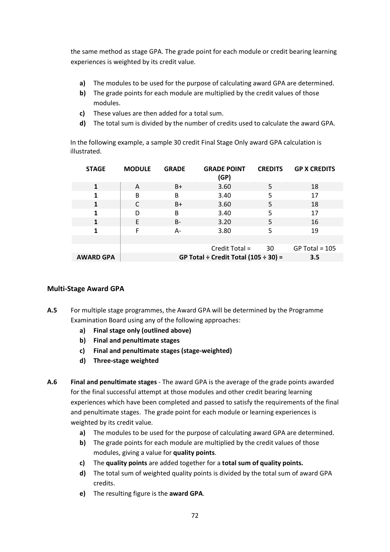the same method as stage GPA. The grade point for each module or credit bearing learning experiences is weighted by its credit value.

- **a)** The modules to be used for the purpose of calculating award GPA are determined.
- **b)** The grade points for each module are multiplied by the credit values of those modules.
- **c)** These values are then added for a total sum.
- **d)** The total sum is divided by the number of credits used to calculate the award GPA.

In the following example, a sample 30 credit Final Stage Only award GPA calculation is illustrated.

| <b>STAGE</b>     | <b>MODULE</b> | <b>GRADE</b> | <b>GRADE POINT</b><br>(GP)                | <b>CREDITS</b>  | <b>GP X CREDITS</b> |
|------------------|---------------|--------------|-------------------------------------------|-----------------|---------------------|
|                  | A             | $B+$         | 3.60                                      | 5               | 18                  |
|                  | B             | B            | 3.40                                      | 5               | 17                  |
| 1                | C             | $B+$         | 3.60                                      | 5               | 18                  |
| 1                | D             | B            | 3.40                                      | 5               | 17                  |
| 1                | E             | $B -$        | 3.20                                      | 5               | 16                  |
|                  | F             | А-           | 3.80                                      | 5               | 19                  |
|                  |               |              |                                           |                 |                     |
|                  |               |              | Credit Total =                            | $\overline{30}$ | $GP$ Total = 105    |
| <b>AWARD GPA</b> |               |              | GP Total ÷ Credit Total $(105 \div 30)$ = |                 | 3.5                 |

#### **Multi-Stage Award GPA**

- **A.5** For multiple stage programmes, the Award GPA will be determined by the Programme Examination Board using any of the following approaches:
	- **a) Final stage only (outlined above)**
	- **b) Final and penultimate stages**
	- **c) Final and penultimate stages (stage-weighted)**
	- **d) Three-stage weighted**
- **A.6 Final and penultimate stages** The award GPA is the average of the grade points awarded for the final successful attempt at those modules and other credit bearing learning experiences which have been completed and passed to satisfy the requirements of the final and penultimate stages. The grade point for each module or learning experiences is weighted by its credit value.
	- **a)** The modules to be used for the purpose of calculating award GPA are determined.
	- **b)** The grade points for each module are multiplied by the credit values of those modules, giving a value for **quality points**.
	- **c)** The **quality points** are added together for a **total sum of quality points.**
	- **d)** The total sum of weighted quality points is divided by the total sum of award GPA credits.
	- **e)** The resulting figure is the **award GPA**.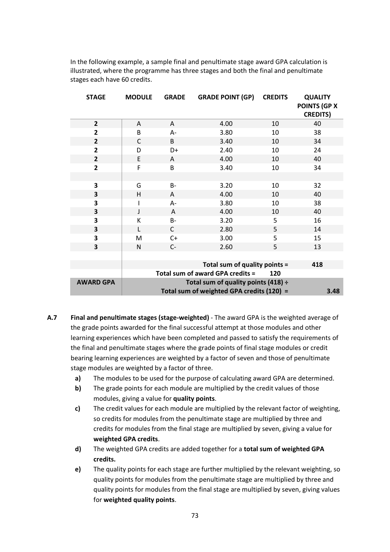In the following example, a sample final and penultimate stage award GPA calculation is illustrated, where the programme has three stages and both the final and penultimate stages each have 60 credits.

| <b>STAGE</b>     | <b>MODULE</b>                                     | <b>GRADE</b> | <b>GRADE POINT (GP)</b>             | <b>CREDITS</b> | <b>QUALITY</b><br><b>POINTS (GP X</b><br><b>CREDITS)</b> |
|------------------|---------------------------------------------------|--------------|-------------------------------------|----------------|----------------------------------------------------------|
| $\overline{2}$   | A                                                 | A            | 4.00                                | 10             | 40                                                       |
| $\overline{2}$   | B                                                 | $A -$        | 3.80                                | 10             | 38                                                       |
| $\overline{2}$   | C                                                 | B            | 3.40                                | 10             | 34                                                       |
| $\overline{2}$   | D                                                 | D+           | 2.40                                | 10             | 24                                                       |
| $\overline{2}$   | E                                                 | A            | 4.00                                | 10             | 40                                                       |
| 2                | F                                                 | В            | 3.40                                | 10             | 34                                                       |
| 3                | G                                                 | В-           | 3.20                                | 10             | 32                                                       |
| 3                | н                                                 | A            | 4.00                                | 10             | 40                                                       |
| 3                |                                                   | $A -$        | 3.80                                | 10             | 38                                                       |
| 3                | J                                                 | $\mathsf{A}$ | 4.00                                | 10             | 40                                                       |
| 3                | К                                                 | B-           | 3.20                                | 5              | 16                                                       |
| 3                | L                                                 | $\mathsf{C}$ | 2.80                                | 5              | 14                                                       |
| 3                | M                                                 | $C+$         | 3.00                                | 5              | 15                                                       |
| 3                | N                                                 | $C-$         | 2.60                                | 5              | 13                                                       |
|                  |                                                   |              |                                     |                |                                                          |
|                  |                                                   |              | Total sum of quality points =       |                | 418                                                      |
|                  |                                                   |              | Total sum of award GPA credits =    | 120            |                                                          |
| <b>AWARD GPA</b> |                                                   |              | Total sum of quality points (418) ÷ |                |                                                          |
|                  | Total sum of weighted GPA credits (120) =<br>3.48 |              |                                     |                |                                                          |

- **A.7 Final and penultimate stages (stage-weighted)** The award GPA is the weighted average of the grade points awarded for the final successful attempt at those modules and other learning experiences which have been completed and passed to satisfy the requirements of the final and penultimate stages where the grade points of final stage modules or credit bearing learning experiences are weighted by a factor of seven and those of penultimate stage modules are weighted by a factor of three.
	- **a)** The modules to be used for the purpose of calculating award GPA are determined.
	- **b)** The grade points for each module are multiplied by the credit values of those modules, giving a value for **quality points**.
	- **c)** The credit values for each module are multiplied by the relevant factor of weighting, so credits for modules from the penultimate stage are multiplied by three and credits for modules from the final stage are multiplied by seven, giving a value for **weighted GPA credits**.
	- **d)** The weighted GPA credits are added together for a **total sum of weighted GPA credits.**
	- **e)** The quality points for each stage are further multiplied by the relevant weighting, so quality points for modules from the penultimate stage are multiplied by three and quality points for modules from the final stage are multiplied by seven, giving values for **weighted quality points**.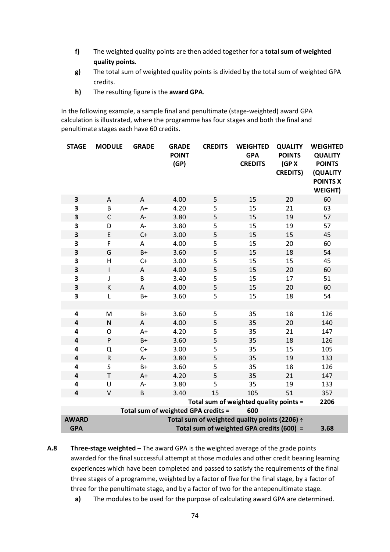- **f)** The weighted quality points are then added together for a **total sum of weighted quality points**.
- **g)** The total sum of weighted quality points is divided by the total sum of weighted GPA credits.
- **h)** The resulting figure is the **award GPA**.

In the following example, a sample final and penultimate (stage-weighted) award GPA calculation is illustrated, where the programme has four stages and both the final and penultimate stages each have 60 credits.

| <b>STAGE</b>            | <b>MODULE</b>                                     | <b>GRADE</b> | <b>GRADE</b><br><b>POINT</b><br>(GP) | <b>CREDITS</b> | <b>WEIGHTED</b><br><b>GPA</b><br><b>CREDITS</b> | <b>QUALITY</b><br><b>POINTS</b><br>(GP X)<br><b>CREDITS)</b> | <b>WEIGHTED</b><br><b>QUALITY</b><br><b>POINTS</b><br>(QUALITY<br><b>POINTS X</b><br><b>WEIGHT)</b> |
|-------------------------|---------------------------------------------------|--------------|--------------------------------------|----------------|-------------------------------------------------|--------------------------------------------------------------|-----------------------------------------------------------------------------------------------------|
| 3                       | A                                                 | A            | 4.00                                 | 5              | 15                                              | 20                                                           | 60                                                                                                  |
| 3                       | B                                                 | $A+$         | 4.20                                 | 5              | 15                                              | 21                                                           | 63                                                                                                  |
| 3                       | $\mathsf{C}$                                      | А-           | 3.80                                 | 5              | 15                                              | 19                                                           | 57                                                                                                  |
| 3                       | D                                                 | A-           | 3.80                                 | 5              | 15                                              | 19                                                           | 57                                                                                                  |
| 3                       | E                                                 | $C+$         | 3.00                                 | 5              | 15                                              | 15                                                           | 45                                                                                                  |
| 3                       | F                                                 | A            | 4.00                                 | 5              | 15                                              | 20                                                           | 60                                                                                                  |
| 3                       | G                                                 | $B+$         | 3.60                                 | 5              | 15                                              | 18                                                           | 54                                                                                                  |
| 3                       | $\overline{H}$                                    | $C+$         | 3.00                                 | 5              | 15                                              | 15                                                           | 45                                                                                                  |
| 3                       | $\sf I$                                           | Α            | 4.00                                 | 5              | 15                                              | 20                                                           | 60                                                                                                  |
| 3                       | J                                                 | B            | 3.40                                 | 5              | 15                                              | 17                                                           | 51                                                                                                  |
| 3                       | К                                                 | Α            | 4.00                                 | 5              | 15                                              | 20                                                           | 60                                                                                                  |
| 3                       | L                                                 | $B+$         | 3.60                                 | 5              | 15                                              | 18                                                           | 54                                                                                                  |
|                         |                                                   |              |                                      |                |                                                 |                                                              |                                                                                                     |
| 4                       | M                                                 | B+           | 3.60                                 | 5              | 35                                              | 18                                                           | 126                                                                                                 |
| $\overline{\mathbf{4}}$ | N                                                 | A            | 4.00                                 | 5              | 35                                              | 20                                                           | 140                                                                                                 |
| 4                       | O                                                 | $A+$         | 4.20                                 | 5              | 35                                              | 21                                                           | 147                                                                                                 |
| 4                       | ${\sf P}$                                         | $B+$         | 3.60                                 | 5              | 35                                              | 18                                                           | 126                                                                                                 |
| 4                       | Q                                                 | $C+$         | 3.00                                 | 5              | 35                                              | 15                                                           | 105                                                                                                 |
| $\overline{\mathbf{4}}$ | ${\sf R}$                                         | A-           | 3.80                                 | 5              | 35                                              | 19                                                           | 133                                                                                                 |
| $\overline{\mathbf{4}}$ | S                                                 | $B+$         | 3.60                                 | 5              | 35                                              | 18                                                           | 126                                                                                                 |
| 4                       | $\mathsf T$                                       | $A+$         | 4.20                                 | 5              | 35                                              | 21                                                           | 147                                                                                                 |
| 4                       | U                                                 | А-           | 3.80                                 | 5              | 35                                              | 19                                                           | 133                                                                                                 |
| 4                       | $\vee$                                            | B            | 3.40                                 | 15             | 105                                             | 51                                                           | 357                                                                                                 |
|                         |                                                   |              |                                      |                | Total sum of weighted quality points =          |                                                              | 2206                                                                                                |
|                         |                                                   |              | Total sum of weighted GPA credits =  |                | 600                                             |                                                              |                                                                                                     |
| <b>AWARD</b>            | Total sum of weighted quality points (2206) ÷     |              |                                      |                |                                                 |                                                              |                                                                                                     |
| <b>GPA</b>              | Total sum of weighted GPA credits (600) =<br>3.68 |              |                                      |                |                                                 |                                                              |                                                                                                     |

- **A.8 Three-stage weighted –** The award GPA is the weighted average of the grade points awarded for the final successful attempt at those modules and other credit bearing learning experiences which have been completed and passed to satisfy the requirements of the final three stages of a programme, weighted by a factor of five for the final stage, by a factor of three for the penultimate stage, and by a factor of two for the antepenultimate stage.
	- **a)** The modules to be used for the purpose of calculating award GPA are determined.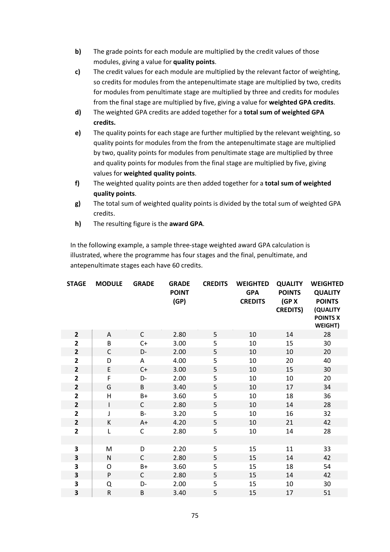- **b)** The grade points for each module are multiplied by the credit values of those modules, giving a value for **quality points**.
- **c)** The credit values for each module are multiplied by the relevant factor of weighting, so credits for modules from the antepenultimate stage are multiplied by two, credits for modules from penultimate stage are multiplied by three and credits for modules from the final stage are multiplied by five, giving a value for **weighted GPA credits**.
- **d)** The weighted GPA credits are added together for a **total sum of weighted GPA credits.**
- **e)** The quality points for each stage are further multiplied by the relevant weighting, so quality points for modules from the from the antepenultimate stage are multiplied by two, quality points for modules from penultimate stage are multiplied by three and quality points for modules from the final stage are multiplied by five, giving values for **weighted quality points**.
- **f)** The weighted quality points are then added together for a **total sum of weighted quality points**.
- **g)** The total sum of weighted quality points is divided by the total sum of weighted GPA credits.
- **h)** The resulting figure is the **award GPA**.

In the following example, a sample three-stage weighted award GPA calculation is illustrated, where the programme has four stages and the final, penultimate, and antepenultimate stages each have 60 credits.

| <b>STAGE</b>            | <b>MODULE</b> | <b>GRADE</b> | <b>GRADE</b><br><b>POINT</b><br>(GP) | <b>CREDITS</b> | <b>WEIGHTED</b><br><b>GPA</b><br><b>CREDITS</b> | <b>QUALITY</b><br><b>POINTS</b><br>(GP X)<br><b>CREDITS)</b> | <b>WEIGHTED</b><br><b>QUALITY</b><br><b>POINTS</b><br>(QUALITY<br><b>POINTS X</b><br><b>WEIGHT)</b> |
|-------------------------|---------------|--------------|--------------------------------------|----------------|-------------------------------------------------|--------------------------------------------------------------|-----------------------------------------------------------------------------------------------------|
| $\overline{2}$          | Α             | $\mathsf{C}$ | 2.80                                 | 5              | 10                                              | 14                                                           | 28                                                                                                  |
| $\mathbf{2}$            | B             | $C+$         | 3.00                                 | 5              | 10                                              | 15                                                           | 30                                                                                                  |
| $\mathbf{2}$            | C             | D-           | 2.00                                 | 5              | 10                                              | 10                                                           | 20                                                                                                  |
| $\overline{2}$          | D             | A            | 4.00                                 | 5              | 10                                              | 20                                                           | 40                                                                                                  |
| $\mathbf{2}$            | E             | $C+$         | 3.00                                 | 5              | 10                                              | 15                                                           | 30                                                                                                  |
| $\overline{\mathbf{2}}$ | F             | D-           | 2.00                                 | 5              | 10                                              | 10                                                           | 20                                                                                                  |
| $\mathbf{2}$            | G             | B            | 3.40                                 | 5              | 10                                              | 17                                                           | 34                                                                                                  |
| $\overline{\mathbf{2}}$ | $\mathsf{H}$  | $B+$         | 3.60                                 | 5              | 10                                              | 18                                                           | 36                                                                                                  |
| $\mathbf{2}$            | $\mathsf{I}$  | $\mathsf{C}$ | 2.80                                 | 5              | 10                                              | 14                                                           | 28                                                                                                  |
| $\overline{2}$          | J             | <b>B-</b>    | 3.20                                 | 5              | 10                                              | 16                                                           | 32                                                                                                  |
| $\mathbf{2}$            | К             | $A+$         | 4.20                                 | 5              | 10                                              | 21                                                           | 42                                                                                                  |
| $\overline{2}$          | L             | $\mathsf C$  | 2.80                                 | 5              | 10                                              | 14                                                           | 28                                                                                                  |
|                         |               |              |                                      |                |                                                 |                                                              |                                                                                                     |
| 3                       | M             | D            | 2.20                                 | 5              | 15                                              | 11                                                           | 33                                                                                                  |
| 3                       | N             | $\mathsf{C}$ | 2.80                                 | 5              | 15                                              | 14                                                           | 42                                                                                                  |
| 3                       | $\circ$       | $B+$         | 3.60                                 | 5              | 15                                              | 18                                                           | 54                                                                                                  |
| 3                       | ${\sf P}$     | $\mathsf{C}$ | 2.80                                 | 5              | 15                                              | 14                                                           | 42                                                                                                  |
| 3                       | Q             | D-           | 2.00                                 | 5              | 15                                              | 10                                                           | 30                                                                                                  |
| 3                       | ${\sf R}$     | B            | 3.40                                 | 5              | 15                                              | 17                                                           | 51                                                                                                  |
|                         |               |              |                                      |                |                                                 |                                                              |                                                                                                     |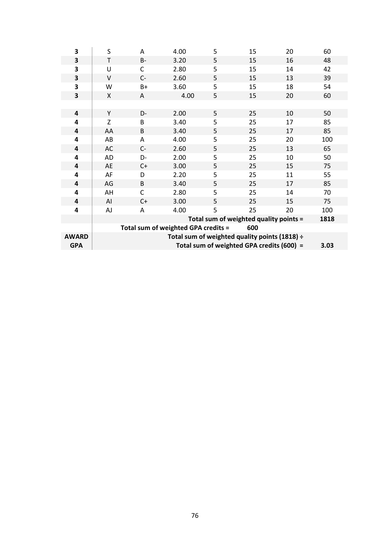| 3            | S      | A     | 4.00                                | 5 | 15                                            | 20 | 60   |
|--------------|--------|-------|-------------------------------------|---|-----------------------------------------------|----|------|
| 3            | T      | $B -$ | 3.20                                | 5 | 15                                            | 16 | 48   |
| 3            | U      | C     | 2.80                                | 5 | 15                                            | 14 | 42   |
| 3            | $\vee$ | $C-$  | 2.60                                | 5 | 15                                            | 13 | 39   |
| 3            | W      | $B+$  | 3.60                                | 5 | 15                                            | 18 | 54   |
| 3            | X      | A     | 4.00                                | 5 | 15                                            | 20 | 60   |
|              |        |       |                                     |   |                                               |    |      |
| 4            | Υ      | D-    | 2.00                                | 5 | 25                                            | 10 | 50   |
| 4            | Z      | B     | 3.40                                | 5 | 25                                            | 17 | 85   |
| 4            | AA     | B     | 3.40                                | 5 | 25                                            | 17 | 85   |
| 4            | AB     | A     | 4.00                                | 5 | 25                                            | 20 | 100  |
| 4            | AC     | $C-$  | 2.60                                | 5 | 25                                            | 13 | 65   |
| 4            | AD     | $D-$  | 2.00                                | 5 | 25                                            | 10 | 50   |
| 4            | AE     | $C+$  | 3.00                                | 5 | 25                                            | 15 | 75   |
| 4            | AF     | D     | 2.20                                | 5 | 25                                            | 11 | 55   |
| 4            | AG     | B     | 3.40                                | 5 | 25                                            | 17 | 85   |
| 4            | AH     | C     | 2.80                                | 5 | 25                                            | 14 | 70   |
| 4            | AI     | $C+$  | 3.00                                | 5 | 25                                            | 15 | 75   |
| 4            | AJ     | A     | 4.00                                | 5 | 25                                            | 20 | 100  |
|              |        |       |                                     |   | Total sum of weighted quality points =        |    | 1818 |
|              |        |       | Total sum of weighted GPA credits = |   | 600                                           |    |      |
| <b>AWARD</b> |        |       |                                     |   | Total sum of weighted quality points (1818) ÷ |    |      |
| <b>GPA</b>   |        |       |                                     |   | Total sum of weighted GPA credits (600) =     |    | 3.03 |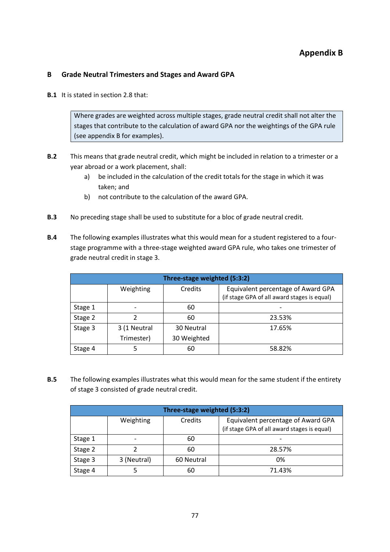## **B Grade Neutral Trimesters and Stages and Award GPA**

**B.1** It is stated in section 2.8 that:

Where grades are weighted across multiple stages, grade neutral credit shall not alter the stages that contribute to the calculation of award GPA nor the weightings of the GPA rule (see appendix B for examples).

- **B.2** This means that grade neutral credit, which might be included in relation to a trimester or a year abroad or a work placement, shall:
	- a) be included in the calculation of the credit totals for the stage in which it was taken; and
	- b) not contribute to the calculation of the award GPA.
- **B.3** No preceding stage shall be used to substitute for a bloc of grade neutral credit.
- **B.4** The following examples illustrates what this would mean for a student registered to a fourstage programme with a three-stage weighted award GPA rule, who takes one trimester of grade neutral credit in stage 3.

| Three-stage weighted (5:3:2) |              |             |                                                                                   |  |  |  |
|------------------------------|--------------|-------------|-----------------------------------------------------------------------------------|--|--|--|
|                              | Weighting    | Credits     | Equivalent percentage of Award GPA<br>(if stage GPA of all award stages is equal) |  |  |  |
| Stage 1                      |              | 60          |                                                                                   |  |  |  |
| Stage 2                      |              | 60          | 23.53%                                                                            |  |  |  |
| Stage 3                      | 3 (1 Neutral | 30 Neutral  | 17.65%                                                                            |  |  |  |
|                              | Trimester)   | 30 Weighted |                                                                                   |  |  |  |
| Stage 4                      |              | 60          | 58.82%                                                                            |  |  |  |

**B.5** The following examples illustrates what this would mean for the same student if the entirety of stage 3 consisted of grade neutral credit.

| Three-stage weighted (5:3:2) |             |            |                                                                                   |  |  |  |
|------------------------------|-------------|------------|-----------------------------------------------------------------------------------|--|--|--|
|                              | Weighting   | Credits    | Equivalent percentage of Award GPA<br>(if stage GPA of all award stages is equal) |  |  |  |
| Stage 1                      |             | 60         |                                                                                   |  |  |  |
| Stage 2                      |             | 60         | 28.57%                                                                            |  |  |  |
| Stage 3                      | 3 (Neutral) | 60 Neutral | 0%                                                                                |  |  |  |
| Stage 4                      |             | 60         | 71.43%                                                                            |  |  |  |